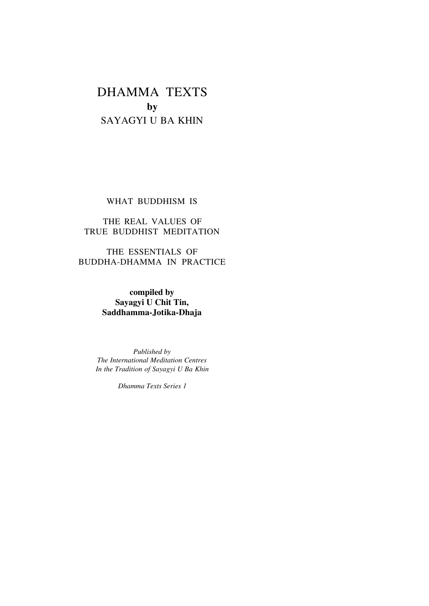# DHAMMA TEXTS **by** SAYAGYI U BA KHIN

### WHAT BUDDHISM IS

### THE REAL VALUES OF TRUE BUDDHIST MEDITATION

### THE ESSENTIALS OF BUDDHA-DHAMMA IN PRACTICE

### **compiled by Sayagyi U Chit Tin, Saddhamma-Jotika-Dhaja**

*Published by The International Meditation Centres In the Tradition of Sayagyi U Ba Khin*

*Dhamma Texts Series 1*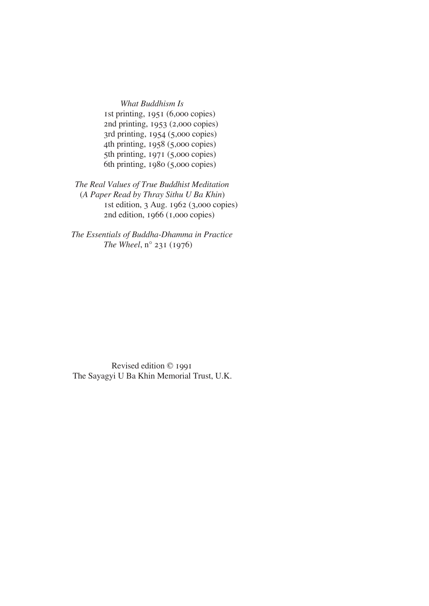*What Buddhism Is* 1st printing, 1951 (6,000 copies) 2nd printing, 1953 (2,000 copies)

rd printing, 1954 (5,000 copies) th printing, 1958 (5,000 copies) th printing, 1971 (5,000 copies) th printing, 1980 (5,000 copies)

*The Real Values of True Buddhist Meditation* (*A Paper Read by Thray Sithu U Ba Khin*) 1st edition, 3 Aug. 1962 (3,000 copies) 2nd edition, 1966 (1,000 copies)

*The Essentials of Buddha-Dhamma in Practice The Wheel*, n° 231 (1976)

Revised edition © 1991 The Sayagyi U Ba Khin Memorial Trust, U.K.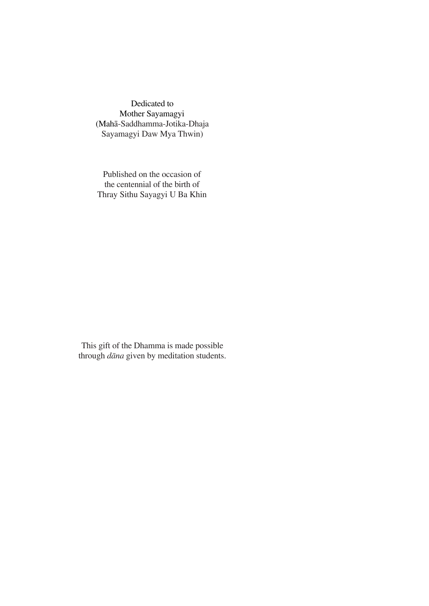Dedicated to Mother Sayamagyi (Mahå-Saddhamma-Jotika-Dhaja Sayamagyi Daw Mya Thwin)

Published on the occasion of the centennial of the birth of Thray Sithu Sayagyi U Ba Khin

This gift of the Dhamma is made possible through *dāna* given by meditation students.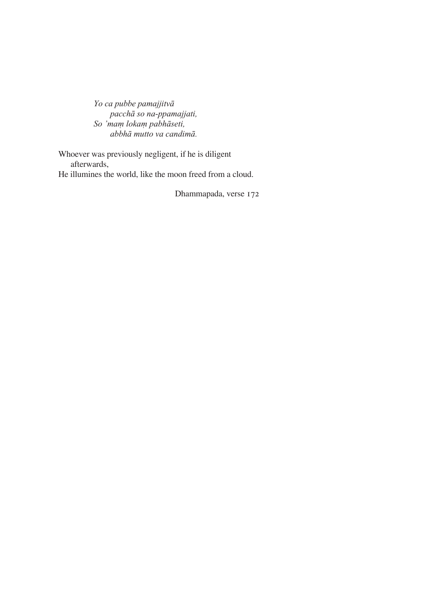Yo ca pubbe pamajjitvå pacchå so na-ppamajjati, So 'mam lokam pabhāseti, abbhå mutto va candimå.

Whoever was previously negligent, if he is diligent afterwards, He illumines the world, like the moon freed from a cloud.

Dhammapada, verse 172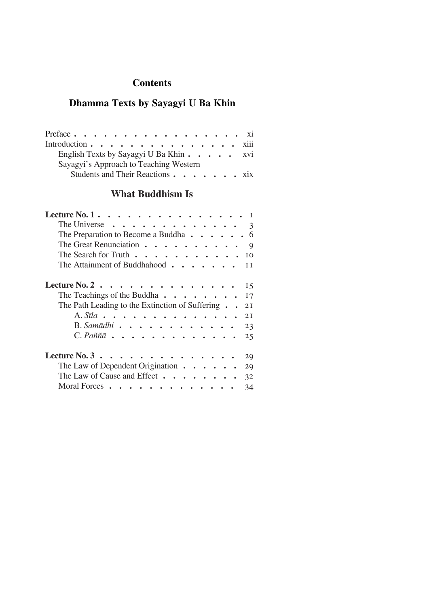## **Contents**

# **Dhamma Texts by Sayagyi U Ba Khin**

| Introduction $\cdots$ $\cdots$ $\cdots$ $\cdots$ $\cdots$ $\cdots$ $\cdots$ $\cdots$ $\cdots$ |  |  |  |  |  |
|-----------------------------------------------------------------------------------------------|--|--|--|--|--|
| English Texts by Sayagyi U Ba Khin xvi                                                        |  |  |  |  |  |
| Sayagyi's Approach to Teaching Western                                                        |  |  |  |  |  |
| Students and Their Reactions xix                                                              |  |  |  |  |  |

## **What Buddhism Is**

| Lecture No. $1 \cdot \cdot \cdot \cdot \cdot \cdot \cdot \cdot \cdot \cdot \cdot \cdot \cdot \cdot \cdot$ |    |
|-----------------------------------------------------------------------------------------------------------|----|
| The Universe $\cdots$ $\cdots$ $\cdots$ $\cdots$ $\cdots$ $\cdots$ 3                                      |    |
| The Preparation to Become a Buddha $\ldots$ $\ldots$ $\ldots$ 6                                           |    |
| The Great Renunciation $\cdots$ $\cdots$ $\cdots$ $\cdots$ $\cdots$ 9                                     |    |
| The Search for Truth 10                                                                                   |    |
| The Attainment of Buddhahood II                                                                           |    |
| Lecture No. $2 \cdot \cdot \cdot \cdot \cdot \cdot \cdot \cdot \cdot \cdot \cdot \cdot \cdot 15$          |    |
| The Teachings of the Buddha $\cdots$ $\cdots$ $\cdots$                                                    | 17 |
| The Path Leading to the Extinction of Suffering 21                                                        |    |
| A. Sīla                                                                                                   | 2I |
| $B.$ Samādhi $\cdots$ $\cdots$ $\cdots$ $\cdots$ $\cdots$                                                 | 23 |
| $C.$ Paññ $\bar{a}$                                                                                       | 25 |
| Lecture No. $3 \cdot \cdot \cdot \cdot \cdot \cdot \cdot \cdot \cdot \cdot \cdot \cdot \cdot 29$          |    |
| The Law of Dependent Origination $\cdots$ $\cdots$ $\cdots$ 29                                            |    |
| The Law of Cause and Effect $\cdots$ $\cdots$ $\cdots$ 32                                                 |    |
| Moral Forces $\ldots$ 34                                                                                  |    |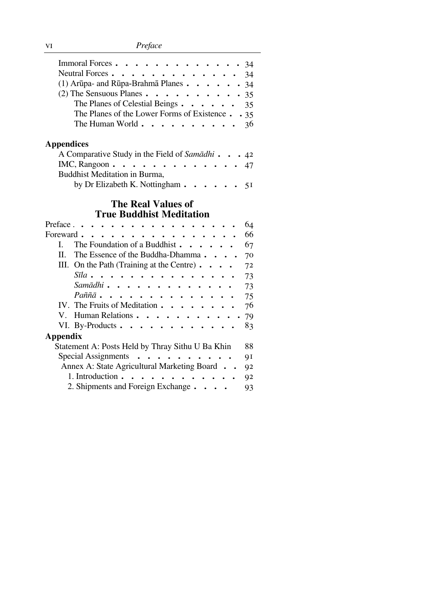| Immoral Forces<br>34                                                    |    |
|-------------------------------------------------------------------------|----|
| Neutral Forces<br>. 34                                                  |    |
| (1) Arūpa- and Rūpa-Brahmā Planes $\cdots$ $\cdots$ $\cdots$ 34         |    |
| (2) The Sensuous Planes $\cdots$ $\cdots$ $\cdots$ $\cdots$ $\cdots$ 35 |    |
| The Planes of Celestial Beings 35                                       |    |
| The Planes of the Lower Forms of Existence 35                           |    |
| The Human World $\cdots$ $\cdots$ $\cdots$ $\cdots$<br>36               |    |
|                                                                         |    |
| <b>Appendices</b>                                                       |    |
| A Comparative Study in the Field of Samadhi. 42                         |    |
| IMC, Rangoon $\cdots$ $\cdots$ $\cdots$ $\cdots$ $\cdots$ $\cdots$ 47   |    |
| <b>Buddhist Meditation in Burma,</b>                                    |    |
| by Dr Elizabeth K. Nottingham $\cdots$ $\cdots$<br>5 <sub>I</sub>       |    |
|                                                                         |    |
| <b>The Real Values of</b>                                               |    |
| <b>True Buddhist Meditation</b>                                         |    |
| 64<br>Preface.                                                          |    |
| 66<br>.<br>Foreward.<br>$\cdot$ $\cdot$ $\cdot$ $\cdot$                 |    |
| 67<br>The Foundation of a Buddhist<br>I.                                |    |
| The Essence of the Buddha-Dhamma<br>II.<br>70                           |    |
| III. On the Path (Training at the Centre) $\cdots$<br>72                |    |
| $S\bar{u}$ .<br>.<br>73                                                 |    |
| Samādhi. $\cdots$ . $\cdots$ . $\cdots$ . $\cdots$ .                    | 73 |
| $Pa\tilde{n}$ ñ $\tilde{a}$                                             | 75 |
| IV. The Fruits of Meditation<br>76                                      |    |
| V. Human Relations<br>79                                                |    |
| VI. By-Products.                                                        | 83 |
| <b>Appendix</b>                                                         |    |
| Statement A: Posts Held by Thray Sithu U Ba Khin                        | 88 |
| <b>Special Assignments</b><br>.<br>91                                   |    |
| Annex A: State Agricultural Marketing Board<br>92                       |    |
| 1. Introduction $\cdots$ $\cdots$ $\cdots$ $\cdots$ $\cdots$<br>92      |    |
| 2. Shipments and Foreign Exchange                                       | 93 |
|                                                                         |    |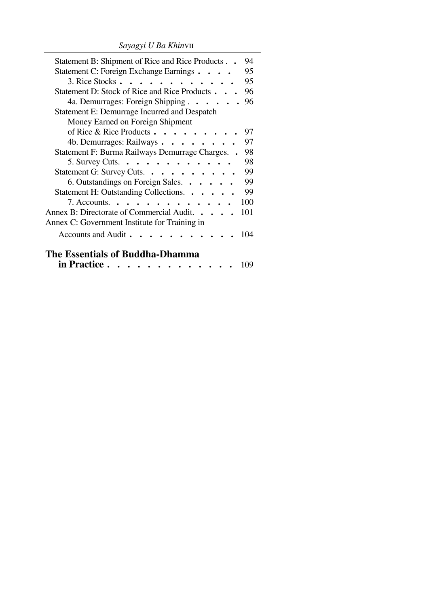| Statement B: Shipment of Rice and Rice Products                             | 94  |
|-----------------------------------------------------------------------------|-----|
| Statement C: Foreign Exchange Earnings                                      | 95  |
| 3. Rice Stocks $\cdot \cdot \cdot$<br>$\sim$ $\sim$<br>$\sim$ $\sim$ $\sim$ | 95  |
| Statement D: Stock of Rice and Rice Products.                               | 96  |
| 4a. Demurrages: Foreign Shipping $\cdots$ $\cdots$                          | 96  |
| <b>Statement E: Demurrage Incurred and Despatch</b>                         |     |
| Money Earned on Foreign Shipment                                            |     |
| of Rice & Rice Products $\cdot \cdot \cdot \cdot \cdot \cdot$               | 97  |
| 4b. Demurrages: Railways $\cdots$ $\cdots$ $\cdots$                         | 97  |
| Statement F: Burma Railways Demurrage Charges                               | 98  |
| 5. Survey Cuts. $\cdots$ $\cdots$ $\cdots$ $\cdots$                         | 98  |
| Statement G: Survey Cuts. $\cdots$ $\cdots$ $\cdots$ $\cdots$               | 99  |
| 6. Outstandings on Foreign Sales.                                           | 99  |
| Statement H: Outstanding Collections.                                       | 99  |
| 7. Accounts. $\bullet$ $\bullet$                                            | 100 |
| Annex B: Directorate of Commercial Audit.                                   | 101 |
| Annex C: Government Institute for Training in                               |     |
| Accounts and Audit.                                                         | 104 |
| The Essentials of Buddha-Dhamma                                             |     |
| in Practice.                                                                | 109 |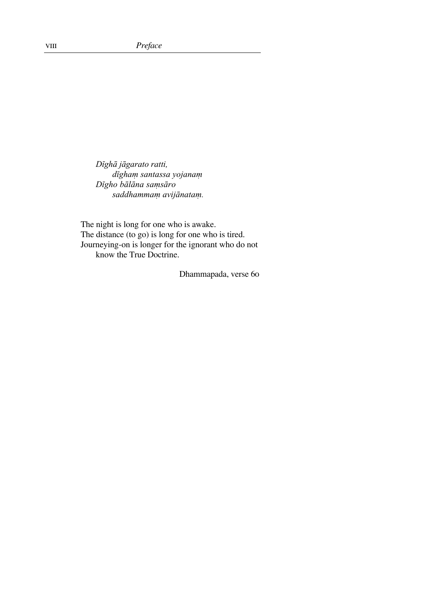Dīghā jāgarato ratti, dīgham santassa yojanam Digho bālāna samsāro saddhammam avijānatam.

The night is long for one who is awake. The distance (to go) is long for one who is tired. Journeying-on is longer for the ignorant who do not know the True Doctrine.

Dhammapada, verse 60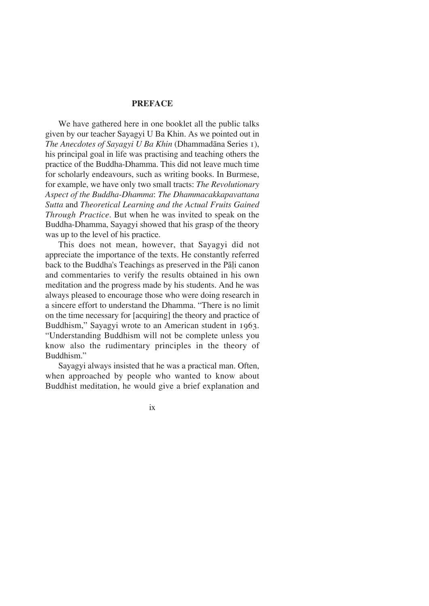#### **PREFACE**

We have gathered here in one booklet all the public talks given by our teacher Sayagyi U Ba Khin. As we pointed out in *The Anecdotes of Sayagyi U Ba Khin* (Dhammadāna Series 1), his principal goal in life was practising and teaching others the practice of the Buddha-Dhamma. This did not leave much time for scholarly endeavours, such as writing books. In Burmese, for example, we have only two small tracts: *The Revolutionary Aspect of the Buddha-Dhamma*: *The Dhammacakkapavattana Sutta* and *Theoretical Learning and the Actual Fruits Gained Through Practice*. But when he was invited to speak on the Buddha-Dhamma, Sayagyi showed that his grasp of the theory was up to the level of his practice.

This does not mean, however, that Sayagyi did not appreciate the importance of the texts. He constantly referred back to the Buddha's Teachings as preserved in the Pāli canon and commentaries to verify the results obtained in his own meditation and the progress made by his students. And he was always pleased to encourage those who were doing research in a sincere effort to understand the Dhamma. "There is no limit on the time necessary for [acquiring] the theory and practice of Buddhism," Sayagyi wrote to an American student in 1963. "Understanding Buddhism will not be complete unless you know also the rudimentary principles in the theory of Buddhism."

Sayagyi always insisted that he was a practical man. Often, when approached by people who wanted to know about Buddhist meditation, he would give a brief explanation and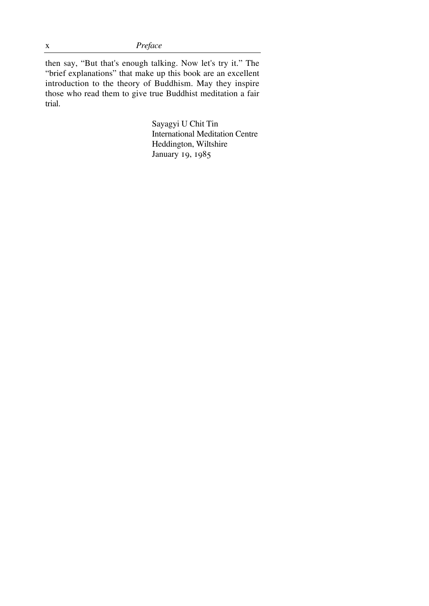then say, "But that's enough talking. Now let's try it." The "brief explanations" that make up this book are an excellent introduction to the theory of Buddhism. May they inspire those who read them to give true Buddhist meditation a fair trial.

> Sayagyi U Chit Tin International Meditation Centre Heddington, Wiltshire January 19, 1985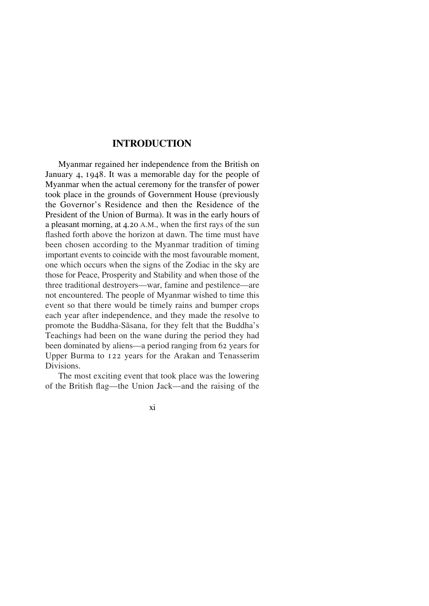### **INTRODUCTION**

Myanmar regained her independence from the British on January 4, 1948. It was a memorable day for the people of Myanmar when the actual ceremony for the transfer of power took place in the grounds of Government House (previously the Governor's Residence and then the Residence of the President of the Union of Burma). It was in the early hours of a pleasant morning, at 4.20 A.M., when the first rays of the sun flashed forth above the horizon at dawn. The time must have been chosen according to the Myanmar tradition of timing important events to coincide with the most favourable moment, one which occurs when the signs of the Zodiac in the sky are those for Peace, Prosperity and Stability and when those of the three traditional destroyers—war, famine and pestilence—are not encountered. The people of Myanmar wished to time this event so that there would be timely rains and bumper crops each year after independence, and they made the resolve to promote the Buddha-Sāsana, for they felt that the Buddha's Teachings had been on the wane during the period they had been dominated by aliens—a period ranging from 62 years for Upper Burma to 122 years for the Arakan and Tenasserim Divisions.

The most exciting event that took place was the lowering of the British flag—the Union Jack—and the raising of the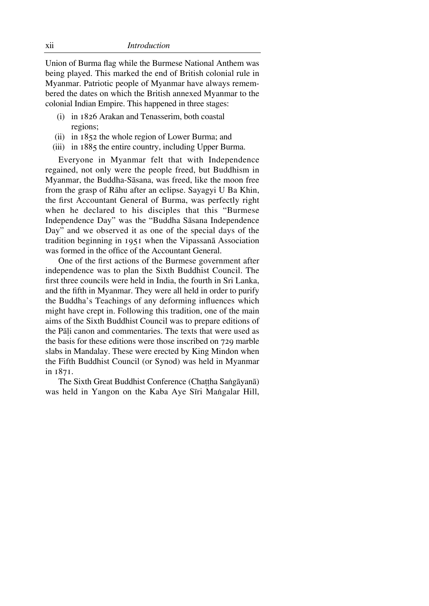Union of Burma flag while the Burmese National Anthem was being played. This marked the end of British colonial rule in Myanmar. Patriotic people of Myanmar have always remembered the dates on which the British annexed Myanmar to the colonial Indian Empire. This happened in three stages:

- (i) in 1826 Arakan and Tenasserim, both coastal regions;
- (ii) in 1852 the whole region of Lower Burma; and
- (iii) in 1885 the entire country, including Upper Burma.

Everyone in Myanmar felt that with Independence regained, not only were the people freed, but Buddhism in Myanmar, the Buddha-Sāsana, was freed, like the moon free from the grasp of Rāhu after an eclipse. Sayagyi U Ba Khin, the first Accountant General of Burma, was perfectly right when he declared to his disciples that this "Burmese Independence Day" was the "Buddha Sāsana Independence Day" and we observed it as one of the special days of the tradition beginning in 1951 when the Vipassanā Association was formed in the office of the Accountant General.

One of the first actions of the Burmese government after independence was to plan the Sixth Buddhist Council. The first three councils were held in India, the fourth in Sri Lanka, and the fifth in Myanmar. They were all held in order to purify the Buddha's Teachings of any deforming influences which might have crept in. Following this tradition, one of the main aims of the Sixth Buddhist Council was to prepare editions of the Pāli canon and commentaries. The texts that were used as the basis for these editions were those inscribed on 729 marble slabs in Mandalay. These were erected by King Mindon when the Fifth Buddhist Council (or Synod) was held in Myanmar in 1871.

The Sixth Great Buddhist Conference (Chattha Sangāyanā) was held in Yangon on the Kaba Aye Sīri Mangalar Hill,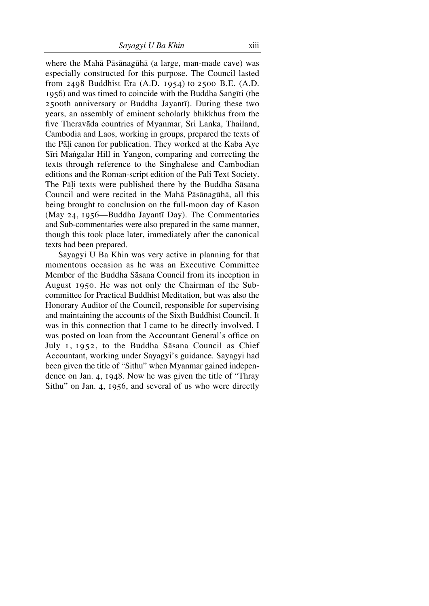where the Mahā Pāsānagūhā (a large, man-made cave) was especially constructed for this purpose. The Council lasted from 2498 Buddhist Era (A.D. 1954) to 2500 B.E. (A.D. 1956) and was timed to coincide with the Buddha Sagīti (the 2500th anniversary or Buddha Jayantī). During these two years, an assembly of eminent scholarly bhikkhus from the five Theravāda countries of Myanmar, Sri Lanka, Thailand, Cambodia and Laos, working in groups, prepared the texts of the Pāli canon for publication. They worked at the Kaba Aye Sīri Mangalar Hill in Yangon, comparing and correcting the texts through reference to the Singhalese and Cambodian editions and the Roman-script edition of the Pali Text Society. The Pāli texts were published there by the Buddha Sāsana Council and were recited in the Mahā Pāsānagūhā, all this being brought to conclusion on the full-moon day of Kason (May 24, 1956—Buddha Jayantī Day). The Commentaries and Sub-commentaries were also prepared in the same manner, though this took place later, immediately after the canonical texts had been prepared.

Sayagyi U Ba Khin was very active in planning for that momentous occasion as he was an Executive Committee Member of the Buddha Sāsana Council from its inception in August 1950. He was not only the Chairman of the Subcommittee for Practical Buddhist Meditation, but was also the Honorary Auditor of the Council, responsible for supervising and maintaining the accounts of the Sixth Buddhist Council. It was in this connection that I came to be directly involved. I was posted on loan from the Accountant General's office on July 1, 1952, to the Buddha Sāsana Council as Chief Accountant, working under Sayagyi's guidance. Sayagyi had been given the title of "Sithu" when Myanmar gained independence on Jan. 4, 1948. Now he was given the title of "Thray Sithu" on Jan. 4, 1956, and several of us who were directly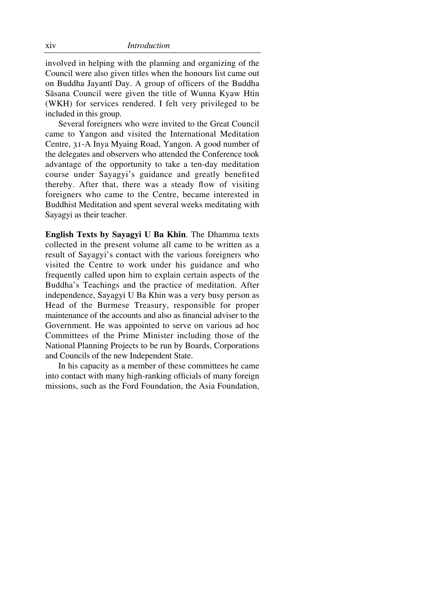involved in helping with the planning and organizing of the Council were also given titles when the honours list came out on Buddha Jayantī Day. A group of officers of the Buddha Sāsana Council were given the title of Wunna Kyaw Htin (WKH) for services rendered. I felt very privileged to be included in this group.

Several foreigners who were invited to the Great Council came to Yangon and visited the International Meditation Centre, 31-A Inya Myaing Road, Yangon. A good number of the delegates and observers who attended the Conference took advantage of the opportunity to take a ten-day meditation course under Sayagyi's guidance and greatly benefited thereby. After that, there was a steady flow of visiting foreigners who came to the Centre, became interested in Buddhist Meditation and spent several weeks meditating with Sayagyi as their teacher.

**English Texts by Sayagyi U Ba Khin**. The Dhamma texts collected in the present volume all came to be written as a result of Sayagyi's contact with the various foreigners who visited the Centre to work under his guidance and who frequently called upon him to explain certain aspects of the Buddha's Teachings and the practice of meditation. After independence, Sayagyi U Ba Khin was a very busy person as Head of the Burmese Treasury, responsible for proper maintenance of the accounts and also as financial adviser to the Government. He was appointed to serve on various ad hoc Committees of the Prime Minister including those of the National Planning Projects to be run by Boards, Corporations and Councils of the new Independent State.

In his capacity as a member of these committees he came into contact with many high-ranking officials of many foreign missions, such as the Ford Foundation, the Asia Foundation,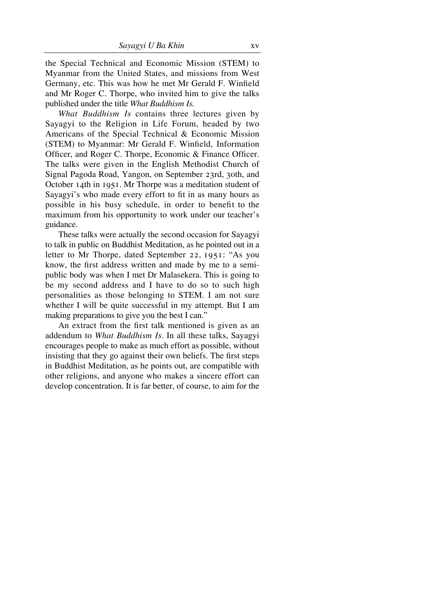the Special Technical and Economic Mission (STEM) to Myanmar from the United States, and missions from West Germany, etc. This was how he met Mr Gerald F. Winfield and Mr Roger C. Thorpe, who invited him to give the talks published under the title *What Buddhism Is.*

*What Buddhism Is* contains three lectures given by Sayagyi to the Religion in Life Forum, headed by two Americans of the Special Technical & Economic Mission (STEM) to Myanmar: Mr Gerald F. Winfield, Information Officer, and Roger C. Thorpe, Economic & Finance Officer. The talks were given in the English Methodist Church of Signal Pagoda Road, Yangon, on September 23rd, 30th, and October 14th in 1951. Mr Thorpe was a meditation student of Sayagyi's who made every effort to fit in as many hours as possible in his busy schedule, in order to benefit to the maximum from his opportunity to work under our teacher's guidance.

These talks were actually the second occasion for Sayagyi to talk in public on Buddhist Meditation, as he pointed out in a letter to Mr Thorpe, dated September 22, 1951: "As you know, the first address written and made by me to a semipublic body was when I met Dr Malasekera. This is going to be my second address and I have to do so to such high personalities as those belonging to STEM. I am not sure whether I will be quite successful in my attempt. But I am making preparations to give you the best I can."

An extract from the first talk mentioned is given as an addendum to *What Buddhism Is*. In all these talks, Sayagyi encourages people to make as much effort as possible, without insisting that they go against their own beliefs. The first steps in Buddhist Meditation, as he points out, are compatible with other religions, and anyone who makes a sincere effort can develop concentration. It is far better, of course, to aim for the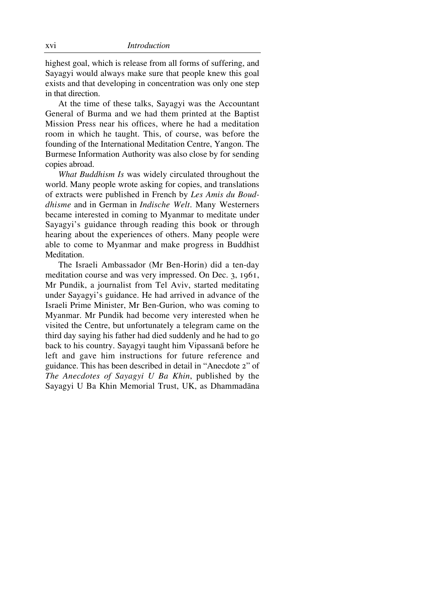highest goal, which is release from all forms of suffering, and Sayagyi would always make sure that people knew this goal exists and that developing in concentration was only one step in that direction.

At the time of these talks, Sayagyi was the Accountant General of Burma and we had them printed at the Baptist Mission Press near his offices, where he had a meditation room in which he taught. This, of course, was before the founding of the International Meditation Centre, Yangon. The Burmese Information Authority was also close by for sending copies abroad.

*What Buddhism Is* was widely circulated throughout the world. Many people wrote asking for copies, and translations of extracts were published in French by *Les Amis du Bouddhisme* and in German in *Indische Welt*. Many Westerners became interested in coming to Myanmar to meditate under Sayagyi's guidance through reading this book or through hearing about the experiences of others. Many people were able to come to Myanmar and make progress in Buddhist Meditation.

The Israeli Ambassador (Mr Ben-Horin) did a ten-day meditation course and was very impressed. On Dec. 3, 1961, Mr Pundik, a journalist from Tel Aviv, started meditating under Sayagyi's guidance. He had arrived in advance of the Israeli Prime Minister, Mr Ben-Gurion, who was coming to Myanmar. Mr Pundik had become very interested when he visited the Centre, but unfortunately a telegram came on the third day saying his father had died suddenly and he had to go back to his country. Sayagyi taught him Vipassanā before he left and gave him instructions for future reference and guidance. This has been described in detail in "Anecdote 2" of *The Anecdotes of Sayagyi U Ba Khin*, published by the Sayagyi U Ba Khin Memorial Trust, UK, as Dhammadāna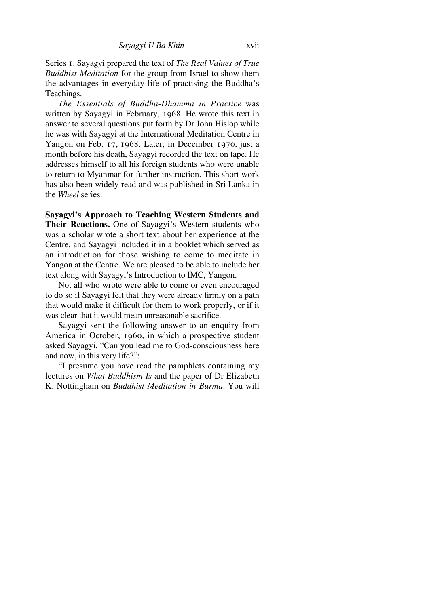Series 1. Sayagyi prepared the text of *The Real Values of True Buddhist Meditation* for the group from Israel to show them the advantages in everyday life of practising the Buddha's Teachings.

*The Essentials of Buddha-Dhamma in Practice* was written by Sayagyi in February, 1968. He wrote this text in answer to several questions put forth by Dr John Hislop while he was with Sayagyi at the International Meditation Centre in Yangon on Feb. 17, 1968. Later, in December 1970, just a month before his death, Sayagyi recorded the text on tape. He addresses himself to all his foreign students who were unable to return to Myanmar for further instruction. This short work has also been widely read and was published in Sri Lanka in the *Wheel* series.

**Sayagyi's Approach to Teaching Western Students and Their Reactions.** One of Sayagyi's Western students who was a scholar wrote a short text about her experience at the Centre, and Sayagyi included it in a booklet which served as an introduction for those wishing to come to meditate in Yangon at the Centre. We are pleased to be able to include her text along with Sayagyi's Introduction to IMC, Yangon.

Not all who wrote were able to come or even encouraged to do so if Sayagyi felt that they were already firmly on a path that would make it difficult for them to work properly, or if it was clear that it would mean unreasonable sacrifice.

Sayagyi sent the following answer to an enquiry from America in October, 1960, in which a prospective student asked Sayagyi, "Can you lead me to God-consciousness here and now, in this very life?":

"I presume you have read the pamphlets containing my lectures on *What Buddhism Is* and the paper of Dr Elizabeth K. Nottingham on *Buddhist Meditation in Burma*. You will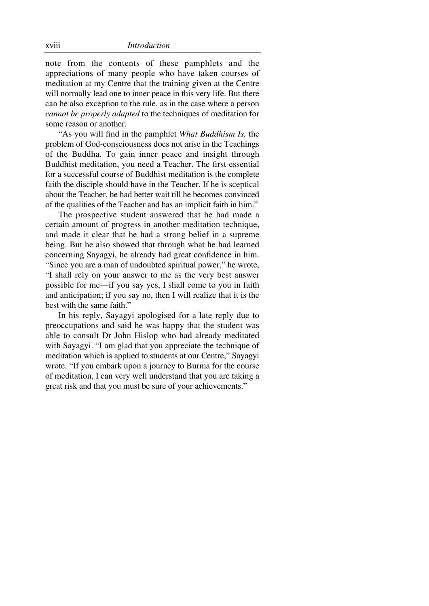note from the contents of these pamphlets and the appreciations of many people who have taken courses of meditation at my Centre that the training given at the Centre will normally lead one to inner peace in this very life. But there can be also exception to the rule, as in the case where a person *cannot be properly adapted* to the techniques of meditation for some reason or another.

"As you will find in the pamphlet *What Buddhism Is,* the problem of God-consciousness does not arise in the Teachings of the Buddha. To gain inner peace and insight through Buddhist meditation, you need a Teacher. The first essential for a successful course of Buddhist meditation is the complete faith the disciple should have in the Teacher. If he is sceptical about the Teacher, he had better wait till he becomes convinced of the qualities of the Teacher and has an implicit faith in him."

The prospective student answered that he had made a certain amount of progress in another meditation technique, and made it clear that he had a strong belief in a supreme being. But he also showed that through what he had learned concerning Sayagyi, he already had great confidence in him. "Since you are a man of undoubted spiritual power," he wrote, "I shall rely on your answer to me as the very best answer possible for me—if you say yes, I shall come to you in faith and anticipation; if you say no, then I will realize that it is the best with the same faith."

In his reply, Sayagyi apologised for a late reply due to preoccupations and said he was happy that the student was able to consult Dr John Hislop who had already meditated with Sayagyi. "I am glad that you appreciate the technique of meditation which is applied to students at our Centre," Sayagyi wrote. "If you embark upon a journey to Burma for the course of meditation, I can very well understand that you are taking a great risk and that you must be sure of your achievements."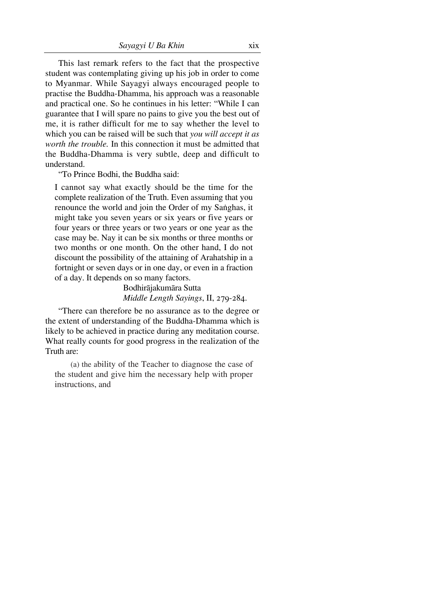This last remark refers to the fact that the prospective student was contemplating giving up his job in order to come to Myanmar. While Sayagyi always encouraged people to practise the Buddha-Dhamma, his approach was a reasonable and practical one. So he continues in his letter: "While I can guarantee that I will spare no pains to give you the best out of me, it is rather difficult for me to say whether the level to which you can be raised will be such that *you will accept it as worth the trouble.* In this connection it must be admitted that the Buddha-Dhamma is very subtle, deep and difficult to understand.

"To Prince Bodhi, the Buddha said:

I cannot say what exactly should be the time for the complete realization of the Truth. Even assuming that you renounce the world and join the Order of my Sanghas, it might take you seven years or six years or five years or four years or three years or two years or one year as the case may be. Nay it can be six months or three months or two months or one month. On the other hand, I do not discount the possibility of the attaining of Arahatship in a fortnight or seven days or in one day, or even in a fraction of a day. It depends on so many factors.

> Bodhirājakumāra Sutta *Middle Length Sayings*, II, 279-284.

"There can therefore be no assurance as to the degree or the extent of understanding of the Buddha-Dhamma which is likely to be achieved in practice during any meditation course. What really counts for good progress in the realization of the Truth are:

(a) the ability of the Teacher to diagnose the case of the student and give him the necessary help with proper instructions, and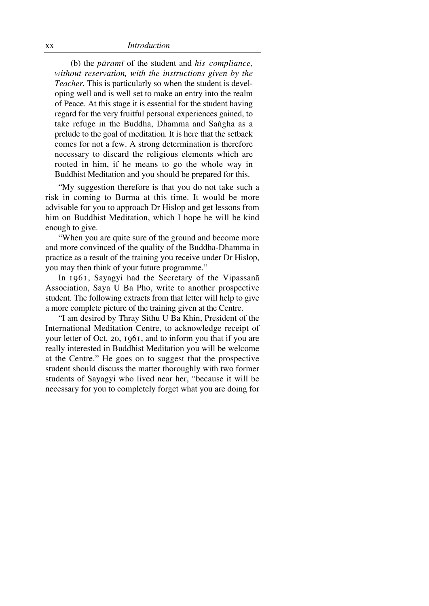(b) the *pāramī* of the student and *his compliance, without reservation, with the instructions given by the Teacher.* This is particularly so when the student is developing well and is well set to make an entry into the realm of Peace. At this stage it is essential for the student having regard for the very fruitful personal experiences gained, to take refuge in the Buddha, Dhamma and Sangha as a prelude to the goal of meditation. It is here that the setback comes for not a few. A strong determination is therefore necessary to discard the religious elements which are rooted in him, if he means to go the whole way in Buddhist Meditation and you should be prepared for this.

"My suggestion therefore is that you do not take such a risk in coming to Burma at this time. It would be more advisable for you to approach Dr Hislop and get lessons from him on Buddhist Meditation, which I hope he will be kind enough to give.

"When you are quite sure of the ground and become more and more convinced of the quality of the Buddha-Dhamma in practice as a result of the training you receive under Dr Hislop, you may then think of your future programme."

In 1961, Sayagyi had the Secretary of the Vipassanā Association, Saya U Ba Pho, write to another prospective student. The following extracts from that letter will help to give a more complete picture of the training given at the Centre.

"I am desired by Thray Sithu U Ba Khin, President of the International Meditation Centre, to acknowledge receipt of your letter of Oct. 20, 1961, and to inform you that if you are really interested in Buddhist Meditation you will be welcome at the Centre." He goes on to suggest that the prospective student should discuss the matter thoroughly with two former students of Sayagyi who lived near her, "because it will be necessary for you to completely forget what you are doing for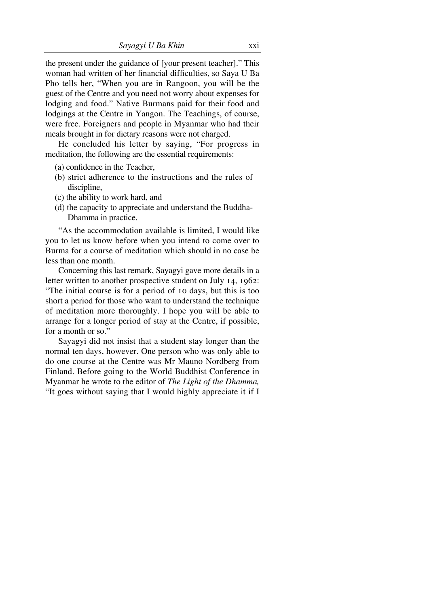the present under the guidance of [your present teacher]." This woman had written of her financial difficulties, so Saya U Ba Pho tells her, "When you are in Rangoon, you will be the guest of the Centre and you need not worry about expenses for lodging and food." Native Burmans paid for their food and lodgings at the Centre in Yangon. The Teachings, of course, were free. Foreigners and people in Myanmar who had their meals brought in for dietary reasons were not charged.

He concluded his letter by saying, "For progress in meditation, the following are the essential requirements:

- (a) confidence in the Teacher,
- (b) strict adherence to the instructions and the rules of discipline,
- (c) the ability to work hard, and
- (d) the capacity to appreciate and understand the Buddha-Dhamma in practice.

"As the accommodation available is limited, I would like you to let us know before when you intend to come over to Burma for a course of meditation which should in no case be less than one month.

Concerning this last remark, Sayagyi gave more details in a letter written to another prospective student on July 14, 1962: "The initial course is for a period of 10 days, but this is too short a period for those who want to understand the technique of meditation more thoroughly. I hope you will be able to arrange for a longer period of stay at the Centre, if possible, for a month or so."

Sayagyi did not insist that a student stay longer than the normal ten days, however. One person who was only able to do one course at the Centre was Mr Mauno Nordberg from Finland. Before going to the World Buddhist Conference in Myanmar he wrote to the editor of *The Light of the Dhamma,* "It goes without saying that I would highly appreciate it if I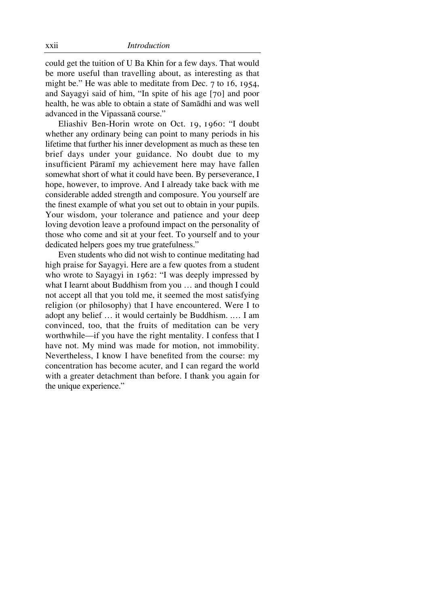could get the tuition of U Ba Khin for a few days. That would be more useful than travelling about, as interesting as that might be." He was able to meditate from Dec. 7 to 16, 1954, and Sayagyi said of him, "In spite of his age [70] and poor health, he was able to obtain a state of Samādhi and was well advanced in the Vipassanā course."

Eliashiv Ben-Horin wrote on Oct. 19, 1960: "I doubt whether any ordinary being can point to many periods in his lifetime that further his inner development as much as these ten brief days under your guidance. No doubt due to my insufficient Pāramī my achievement here may have fallen somewhat short of what it could have been. By perseverance, I hope, however, to improve. And I already take back with me considerable added strength and composure. You yourself are the finest example of what you set out to obtain in your pupils. Your wisdom, your tolerance and patience and your deep loving devotion leave a profound impact on the personality of those who come and sit at your feet. To yourself and to your dedicated helpers goes my true gratefulness."

Even students who did not wish to continue meditating had high praise for Sayagyi. Here are a few quotes from a student who wrote to Sayagyi in 1962: "I was deeply impressed by what I learnt about Buddhism from you … and though I could not accept all that you told me, it seemed the most satisfying religion (or philosophy) that I have encountered. Were I to adopt any belief … it would certainly be Buddhism. .… I am convinced, too, that the fruits of meditation can be very worthwhile—if you have the right mentality. I confess that I have not. My mind was made for motion, not immobility. Nevertheless, I know I have benefited from the course: my concentration has become acuter, and I can regard the world with a greater detachment than before. I thank you again for the unique experience."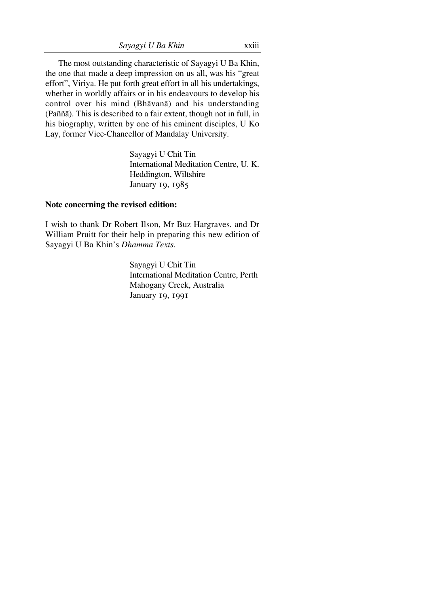The most outstanding characteristic of Sayagyi U Ba Khin, the one that made a deep impression on us all, was his "great effort", Viriya. He put forth great effort in all his undertakings, whether in worldly affairs or in his endeavours to develop his control over his mind (Bhāvanā) and his understanding (Paññā). This is described to a fair extent, though not in full, in his biography, written by one of his eminent disciples, U Ko Lay, former Vice-Chancellor of Mandalay University.

> Sayagyi U Chit Tin International Meditation Centre, U. K. Heddington, Wiltshire January 19, 1985

### **Note concerning the revised edition:**

I wish to thank Dr Robert Ilson, Mr Buz Hargraves, and Dr William Pruitt for their help in preparing this new edition of Sayagyi U Ba Khin's *Dhamma Texts.*

> Sayagyi U Chit Tin International Meditation Centre, Perth Mahogany Creek, Australia January 19, 1991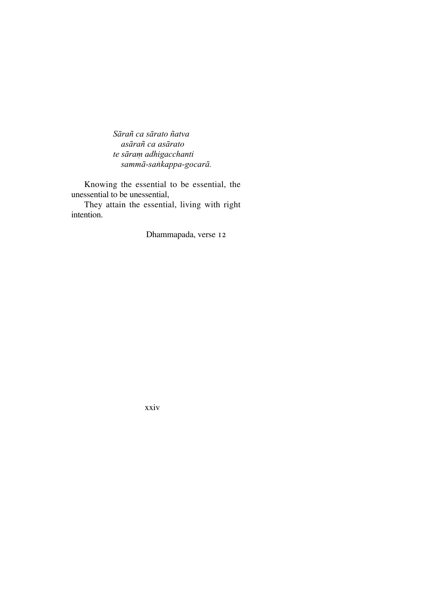Sårañ ca sårato ñatva asårañ ca asårato te sāram adhigacchanti sammā-saṅkappa-gocarā.

Knowing the essential to be essential, the unessential to be unessential,

They attain the essential, living with right intention.

Dhammapada, verse 12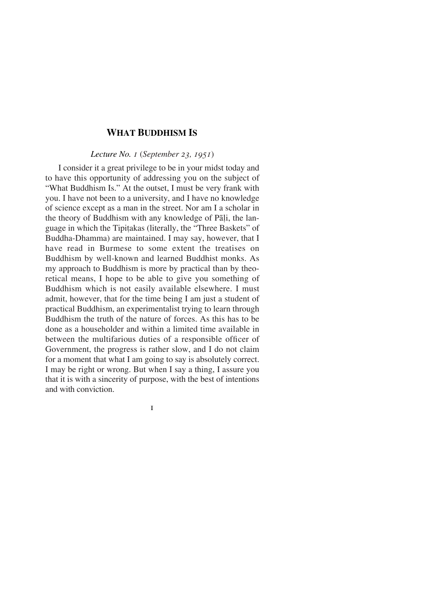### **WHAT BUDDHISM IS**

### *Lecture No. 1* (*September 23, 1951*)

I consider it a great privilege to be in your midst today and to have this opportunity of addressing you on the subject of "What Buddhism Is." At the outset, I must be very frank with you. I have not been to a university, and I have no knowledge of science except as a man in the street. Nor am I a scholar in the theory of Buddhism with any knowledge of Pāli, the language in which the Tipitakas (literally, the "Three Baskets" of Buddha-Dhamma) are maintained. I may say, however, that I have read in Burmese to some extent the treatises on Buddhism by well-known and learned Buddhist monks. As my approach to Buddhism is more by practical than by theoretical means, I hope to be able to give you something of Buddhism which is not easily available elsewhere. I must admit, however, that for the time being I am just a student of practical Buddhism, an experimentalist trying to learn through Buddhism the truth of the nature of forces. As this has to be done as a householder and within a limited time available in between the multifarious duties of a responsible officer of Government, the progress is rather slow, and I do not claim for a moment that what I am going to say is absolutely correct. I may be right or wrong. But when I say a thing, I assure you that it is with a sincerity of purpose, with the best of intentions and with conviction.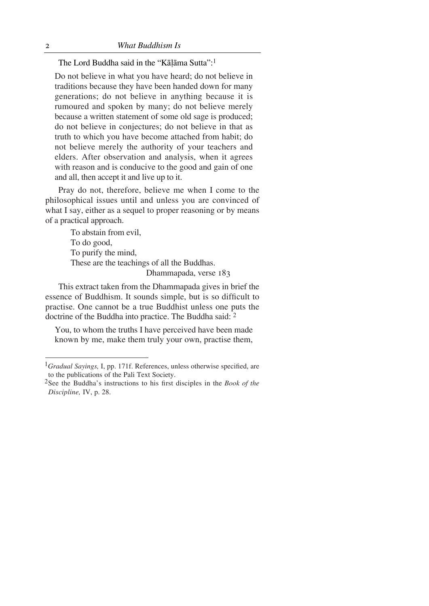The Lord Buddha said in the "Kālāma Sutta":<sup>1</sup>

Do not believe in what you have heard; do not believe in traditions because they have been handed down for many generations; do not believe in anything because it is rumoured and spoken by many; do not believe merely because a written statement of some old sage is produced; do not believe in conjectures; do not believe in that as truth to which you have become attached from habit; do not believe merely the authority of your teachers and elders. After observation and analysis, when it agrees with reason and is conducive to the good and gain of one and all, then accept it and live up to it.

Pray do not, therefore, believe me when I come to the philosophical issues until and unless you are convinced of what I say, either as a sequel to proper reasoning or by means of a practical approach.

> To abstain from evil, To do good, To purify the mind, These are the teachings of all the Buddhas. Dhammapada, verse 183

This extract taken from the Dhammapada gives in brief the essence of Buddhism. It sounds simple, but is so difficult to practise. One cannot be a true Buddhist unless one puts the doctrine of the Buddha into practice. The Buddha said: 2

You, to whom the truths I have perceived have been made known by me, make them truly your own, practise them,

<sup>1</sup>*Gradual Sayings,* I, pp. 171f. References, unless otherwise specified, are to the publications of the Pali Text Society.

<sup>2</sup>See the Buddha's instructions to his first disciples in the *Book of the Discipline,* IV, p. 28.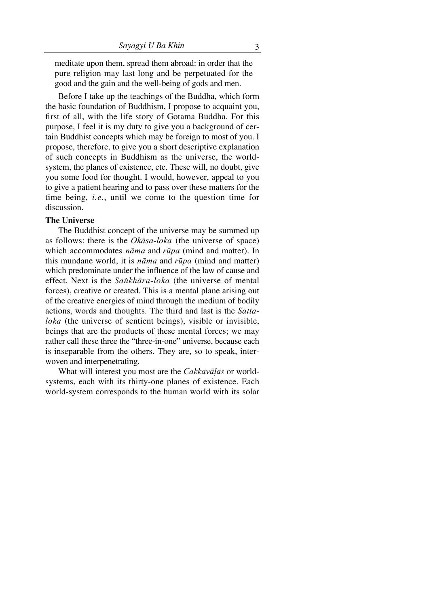meditate upon them, spread them abroad: in order that the pure religion may last long and be perpetuated for the good and the gain and the well-being of gods and men.

Before I take up the teachings of the Buddha, which form the basic foundation of Buddhism, I propose to acquaint you, first of all, with the life story of Gotama Buddha. For this purpose, I feel it is my duty to give you a background of certain Buddhist concepts which may be foreign to most of you. I propose, therefore, to give you a short descriptive explanation of such concepts in Buddhism as the universe, the worldsystem, the planes of existence, etc. These will, no doubt, give you some food for thought. I would, however, appeal to you to give a patient hearing and to pass over these matters for the time being, *i.e.*, until we come to the question time for discussion.

#### **The Universe**

The Buddhist concept of the universe may be summed up as follows: there is the Okåsa-loka (the universe of space) which accommodates  $n\bar{a}$  mand  $r\bar{u}$  (mind and matter). In this mundane world, it is  $n\bar{a}ma$  and  $r\bar{u}pa$  (mind and matter) which predominate under the influence of the law of cause and effect. Next is the *Sankhāra-loka* (the universe of mental forces), creative or created. This is a mental plane arising out of the creative energies of mind through the medium of bodily actions, words and thoughts. The third and last is the Sattaloka (the universe of sentient beings), visible or invisible, beings that are the products of these mental forces; we may rather call these three the "three-in-one" universe, because each is inseparable from the others. They are, so to speak, interwoven and interpenetrating.

What will interest you most are the *Cakkavālas* or worldsystems, each with its thirty-one planes of existence. Each world-system corresponds to the human world with its solar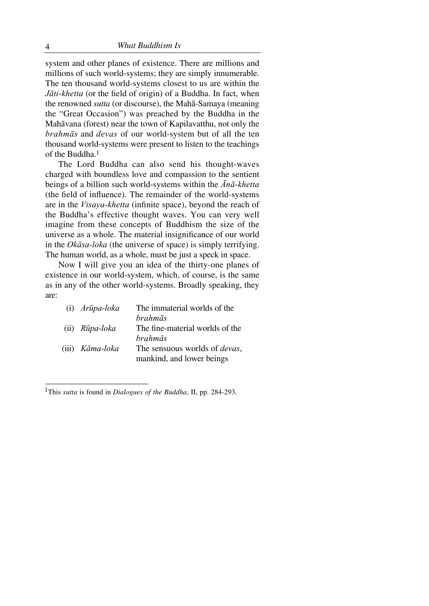system and other planes of existence. There are millions and millions of such world-systems; they are simply innumerable. The ten thousand world-systems closest to us are within the Jåti-khetta (or the field of origin) of a Buddha. In fact, when the renowned *sutta* (or discourse), the Mahå-Samaya (meaning the "Great Occasion") was preached by the Buddha in the Mahåvana (forest) near the town of Kapilavatthu, not only the brahmås and devas of our world-system but of all the ten thousand world-systems were present to listen to the teachings of the Buddha.1

The Lord Buddha can also send his thought-waves charged with boundless love and compassion to the sentient beings of a billion such world-systems within the  $\bar{A}n\bar{a}$ -khetta (the field of influence). The remainder of the world-systems are in the Visaya-khetta (infinite space), beyond the reach of the Buddha's effective thought waves. You can very well imagine from these concepts of Buddhism the size of the universe as a whole. The material insignificance of our world in the Okåsa-loka (the universe of space) is simply terrifying. The human world, as a whole, must be just a speck in space.

Now I will give you an idea of the thirty-one planes of existence in our world-system, which, of course, is the same as in any of the other world-systems. Broadly speaking, they are:

| (i) Arūpa-loka  | The immaterial worlds of the                                       |
|-----------------|--------------------------------------------------------------------|
|                 | brahmās                                                            |
| (ii) Rūpa-loka  | The fine-material worlds of the                                    |
|                 | brahmās                                                            |
| (iii) Kāma-loka | The sensuous worlds of <i>devas</i> ,<br>mankind, and lower beings |
|                 |                                                                    |

<sup>1</sup>This *sutta* is found in *Dialogues of the Buddha*, II, pp. 284-293.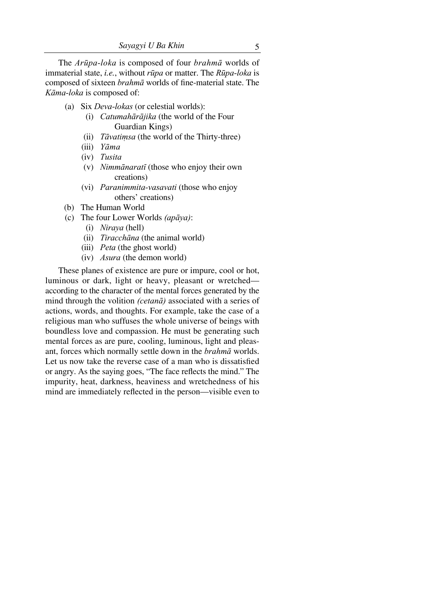The Arūpa-loka is composed of four brahmā worlds of immaterial state, *i.e.*, without *rūpa* or matter. The *Rūpa-loka* is composed of sixteen brahmå worlds of fine-material state. The Kåma-loka is composed of:

- (a) Six Deva-lokas (or celestial worlds):
	- (i) Catumahåråjika (the world of the Four Guardian Kings)
	- (ii)  $Tāvatimsa$  (the world of the Thirty-three)
	- (iii) Yåma
	- (iv) Tusita
	- (v) Nimmānaratī (those who enjoy their own creations)
	- (vi) Paranimmita-vasavati (those who enjoy others' creations)
- (b) The Human World
- (c) The four Lower Worlds (apåya):
	- (i) Niraya (hell)
	- (ii) Tiracchåna (the animal world)
	- (iii) Peta (the ghost world)
	- (iv) Asura (the demon world)

These planes of existence are pure or impure, cool or hot, luminous or dark, light or heavy, pleasant or wretched according to the character of the mental forces generated by the mind through the volition (cetana) associated with a series of actions, words, and thoughts. For example, take the case of a religious man who suffuses the whole universe of beings with boundless love and compassion. He must be generating such mental forces as are pure, cooling, luminous, light and pleasant, forces which normally settle down in the brahmå worlds. Let us now take the reverse case of a man who is dissatisfied or angry. As the saying goes, "The face reflects the mind." The impurity, heat, darkness, heaviness and wretchedness of his mind are immediately reflected in the person—visible even to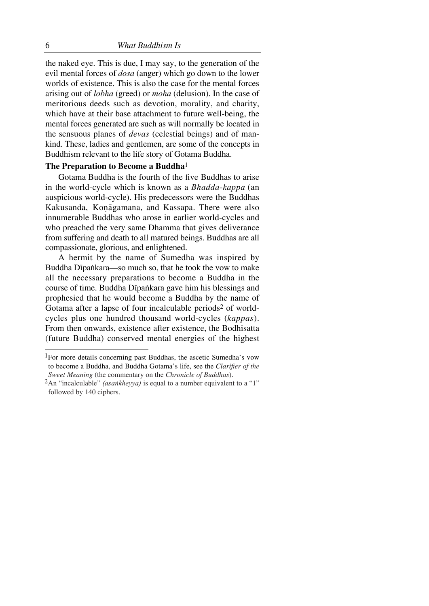the naked eye. This is due, I may say, to the generation of the evil mental forces of dosa (anger) which go down to the lower worlds of existence. This is also the case for the mental forces arising out of *lobha* (greed) or *moha* (delusion). In the case of meritorious deeds such as devotion, morality, and charity, which have at their base attachment to future well-being, the mental forces generated are such as will normally be located in the sensuous planes of devas (celestial beings) and of mankind. These, ladies and gentlemen, are some of the concepts in Buddhism relevant to the life story of Gotama Buddha.

#### **The Preparation to Become a Buddha**1

Gotama Buddha is the fourth of the five Buddhas to arise in the world-cycle which is known as a Bhadda-kappa (an auspicious world-cycle). His predecessors were the Buddhas Kakusanda, Konāgamana, and Kassapa. There were also innumerable Buddhas who arose in earlier world-cycles and who preached the very same Dhamma that gives deliverance from suffering and death to all matured beings. Buddhas are all compassionate, glorious, and enlightened.

A hermit by the name of Sumedha was inspired by Buddha Dīpañkara—so much so, that he took the vow to make all the necessary preparations to become a Buddha in the course of time. Buddha Dīpañkara gave him his blessings and prophesied that he would become a Buddha by the name of Gotama after a lapse of four incalculable periods<sup>2</sup> of worldcycles plus one hundred thousand world-cycles (*kappas*). From then onwards, existence after existence, the Bodhisatta (future Buddha) conserved mental energies of the highest

<sup>&</sup>lt;sup>1</sup>For more details concerning past Buddhas, the ascetic Sumedha's vow to become a Buddha, and Buddha Gotama's life, see the *Clarifier of the Sweet Meaning* (the commentary on the *Chronicle of Buddhas*).

<sup>&</sup>lt;sup>2</sup>An "incalculable" *(asankheyya)* is equal to a number equivalent to a "1" followed by 140 ciphers.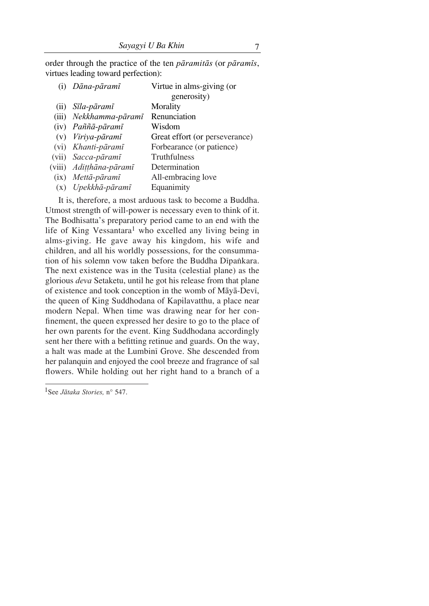order through the practice of the ten  $p\bar{a}$ ramitās (or  $p\bar{a}$ ram $\bar{i}s$ , virtues leading toward perfection):

|     | (i) Dāna-pāramī            | Virtue in alms-giving (or      |
|-----|----------------------------|--------------------------------|
|     |                            | generosity)                    |
| (i) | Sīla-pāramī                | Morality                       |
|     | (iii) Nekkhamma-pāramī     | Renunciation                   |
|     | (iv) Paññā-pāramī          | Wisdom                         |
|     | (v) Viriya-pāramī          | Great effort (or perseverance) |
|     | (vi) Khanti-pāramī         | Forbearance (or patience)      |
|     | (vii) Sacca-pāramī         | Truthfulness                   |
|     | (viii) Aditthāna-pāramī    | Determination                  |
|     | $(ix)$ <i>Mettā-pāramī</i> | All-embracing love             |
| (x) | Upekkhā-pāramī             | Equanimity                     |
|     |                            |                                |

It is, therefore, a most arduous task to become a Buddha. Utmost strength of will-power is necessary even to think of it. The Bodhisatta's preparatory period came to an end with the life of King Vessantara<sup>1</sup> who excelled any living being in alms-giving. He gave away his kingdom, his wife and children, and all his worldly possessions, for the consummation of his solemn vow taken before the Buddha Dīpankara. The next existence was in the Tusita (celestial plane) as the glorious deva Setaketu, until he got his release from that plane of existence and took conception in the womb of Māyā-Devī, the queen of King Suddhodana of Kapilavatthu, a place near modern Nepal. When time was drawing near for her confinement, the queen expressed her desire to go to the place of her own parents for the event. King Suddhodana accordingly sent her there with a befitting retinue and guards. On the way, a halt was made at the Lumbini Grove. She descended from her palanquin and enjoyed the cool breeze and fragrance of sal flowers. While holding out her right hand to a branch of a

1See Jåtaka Stories*,* n° 547.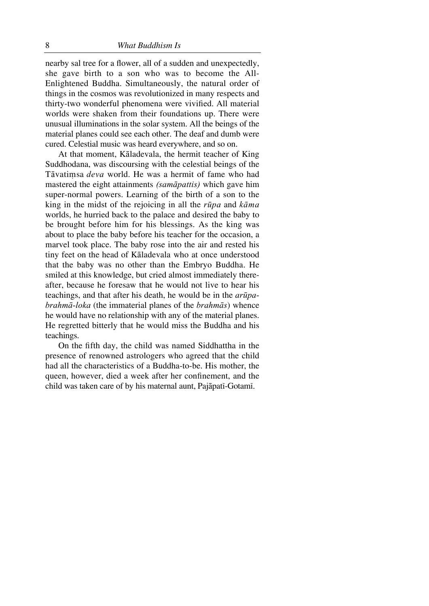nearby sal tree for a flower, all of a sudden and unexpectedly, she gave birth to a son who was to become the All-Enlightened Buddha. Simultaneously, the natural order of things in the cosmos was revolutionized in many respects and thirty-two wonderful phenomena were vivified. All material worlds were shaken from their foundations up. There were unusual illuminations in the solar system. All the beings of the material planes could see each other. The deaf and dumb were cured. Celestial music was heard everywhere, and so on.

At that moment, Kåladevala, the hermit teacher of King Suddhodana, was discoursing with the celestial beings of the Tāvatimsa *deva* world. He was a hermit of fame who had mastered the eight attainments (samåpattis) which gave him super-normal powers. Learning of the birth of a son to the king in the midst of the rejoicing in all the  $r\bar{u}pa$  and  $k\bar{a}ma$ worlds, he hurried back to the palace and desired the baby to be brought before him for his blessings. As the king was about to place the baby before his teacher for the occasion, a marvel took place. The baby rose into the air and rested his tiny feet on the head of Kåladevala who at once understood that the baby was no other than the Embryo Buddha. He smiled at this knowledge, but cried almost immediately thereafter, because he foresaw that he would not live to hear his teachings, and that after his death, he would be in the *arūpa*brahmā-loka (the immaterial planes of the brahmās) whence he would have no relationship with any of the material planes. He regretted bitterly that he would miss the Buddha and his teachings.

On the fifth day, the child was named Siddhattha in the presence of renowned astrologers who agreed that the child had all the characteristics of a Buddha-to-be. His mother, the queen, however, died a week after her confinement, and the child was taken care of by his maternal aunt, Pajāpatī-Gotamī.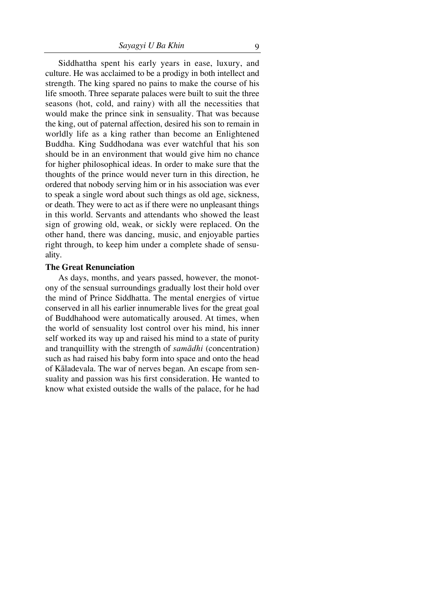Siddhattha spent his early years in ease, luxury, and culture. He was acclaimed to be a prodigy in both intellect and strength. The king spared no pains to make the course of his life smooth. Three separate palaces were built to suit the three seasons (hot, cold, and rainy) with all the necessities that would make the prince sink in sensuality. That was because the king, out of paternal affection, desired his son to remain in worldly life as a king rather than become an Enlightened Buddha. King Suddhodana was ever watchful that his son should be in an environment that would give him no chance for higher philosophical ideas. In order to make sure that the thoughts of the prince would never turn in this direction, he ordered that nobody serving him or in his association was ever to speak a single word about such things as old age, sickness, or death. They were to act as if there were no unpleasant things in this world. Servants and attendants who showed the least sign of growing old, weak, or sickly were replaced. On the other hand, there was dancing, music, and enjoyable parties right through, to keep him under a complete shade of sensuality.

#### **The Great Renunciation**

As days, months, and years passed, however, the monotony of the sensual surroundings gradually lost their hold over the mind of Prince Siddhatta. The mental energies of virtue conserved in all his earlier innumerable lives for the great goal of Buddhahood were automatically aroused. At times, when the world of sensuality lost control over his mind, his inner self worked its way up and raised his mind to a state of purity and tranquillity with the strength of *samādhi* (concentration) such as had raised his baby form into space and onto the head of Kåladevala. The war of nerves began. An escape from sensuality and passion was his first consideration. He wanted to know what existed outside the walls of the palace, for he had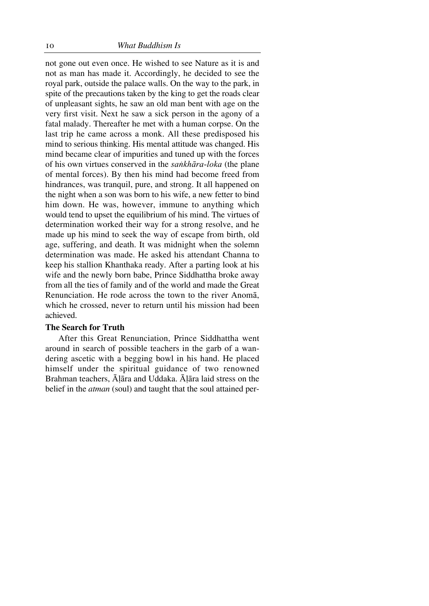not gone out even once. He wished to see Nature as it is and not as man has made it. Accordingly, he decided to see the royal park, outside the palace walls. On the way to the park, in spite of the precautions taken by the king to get the roads clear of unpleasant sights, he saw an old man bent with age on the very first visit. Next he saw a sick person in the agony of a fatal malady. Thereafter he met with a human corpse. On the last trip he came across a monk. All these predisposed his mind to serious thinking. His mental attitude was changed. His mind became clear of impurities and tuned up with the forces of his own virtues conserved in the *sankhāra-loka* (the plane of mental forces). By then his mind had become freed from hindrances, was tranquil, pure, and strong. It all happened on the night when a son was born to his wife, a new fetter to bind him down. He was, however, immune to anything which would tend to upset the equilibrium of his mind. The virtues of determination worked their way for a strong resolve, and he made up his mind to seek the way of escape from birth, old age, suffering, and death. It was midnight when the solemn determination was made. He asked his attendant Channa to keep his stallion Khanthaka ready. After a parting look at his wife and the newly born babe, Prince Siddhattha broke away from all the ties of family and of the world and made the Great Renunciation. He rode across the town to the river Anomå, which he crossed, never to return until his mission had been achieved.

### **The Search for Truth**

After this Great Renunciation, Prince Siddhattha went around in search of possible teachers in the garb of a wandering ascetic with a begging bowl in his hand. He placed himself under the spiritual guidance of two renowned Brahman teachers, Ālāra and Uddaka. Ālāra laid stress on the belief in the *atman* (soul) and taught that the soul attained per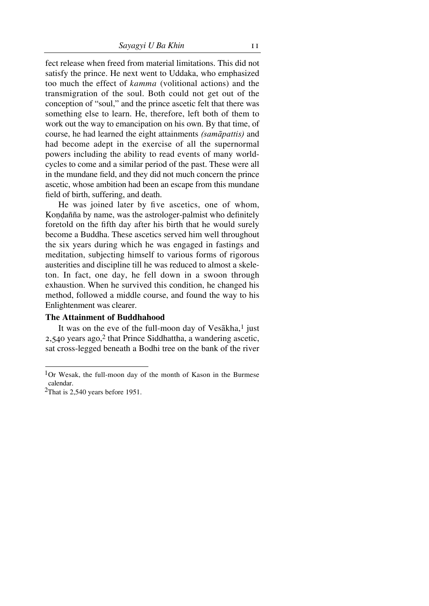fect release when freed from material limitations. This did not satisfy the prince. He next went to Uddaka, who emphasized too much the effect of *kamma* (volitional actions) and the transmigration of the soul. Both could not get out of the conception of "soul," and the prince ascetic felt that there was something else to learn. He, therefore, left both of them to work out the way to emancipation on his own. By that time, of course, he had learned the eight attainments (samåpattis) and had become adept in the exercise of all the supernormal powers including the ability to read events of many worldcycles to come and a similar period of the past. These were all in the mundane field, and they did not much concern the prince ascetic, whose ambition had been an escape from this mundane field of birth, suffering, and death.

He was joined later by five ascetics, one of whom, Kondañña by name, was the astrologer-palmist who definitely foretold on the fifth day after his birth that he would surely become a Buddha. These ascetics served him well throughout the six years during which he was engaged in fastings and meditation, subjecting himself to various forms of rigorous austerities and discipline till he was reduced to almost a skeleton. In fact, one day, he fell down in a swoon through exhaustion. When he survived this condition, he changed his method, followed a middle course, and found the way to his Enlightenment was clearer.

### **The Attainment of Buddhahood**

It was on the eve of the full-moon day of Ves $\bar{a}$ kha,<sup>1</sup> just 2,540 years ago,<sup>2</sup> that Prince Siddhattha, a wandering ascetic, sat cross-legged beneath a Bodhi tree on the bank of the river

 $1$ Or Wesak, the full-moon day of the month of Kason in the Burmese calendar.

<sup>2</sup>That is 2,540 years before 1951.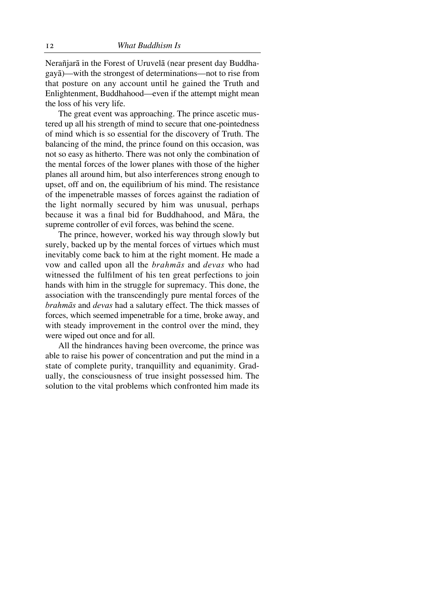Nerañjarå in the Forest of Uruvelå (near present day Buddhagayå)—with the strongest of determinations—not to rise from that posture on any account until he gained the Truth and Enlightenment, Buddhahood—even if the attempt might mean the loss of his very life.

The great event was approaching. The prince ascetic mustered up all his strength of mind to secure that one-pointedness of mind which is so essential for the discovery of Truth. The balancing of the mind, the prince found on this occasion, was not so easy as hitherto. There was not only the combination of the mental forces of the lower planes with those of the higher planes all around him, but also interferences strong enough to upset, off and on, the equilibrium of his mind. The resistance of the impenetrable masses of forces against the radiation of the light normally secured by him was unusual, perhaps because it was a final bid for Buddhahood, and Måra, the supreme controller of evil forces, was behind the scene.

The prince, however, worked his way through slowly but surely, backed up by the mental forces of virtues which must inevitably come back to him at the right moment. He made a vow and called upon all the brahmås and devas who had witnessed the fulfilment of his ten great perfections to join hands with him in the struggle for supremacy. This done, the association with the transcendingly pure mental forces of the brahmås and devas had a salutary effect. The thick masses of forces, which seemed impenetrable for a time, broke away, and with steady improvement in the control over the mind, they were wiped out once and for all.

All the hindrances having been overcome, the prince was able to raise his power of concentration and put the mind in a state of complete purity, tranquillity and equanimity. Gradually, the consciousness of true insight possessed him. The solution to the vital problems which confronted him made its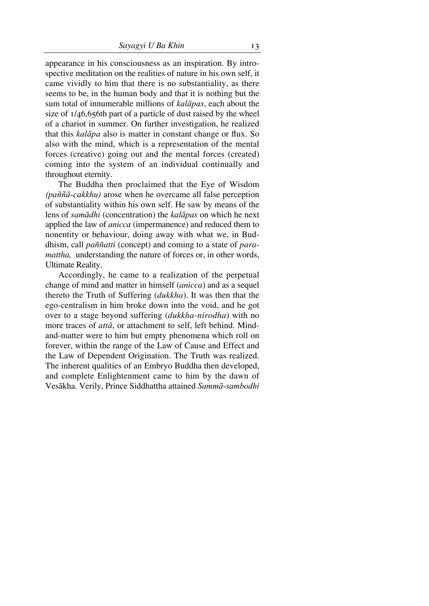appearance in his consciousness as an inspiration. By introspective meditation on the realities of nature in his own self, it came vividly to him that there is no substantiality, as there seems to be, in the human body and that it is nothing but the sum total of innumerable millions of kalāpas, each about the size of  $1/46,656$ th part of a particle of dust raised by the wheel of a chariot in summer. On further investigation, he realized that this kalåpa also is matter in constant change or flux. So also with the mind, which is a representation of the mental forces (creative) going out and the mental forces (created) coming into the system of an individual continually and throughout eternity.

The Buddha then proclaimed that the Eye of Wisdom (paññå-cakkhu) arose when he overcame all false perception of substantiality within his own self. He saw by means of the lens of samādhi (concentration) the kalāpas on which he next applied the law of anicca (impermanence) and reduced them to nonentity or behaviour, doing away with what we, in Buddhism, call *paññatti* (concept) and coming to a state of *paramattha,* understanding the nature of forces or, in other words, Ultimate Reality.

Accordingly, he came to a realization of the perpetual change of mind and matter in himself (*anicca*) and as a sequel thereto the Truth of Suffering (*dukkha*). It was then that the ego-centralism in him broke down into the void, and he got over to a stage beyond suffering (*dukkha-nirodha*) with no more traces of attå, or attachment to self, left behind. Mindand-matter were to him but empty phenomena which roll on forever, within the range of the Law of Cause and Effect and the Law of Dependent Origination. The Truth was realized. The inherent qualities of an Embryo Buddha then developed, and complete Enlightenment came to him by the dawn of Vesåkha. Verily, Prince Siddhattha attained Sammå-sambodhi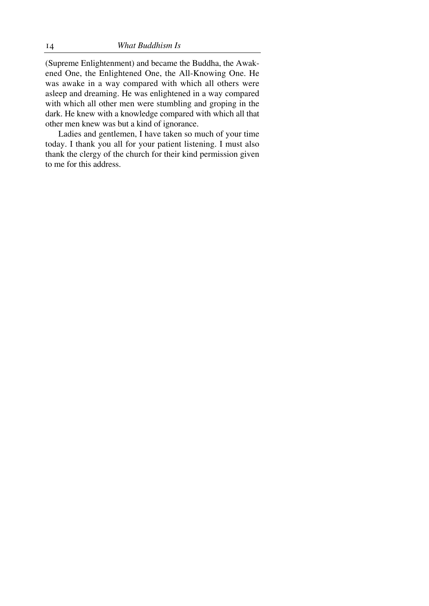(Supreme Enlightenment) and became the Buddha, the Awakened One, the Enlightened One, the All-Knowing One. He was awake in a way compared with which all others were asleep and dreaming. He was enlightened in a way compared with which all other men were stumbling and groping in the dark. He knew with a knowledge compared with which all that other men knew was but a kind of ignorance.

Ladies and gentlemen, I have taken so much of your time today. I thank you all for your patient listening. I must also thank the clergy of the church for their kind permission given to me for this address.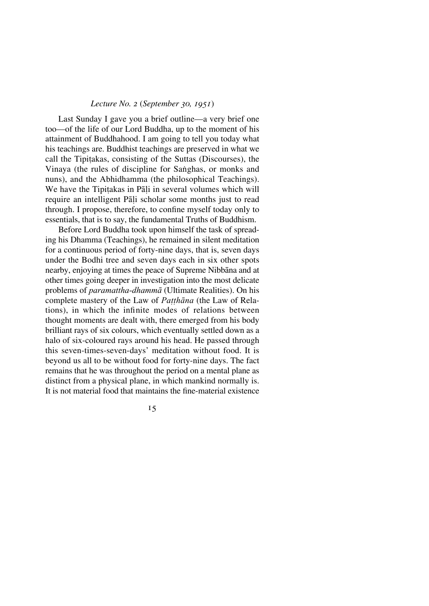## *Lecture No. 2* (*September 30, 1951*)

Last Sunday I gave you a brief outline—a very brief one too—of the life of our Lord Buddha, up to the moment of his attainment of Buddhahood. I am going to tell you today what his teachings are. Buddhist teachings are preserved in what we call the Tipitakas, consisting of the Suttas (Discourses), the Vinaya (the rules of discipline for Sanghas, or monks and nuns), and the Abhidhamma (the philosophical Teachings). We have the Tipitakas in Pāli in several volumes which will require an intelligent Pāli scholar some months just to read through. I propose, therefore, to confine myself today only to essentials, that is to say, the fundamental Truths of Buddhism.

Before Lord Buddha took upon himself the task of spreading his Dhamma (Teachings), he remained in silent meditation for a continuous period of forty-nine days, that is, seven days under the Bodhi tree and seven days each in six other spots nearby, enjoying at times the peace of Supreme Nibbåna and at other times going deeper in investigation into the most delicate problems of paramattha-dhammå (Ultimate Realities). On his complete mastery of the Law of Patthana (the Law of Relations), in which the infinite modes of relations between thought moments are dealt with, there emerged from his body brilliant rays of six colours, which eventually settled down as a halo of six-coloured rays around his head. He passed through this seven-times-seven-days' meditation without food. It is beyond us all to be without food for forty-nine days. The fact remains that he was throughout the period on a mental plane as distinct from a physical plane, in which mankind normally is. It is not material food that maintains the fine-material existence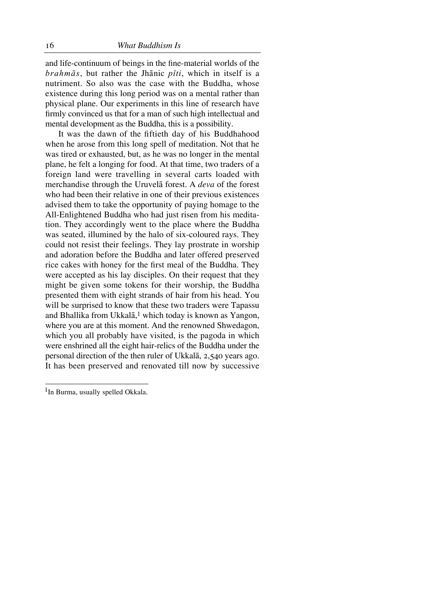and life-continuum of beings in the fine-material worlds of the  $branchm\bar{a}s$ , but rather the Jhānic pīti, which in itself is a nutriment. So also was the case with the Buddha, whose existence during this long period was on a mental rather than physical plane. Our experiments in this line of research have firmly convinced us that for a man of such high intellectual and mental development as the Buddha, this is a possibility.

It was the dawn of the fiftieth day of his Buddhahood when he arose from this long spell of meditation. Not that he was tired or exhausted, but, as he was no longer in the mental plane, he felt a longing for food. At that time, two traders of a foreign land were travelling in several carts loaded with merchandise through the Uruvelå forest. A *deva* of the forest who had been their relative in one of their previous existences advised them to take the opportunity of paying homage to the All-Enlightened Buddha who had just risen from his meditation. They accordingly went to the place where the Buddha was seated, illumined by the halo of six-coloured rays. They could not resist their feelings. They lay prostrate in worship and adoration before the Buddha and later offered preserved rice cakes with honey for the first meal of the Buddha. They were accepted as his lay disciples. On their request that they might be given some tokens for their worship, the Buddha presented them with eight strands of hair from his head. You will be surprised to know that these two traders were Tapassu and Bhallika from Ukkalå, 1 which today is known as Yangon, where you are at this moment. And the renowned Shwedagon, which you all probably have visited, is the pagoda in which were enshrined all the eight hair-relics of the Buddha under the personal direction of the then ruler of Ukkalå, 2,540 years ago. It has been preserved and renovated till now by successive

<sup>&</sup>lt;sup>1</sup>In Burma, usually spelled Okkala.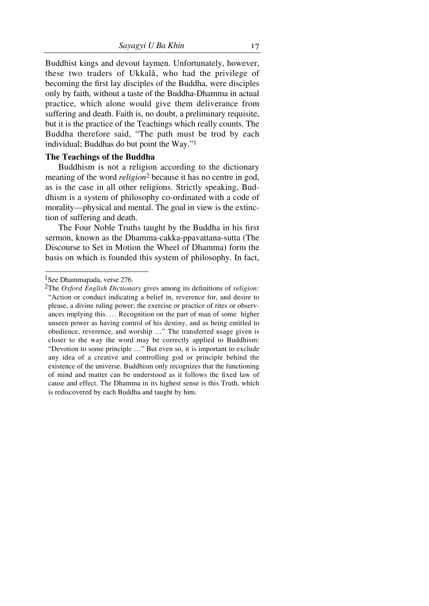Buddhist kings and devout laymen. Unfortunately, however, these two traders of Ukkalå, who had the privilege of becoming the first lay disciples of the Buddha, were disciples only by faith, without a taste of the Buddha-Dhamma in actual practice, which alone would give them deliverance from suffering and death. Faith is, no doubt, a preliminary requisite, but it is the practice of the Teachings which really counts. The Buddha therefore said, "The path must be trod by each individual; Buddhas do but point the Way."1

### **The Teachings of the Buddha**

Buddhism is not a religion according to the dictionary meaning of the word *religion*2 because it has no centre in god, as is the case in all other religions. Strictly speaking, Buddhism is a system of philosophy co-ordinated with a code of morality—physical and mental. The goal in view is the extinction of suffering and death.

The Four Noble Truths taught by the Buddha in his first sermon, known as the Dhamma-cakka-ppavattana-sutta (The Discourse to Set in Motion the Wheel of Dhamma) form the basis on which is founded this system of philosophy. In fact,

<sup>&</sup>lt;sup>1</sup>See Dhammapada, verse 276.

<sup>2</sup>The *Oxford English Dictionary* gives among its definitions of *religion:* "Action or conduct indicating a belief in, reverence for, and desire to please, a divine ruling power; the exercise or practice of rites or observances implying this. … Recognition on the part of man of some higher unseen power as having control of his destiny, and as being entitled to obedience, reverence, and worship …" The transferred usage given is closer to the way the word may be correctly applied to Buddhism: "Devotion to some principle …" But even so, it is important to exclude any idea of a creative and controlling god or principle behind the existence of the universe. Buddhism only recognizes that the functioning of mind and matter can be understood as it follows the fixed law of cause and effect. The Dhamma in its highest sense is this Truth, which is rediscovered by each Buddha and taught by him.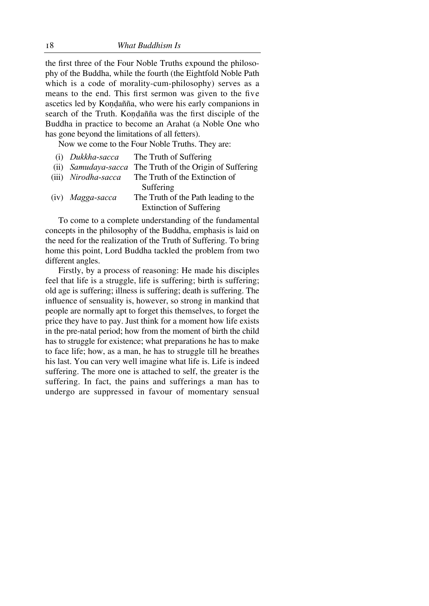the first three of the Four Noble Truths expound the philosophy of the Buddha, while the fourth (the Eightfold Noble Path which is a code of morality-cum-philosophy) serves as a means to the end. This first sermon was given to the five ascetics led by Kondañña, who were his early companions in search of the Truth. Kondañña was the first disciple of the Buddha in practice to become an Arahat (a Noble One who has gone beyond the limitations of all fetters).

Now we come to the Four Noble Truths. They are:

|      | (i) Dukkha-sacca    | The Truth of Suffering               |
|------|---------------------|--------------------------------------|
| (ii) | Samudaya-sacca      | The Truth of the Origin of Suffering |
|      | (iii) Nirodha-sacca | The Truth of the Extinction of       |
|      |                     | Suffering                            |
|      | (iv) Magga-sacca    | The Truth of the Path leading to the |
|      |                     | <b>Extinction of Suffering</b>       |

To come to a complete understanding of the fundamental concepts in the philosophy of the Buddha, emphasis is laid on the need for the realization of the Truth of Suffering. To bring home this point, Lord Buddha tackled the problem from two different angles.

Firstly, by a process of reasoning: He made his disciples feel that life is a struggle, life is suffering; birth is suffering; old age is suffering; illness is suffering; death is suffering. The influence of sensuality is, however, so strong in mankind that people are normally apt to forget this themselves, to forget the price they have to pay. Just think for a moment how life exists in the pre-natal period; how from the moment of birth the child has to struggle for existence; what preparations he has to make to face life; how, as a man, he has to struggle till he breathes his last. You can very well imagine what life is. Life is indeed suffering. The more one is attached to self, the greater is the suffering. In fact, the pains and sufferings a man has to undergo are suppressed in favour of momentary sensual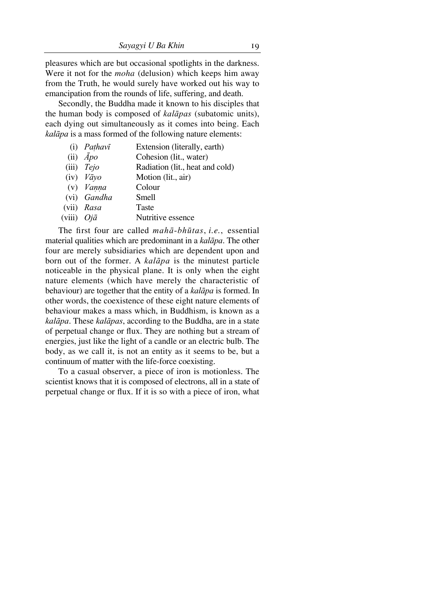pleasures which are but occasional spotlights in the darkness. Were it not for the *moha* (delusion) which keeps him away from the Truth, he would surely have worked out his way to emancipation from the rounds of life, suffering, and death.

Secondly, the Buddha made it known to his disciples that the human body is composed of kalāpas (subatomic units), each dying out simultaneously as it comes into being. Each kalåpa is a mass formed of the following nature elements:

|                      | (i) Pathavī         | Extension (literally, earth)    |
|----------------------|---------------------|---------------------------------|
|                      | (ii) $\bar{Ap}$     | Cohesion (lit., water)          |
|                      | $(iii)$ <i>Tejo</i> | Radiation (lit., heat and cold) |
|                      | $(iv)$ $V\bar{a}yo$ | Motion (lit., air)              |
|                      | $(v)$ Vanna         | Colour                          |
|                      | (vi) Gandha         | Smell                           |
|                      | (vii) Rasa          | Taste                           |
| $(viii)$ $Oj\bar{a}$ |                     | Nutritive essence               |
|                      |                     |                                 |

The first four are called *mahā-bhūtas*, *i.e.*, essential material qualities which are predominant in a kalāpa. The other four are merely subsidiaries which are dependent upon and born out of the former. A kalāpa is the minutest particle noticeable in the physical plane. It is only when the eight nature elements (which have merely the characteristic of behaviour) are together that the entity of a kalāpa is formed. In other words, the coexistence of these eight nature elements of behaviour makes a mass which, in Buddhism, is known as a kalåpa. These kalåpas, according to the Buddha, are in a state of perpetual change or flux. They are nothing but a stream of energies, just like the light of a candle or an electric bulb. The body, as we call it, is not an entity as it seems to be, but a continuum of matter with the life-force coexisting.

To a casual observer, a piece of iron is motionless. The scientist knows that it is composed of electrons, all in a state of perpetual change or flux. If it is so with a piece of iron, what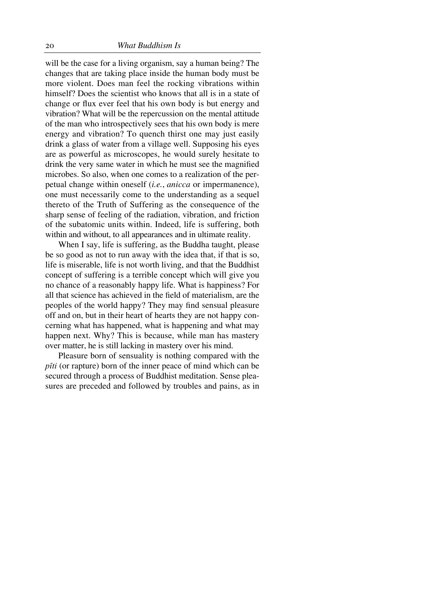will be the case for a living organism, say a human being? The changes that are taking place inside the human body must be more violent. Does man feel the rocking vibrations within himself? Does the scientist who knows that all is in a state of change or flux ever feel that his own body is but energy and vibration? What will be the repercussion on the mental attitude of the man who introspectively sees that his own body is mere energy and vibration? To quench thirst one may just easily drink a glass of water from a village well. Supposing his eyes are as powerful as microscopes, he would surely hesitate to drink the very same water in which he must see the magnified microbes. So also, when one comes to a realization of the perpetual change within oneself (*i.e.*, *anicca* or impermanence), one must necessarily come to the understanding as a sequel thereto of the Truth of Suffering as the consequence of the sharp sense of feeling of the radiation, vibration, and friction of the subatomic units within. Indeed, life is suffering, both within and without, to all appearances and in ultimate reality.

When I say, life is suffering, as the Buddha taught, please be so good as not to run away with the idea that, if that is so, life is miserable, life is not worth living, and that the Buddhist concept of suffering is a terrible concept which will give you no chance of a reasonably happy life. What is happiness? For all that science has achieved in the field of materialism, are the peoples of the world happy? They may find sensual pleasure off and on, but in their heart of hearts they are not happy concerning what has happened, what is happening and what may happen next. Why? This is because, while man has mastery over matter, he is still lacking in mastery over his mind.

Pleasure born of sensuality is nothing compared with the  $p$ *iti* (or rapture) born of the inner peace of mind which can be secured through a process of Buddhist meditation. Sense pleasures are preceded and followed by troubles and pains, as in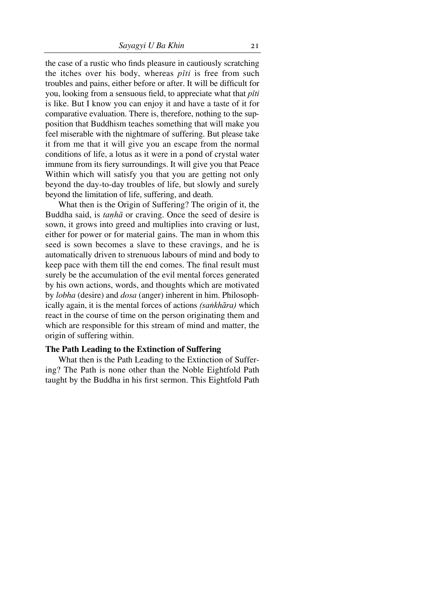the case of a rustic who finds pleasure in cautiously scratching the itches over his body, whereas  $pi$ i is free from such troubles and pains, either before or after. It will be difficult for you, looking from a sensuous field, to appreciate what that piti is like. But I know you can enjoy it and have a taste of it for comparative evaluation. There is, therefore, nothing to the supposition that Buddhism teaches something that will make you feel miserable with the nightmare of suffering. But please take it from me that it will give you an escape from the normal conditions of life, a lotus as it were in a pond of crystal water immune from its fiery surroundings. It will give you that Peace Within which will satisfy you that you are getting not only beyond the day-to-day troubles of life, but slowly and surely beyond the limitation of life, suffering, and death.

What then is the Origin of Suffering? The origin of it, the Buddha said, is  $tanh\bar{a}$  or craving. Once the seed of desire is sown, it grows into greed and multiplies into craving or lust, either for power or for material gains. The man in whom this seed is sown becomes a slave to these cravings, and he is automatically driven to strenuous labours of mind and body to keep pace with them till the end comes. The final result must surely be the accumulation of the evil mental forces generated by his own actions, words, and thoughts which are motivated by *lobha* (desire) and *dosa* (anger) inherent in him. Philosophically again, it is the mental forces of actions *(sankhāra)* which react in the course of time on the person originating them and which are responsible for this stream of mind and matter, the origin of suffering within.

### **The Path Leading to the Extinction of Suffering**

What then is the Path Leading to the Extinction of Suffering? The Path is none other than the Noble Eightfold Path taught by the Buddha in his first sermon. This Eightfold Path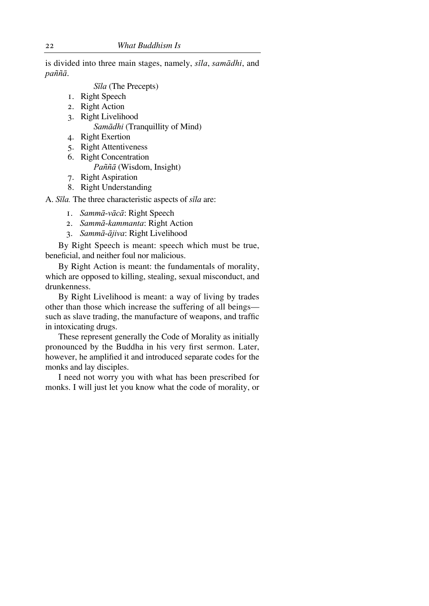is divided into three main stages, namely, sila, samādhi, and paññå.

Sīla (The Precepts)

- 1. Right Speech
- 2. Right Action
- 3. Right Livelihood Samådhi (Tranquillity of Mind)
- 4. Right Exertion
- 5. Right Attentiveness
- 6. Right Concentration Paññå (Wisdom, Insight)
- 7. Right Aspiration
- 8. Right Understanding

A. Sila. The three characteristic aspects of sila are:

- 1. Sammå-våcå: Right Speech
- 2. Sammå-kammanta: Right Action
- 3. Sammå-åjiva: Right Livelihood

By Right Speech is meant: speech which must be true, beneficial, and neither foul nor malicious.

By Right Action is meant: the fundamentals of morality, which are opposed to killing, stealing, sexual misconduct, and drunkenness.

By Right Livelihood is meant: a way of living by trades other than those which increase the suffering of all beings such as slave trading, the manufacture of weapons, and traffic in intoxicating drugs.

These represent generally the Code of Morality as initially pronounced by the Buddha in his very first sermon. Later, however, he amplified it and introduced separate codes for the monks and lay disciples.

I need not worry you with what has been prescribed for monks. I will just let you know what the code of morality, or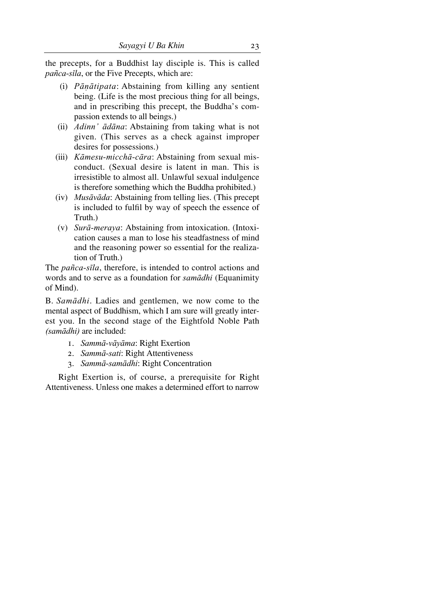the precepts, for a Buddhist lay disciple is. This is called pañca-sīla, or the Five Precepts, which are:

- (i)  $P\bar{a}n\bar{a}tipata$ : Abstaining from killing any sentient being. (Life is the most precious thing for all beings, and in prescribing this precept, the Buddha's compassion extends to all beings.)
- (ii) Adinn' ådåna: Abstaining from taking what is not given. (This serves as a check against improper desires for possessions.)
- (iii) Kåmesu-micchå-cåra: Abstaining from sexual misconduct. (Sexual desire is latent in man. This is irresistible to almost all. Unlawful sexual indulgence is therefore something which the Buddha prohibited.)
- (iv) Musåvåda: Abstaining from telling lies. (This precept is included to fulfil by way of speech the essence of Truth.)
- (v) Surå-meraya: Abstaining from intoxication. (Intoxication causes a man to lose his steadfastness of mind and the reasoning power so essential for the realization of Truth.)

The *pañca-sīla*, therefore, is intended to control actions and words and to serve as a foundation for samādhi (Equanimity of Mind).

B. Samådhi. Ladies and gentlemen, we now come to the mental aspect of Buddhism, which I am sure will greatly interest you. In the second stage of the Eightfold Noble Path (samådhi) are included:

- 1. Sammå-våyåma: Right Exertion
- 2. Sammå-sati: Right Attentiveness
- 3. Sammå-samådhi: Right Concentration

Right Exertion is, of course, a prerequisite for Right Attentiveness. Unless one makes a determined effort to narrow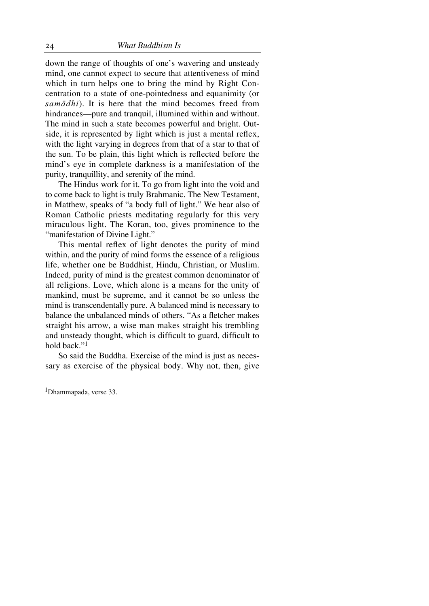down the range of thoughts of one's wavering and unsteady mind, one cannot expect to secure that attentiveness of mind which in turn helps one to bring the mind by Right Concentration to a state of one-pointedness and equanimity (or samādhi). It is here that the mind becomes freed from hindrances—pure and tranquil, illumined within and without. The mind in such a state becomes powerful and bright. Outside, it is represented by light which is just a mental reflex, with the light varying in degrees from that of a star to that of the sun. To be plain, this light which is reflected before the mind's eye in complete darkness is a manifestation of the purity, tranquillity, and serenity of the mind.

The Hindus work for it. To go from light into the void and to come back to light is truly Brahmanic. The New Testament, in Matthew, speaks of "a body full of light." We hear also of Roman Catholic priests meditating regularly for this very miraculous light. The Koran, too, gives prominence to the "manifestation of Divine Light."

This mental reflex of light denotes the purity of mind within, and the purity of mind forms the essence of a religious life, whether one be Buddhist, Hindu, Christian, or Muslim. Indeed, purity of mind is the greatest common denominator of all religions. Love, which alone is a means for the unity of mankind, must be supreme, and it cannot be so unless the mind is transcendentally pure. A balanced mind is necessary to balance the unbalanced minds of others. "As a fletcher makes straight his arrow, a wise man makes straight his trembling and unsteady thought, which is difficult to guard, difficult to hold back."1

So said the Buddha. Exercise of the mind is just as necessary as exercise of the physical body. Why not, then, give

<sup>1</sup>Dhammapada, verse 33.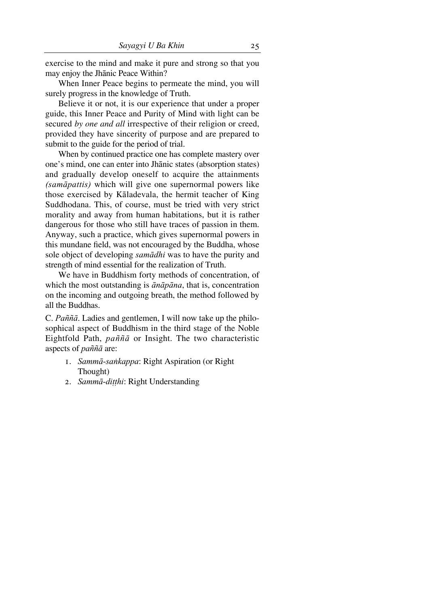exercise to the mind and make it pure and strong so that you may enjoy the Jhånic Peace Within?

When Inner Peace begins to permeate the mind, you will surely progress in the knowledge of Truth.

Believe it or not, it is our experience that under a proper guide, this Inner Peace and Purity of Mind with light can be secured *by one and all* irrespective of their religion or creed, provided they have sincerity of purpose and are prepared to submit to the guide for the period of trial.

When by continued practice one has complete mastery over one's mind, one can enter into Jhånic states (absorption states) and gradually develop oneself to acquire the attainments (samåpattis) which will give one supernormal powers like those exercised by Kåladevala, the hermit teacher of King Suddhodana. This, of course, must be tried with very strict morality and away from human habitations, but it is rather dangerous for those who still have traces of passion in them. Anyway, such a practice, which gives supernormal powers in this mundane field, was not encouraged by the Buddha, whose sole object of developing samādhi was to have the purity and strength of mind essential for the realization of Truth.

We have in Buddhism forty methods of concentration, of which the most outstanding is  $\bar{a}n\bar{a}p\bar{a}na$ , that is, concentration on the incoming and outgoing breath, the method followed by all the Buddhas.

C. Paññå. Ladies and gentlemen, I will now take up the philosophical aspect of Buddhism in the third stage of the Noble Eightfold Path, paññå or Insight. The two characteristic aspects of paññå are:

- 1. Sammā-sankappa: Right Aspiration (or Right Thought)
- 2. Sammā-ditthi: Right Understanding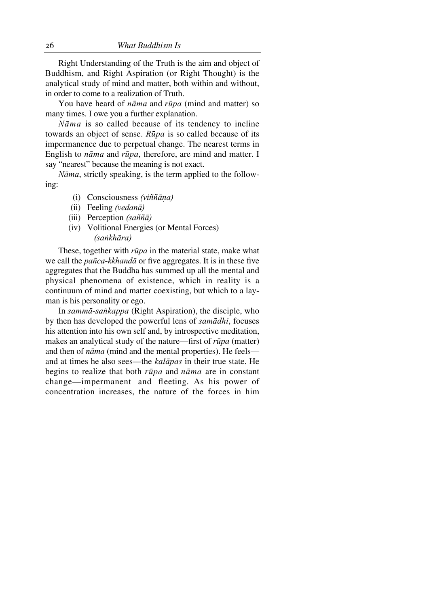Right Understanding of the Truth is the aim and object of Buddhism, and Right Aspiration (or Right Thought) is the analytical study of mind and matter, both within and without, in order to come to a realization of Truth.

You have heard of  $n\bar{a}$  mand  $r\bar{u}$  mand and matter) so many times. I owe you a further explanation.

Nåma is so called because of its tendency to incline towards an object of sense.  $R\bar{u}pa$  is so called because of its impermanence due to perpetual change. The nearest terms in English to  $n\bar{a}$  and  $r\bar{u}pa$ , therefore, are mind and matter. I say "nearest" because the meaning is not exact.

Nåma, strictly speaking, is the term applied to the following:

- (i) Consciousness  $(viiññāna)$
- (ii) Feeling (vedanå)
- (iii) Perception (saññå)
- (iv) Volitional Energies (or Mental Forces) (sa∫khåra)

These, together with  $r\bar{u}pa$  in the material state, make what we call the *pañca-kkhandā* or five aggregates. It is in these five aggregates that the Buddha has summed up all the mental and physical phenomena of existence, which in reality is a continuum of mind and matter coexisting, but which to a layman is his personality or ego.

In sammā-sankappa (Right Aspiration), the disciple, who by then has developed the powerful lens of samādhi, focuses his attention into his own self and, by introspective meditation, makes an analytical study of the nature—first of  $r\bar{u}pa$  (matter) and then of *nāma* (mind and the mental properties). He feels and at times he also sees—the kalåpas in their true state. He begins to realize that both  $r\bar{u}pa$  and  $n\bar{a}ma$  are in constant change—impermanent and fleeting. As his power of concentration increases, the nature of the forces in him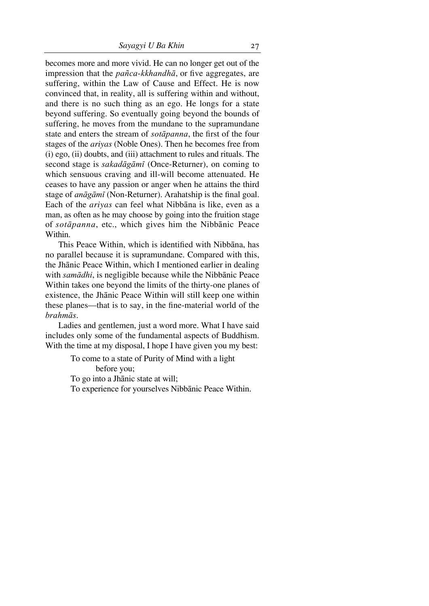becomes more and more vivid. He can no longer get out of the impression that the  $pa\tilde{n}ca - k\tilde{k}handh\tilde{a}$ , or five aggregates, are suffering, within the Law of Cause and Effect. He is now convinced that, in reality, all is suffering within and without, and there is no such thing as an ego. He longs for a state beyond suffering. So eventually going beyond the bounds of suffering, he moves from the mundane to the supramundane state and enters the stream of sotåpanna, the first of the four stages of the *ariyas* (Noble Ones). Then he becomes free from (i) ego, (ii) doubts, and (iii) attachment to rules and rituals. The second stage is sakadāgāmī (Once-Returner), on coming to which sensuous craving and ill-will become attenuated. He ceases to have any passion or anger when he attains the third stage of anāgāmī (Non-Returner). Arahatship is the final goal. Each of the *ariyas* can feel what Nibbåna is like, even as a man, as often as he may choose by going into the fruition stage of sotåpanna, etc., which gives him the Nibbånic Peace Within.

This Peace Within, which is identified with Nibbåna, has no parallel because it is supramundane. Compared with this, the Jhånic Peace Within, which I mentioned earlier in dealing with *samādhi*, is negligible because while the Nibbānic Peace Within takes one beyond the limits of the thirty-one planes of existence, the Jhånic Peace Within will still keep one within these planes—that is to say, in the fine-material world of the brahmås.

Ladies and gentlemen, just a word more. What I have said includes only some of the fundamental aspects of Buddhism. With the time at my disposal, I hope I have given you my best:

> To come to a state of Purity of Mind with a light before you;

To go into a Jhånic state at will;

To experience for yourselves Nibbånic Peace Within.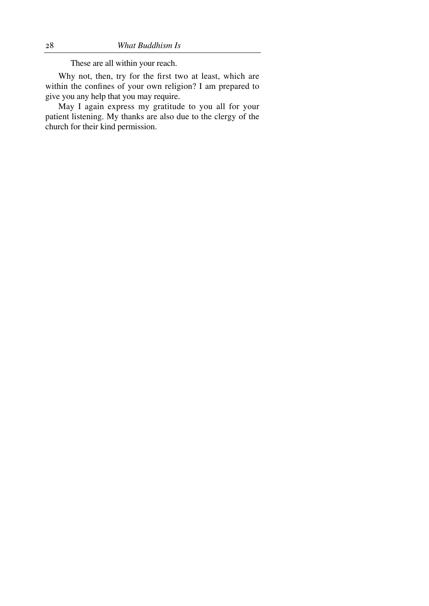These are all within your reach.

Why not, then, try for the first two at least, which are within the confines of your own religion? I am prepared to give you any help that you may require.

May I again express my gratitude to you all for your patient listening. My thanks are also due to the clergy of the church for their kind permission.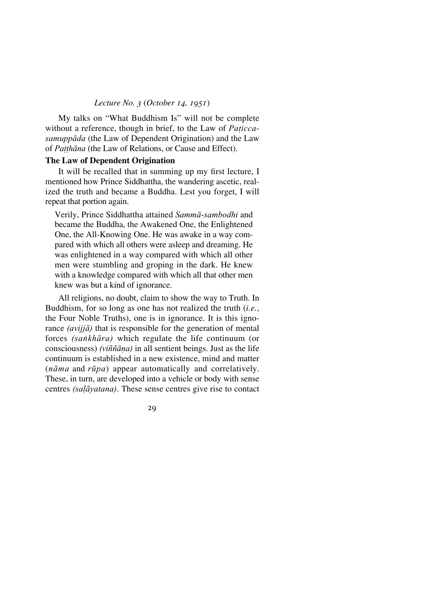## *Lecture No. 3* (*October 14, 1951*)

My talks on "What Buddhism Is" will not be complete without a reference, though in brief, to the Law of *Paticca*samuppāda (the Law of Dependent Origination) and the Law of Patthāna (the Law of Relations, or Cause and Effect).

#### **The Law of Dependent Origination**

It will be recalled that in summing up my first lecture, I mentioned how Prince Siddhattha, the wandering ascetic, realized the truth and became a Buddha. Lest you forget, I will repeat that portion again.

Verily, Prince Siddhattha attained Sammå-sambodhi and became the Buddha, the Awakened One, the Enlightened One, the All-Knowing One. He was awake in a way compared with which all others were asleep and dreaming. He was enlightened in a way compared with which all other men were stumbling and groping in the dark. He knew with a knowledge compared with which all that other men knew was but a kind of ignorance.

All religions, no doubt, claim to show the way to Truth. In Buddhism, for so long as one has not realized the truth (*i.e.*, the Four Noble Truths), one is in ignorance. It is this ignorance (avijjå) that is responsible for the generation of mental forces (sankhāra) which regulate the life continuum (or consciousness) (vi $\tilde{n}$  $\tilde{a}$  $na$ ) in all sentient beings. Just as the life continuum is established in a new existence, mind and matter  $(n\bar{a}ma$  and  $r\bar{u}pa)$  appear automatically and correlatively. These, in turn, are developed into a vehicle or body with sense centres (salāyatana). These sense centres give rise to contact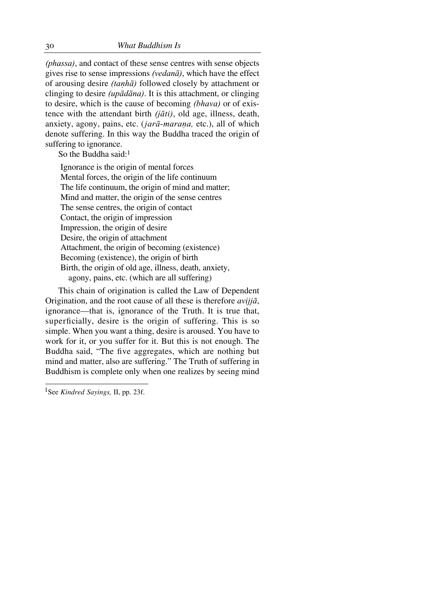(phassa), and contact of these sense centres with sense objects gives rise to sense impressions (vedan $\bar{a}$ ), which have the effect of arousing desire *(tanhā)* followed closely by attachment or clinging to desire (upådåna). It is this attachment, or clinging to desire, which is the cause of becoming (bhava) or of existence with the attendant birth  $(i\bar{a}ti)$ , old age, illness, death, anxiety, agony, pains, etc. *(jarā-marana*, etc.), all of which denote suffering. In this way the Buddha traced the origin of suffering to ignorance.

So the Buddha said: $1$ 

Ignorance is the origin of mental forces Mental forces, the origin of the life continuum The life continuum, the origin of mind and matter; Mind and matter, the origin of the sense centres The sense centres, the origin of contact Contact, the origin of impression Impression, the origin of desire Desire, the origin of attachment Attachment, the origin of becoming (existence) Becoming (existence), the origin of birth Birth, the origin of old age, illness, death, anxiety, agony, pains, etc. (which are all suffering)

This chain of origination is called the Law of Dependent Origination, and the root cause of all these is therefore  $avij\bar{a}$ , ignorance—that is, ignorance of the Truth. It is true that, superficially, desire is the origin of suffering. This is so simple. When you want a thing, desire is aroused. You have to work for it, or you suffer for it. But this is not enough. The Buddha said, "The five aggregates, which are nothing but mind and matter, also are suffering." The Truth of suffering in Buddhism is complete only when one realizes by seeing mind

<sup>1</sup>See *Kindred Sayings,* II, pp. 23f.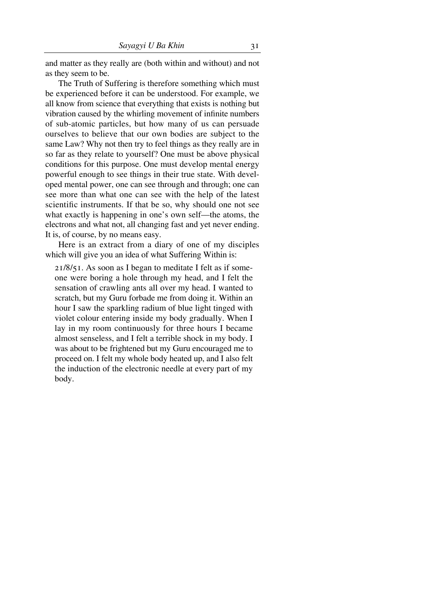and matter as they really are (both within and without) and not as they seem to be.

The Truth of Suffering is therefore something which must be experienced before it can be understood. For example, we all know from science that everything that exists is nothing but vibration caused by the whirling movement of infinite numbers of sub-atomic particles, but how many of us can persuade ourselves to believe that our own bodies are subject to the same Law? Why not then try to feel things as they really are in so far as they relate to yourself? One must be above physical conditions for this purpose. One must develop mental energy powerful enough to see things in their true state. With developed mental power, one can see through and through; one can see more than what one can see with the help of the latest scientific instruments. If that be so, why should one not see what exactly is happening in one's own self—the atoms, the electrons and what not, all changing fast and yet never ending. It is, of course, by no means easy.

Here is an extract from a diary of one of my disciples which will give you an idea of what Suffering Within is:

21/8/51. As soon as I began to meditate I felt as if someone were boring a hole through my head, and I felt the sensation of crawling ants all over my head. I wanted to scratch, but my Guru forbade me from doing it. Within an hour I saw the sparkling radium of blue light tinged with violet colour entering inside my body gradually. When I lay in my room continuously for three hours I became almost senseless, and I felt a terrible shock in my body. I was about to be frightened but my Guru encouraged me to proceed on. I felt my whole body heated up, and I also felt the induction of the electronic needle at every part of my body.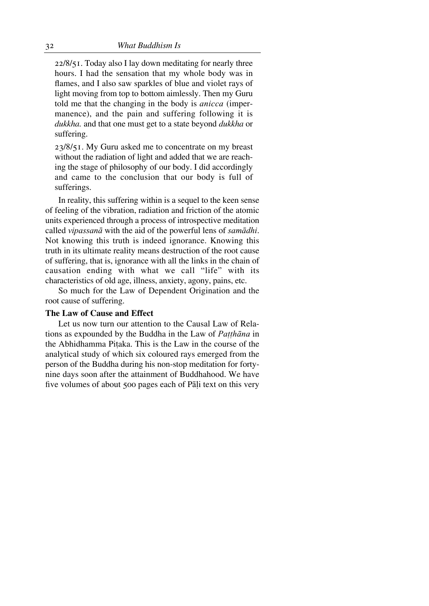22/8/51. Today also I lay down meditating for nearly three hours. I had the sensation that my whole body was in flames, and I also saw sparkles of blue and violet rays of light moving from top to bottom aimlessly. Then my Guru told me that the changing in the body is anicca (impermanence), and the pain and suffering following it is *dukkha.* and that one must get to a state beyond *dukkha* or suffering.

23/8/51. My Guru asked me to concentrate on my breast without the radiation of light and added that we are reaching the stage of philosophy of our body. I did accordingly and came to the conclusion that our body is full of sufferings.

In reality, this suffering within is a sequel to the keen sense of feeling of the vibration, radiation and friction of the atomic units experienced through a process of introspective meditation called vipassanā with the aid of the powerful lens of samādhi. Not knowing this truth is indeed ignorance. Knowing this truth in its ultimate reality means destruction of the root cause of suffering, that is, ignorance with all the links in the chain of causation ending with what we call "life" with its characteristics of old age, illness, anxiety, agony, pains, etc.

So much for the Law of Dependent Origination and the root cause of suffering.

#### **The Law of Cause and Effect**

Let us now turn our attention to the Causal Law of Relations as expounded by the Buddha in the Law of Patthana in the Abhidhamma Pi†aka. This is the Law in the course of the analytical study of which six coloured rays emerged from the person of the Buddha during his non-stop meditation for fortynine days soon after the attainment of Buddhahood. We have five volumes of about 500 pages each of Pāli text on this very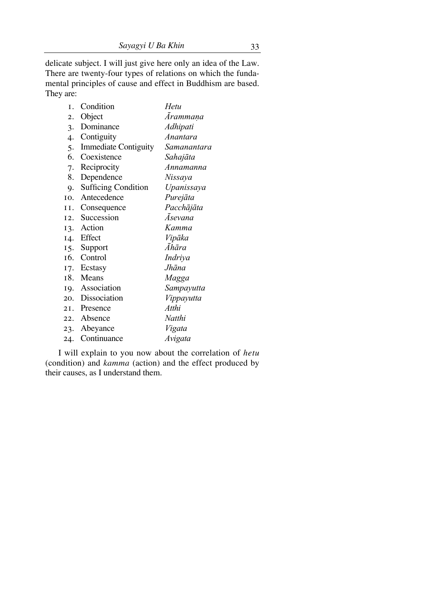delicate subject. I will just give here only an idea of the Law. There are twenty-four types of relations on which the fundamental principles of cause and effect in Buddhism are based. They are:

| I.               | Condition                   | Hetu        |
|------------------|-----------------------------|-------------|
| 2.               | Object                      | Ārammaṇa    |
| 3.               | Dominance                   | Adhipati    |
| $\ddot{4}$       | Contiguity                  | Anantara    |
| 5.               | <b>Immediate Contiguity</b> | Samanantara |
| 6.               | Coexistence                 | Sahajāta    |
| 7.               | Reciprocity                 | Annamanna   |
| 8.               | Dependence                  | Nissaya     |
| 9.               | <b>Sufficing Condition</b>  | Upanissaya  |
| I <sub>0</sub> . | Antecedence                 | Purejāta    |
| II.              | Consequence                 | Pacchājāta  |
| I2.              | Succession                  | Āsevana     |
|                  | 13. Action                  | Kamma       |
| 14.              | Effect                      | Vipāka      |
| <b>15.</b>       | Support                     | Āhāra       |
| 16.              | Control                     | Indriya     |
| I7.              | Ecstasy                     | Jhāna       |
| 18.              | Means                       | Magga       |
| 19.              | Association                 | Sampayutta  |
| 20.              | Dissociation                | Vippayutta  |
| 2I.              | Presence                    | Atthi       |
|                  | 22. Absence                 | Natthi      |
| 23.              | Abeyance                    | Vigata      |
| 24.              | Continuance                 | Avigata     |

I will explain to you now about the correlation of *hetu* (condition) and *kamma* (action) and the effect produced by their causes, as I understand them.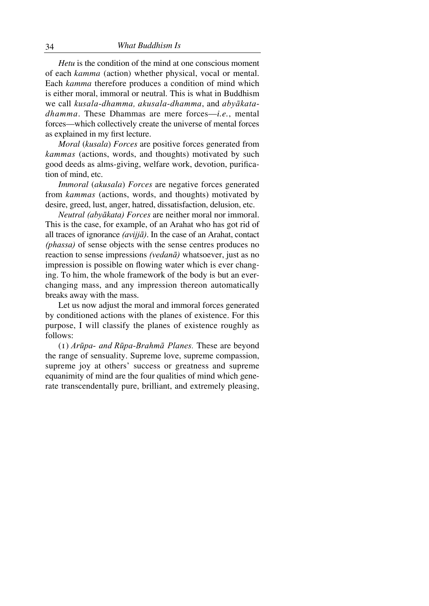*Hetu* is the condition of the mind at one conscious moment of each *kamma* (action) whether physical, vocal or mental. Each *kamma* therefore produces a condition of mind which is either moral, immoral or neutral. This is what in Buddhism we call kusala-dhamma, akusala-dhamma, and abyåkatadhamma. These Dhammas are mere forces—*i.e.*, mental forces—which collectively create the universe of mental forces as explained in my first lecture.

*Moral* (*kusala*) *Forces* are positive forces generated from kammas (actions, words, and thoughts) motivated by such good deeds as alms-giving, welfare work, devotion, purification of mind, etc.

*Immoral* (*akusala*) *Forces* are negative forces generated from kammas (actions, words, and thoughts) motivated by desire, greed, lust, anger, hatred, dissatisfaction, delusion, etc.

*Neutral* (abyåkata) *Forces* are neither moral nor immoral. This is the case, for example, of an Arahat who has got rid of all traces of ignorance  $\left(\frac{avij}{\bar{a}}\right)$ . In the case of an Arahat, contact (phassa) of sense objects with the sense centres produces no reaction to sense impressions *(vedanā)* whatsoever, just as no impression is possible on flowing water which is ever changing. To him, the whole framework of the body is but an everchanging mass, and any impression thereon automatically breaks away with the mass.

Let us now adjust the moral and immoral forces generated by conditioned actions with the planes of existence. For this purpose, I will classify the planes of existence roughly as follows:

 $(1)$  Arūpa- and Rūpa-Brahmā Planes. These are beyond the range of sensuality. Supreme love, supreme compassion, supreme joy at others' success or greatness and supreme equanimity of mind are the four qualities of mind which generate transcendentally pure, brilliant, and extremely pleasing,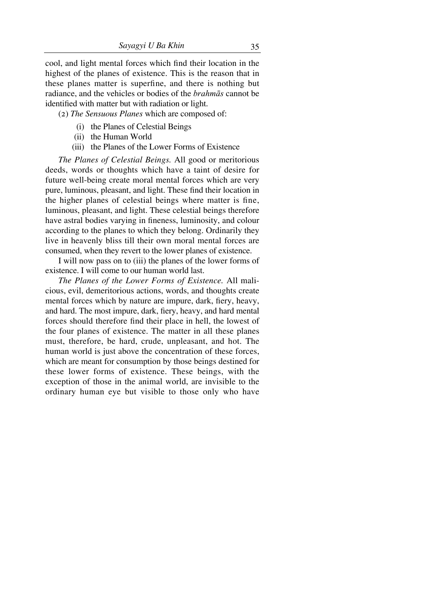cool, and light mental forces which find their location in the highest of the planes of existence. This is the reason that in these planes matter is superfine, and there is nothing but radiance, and the vehicles or bodies of the brahmås cannot be identified with matter but with radiation or light.

(2) *The Sensuous Planes* which are composed of:

- (i) the Planes of Celestial Beings
- (ii) the Human World
- (iii) the Planes of the Lower Forms of Existence

*The Planes of Celestial Beings.* All good or meritorious deeds, words or thoughts which have a taint of desire for future well-being create moral mental forces which are very pure, luminous, pleasant, and light. These find their location in the higher planes of celestial beings where matter is fine, luminous, pleasant, and light. These celestial beings therefore have astral bodies varying in fineness, luminosity, and colour according to the planes to which they belong. Ordinarily they live in heavenly bliss till their own moral mental forces are consumed, when they revert to the lower planes of existence.

I will now pass on to (iii) the planes of the lower forms of existence. I will come to our human world last.

*The Planes of the Lower Forms of Existence.* All malicious, evil, demeritorious actions, words, and thoughts create mental forces which by nature are impure, dark, fiery, heavy, and hard. The most impure, dark, fiery, heavy, and hard mental forces should therefore find their place in hell, the lowest of the four planes of existence. The matter in all these planes must, therefore, be hard, crude, unpleasant, and hot. The human world is just above the concentration of these forces, which are meant for consumption by those beings destined for these lower forms of existence. These beings, with the exception of those in the animal world, are invisible to the ordinary human eye but visible to those only who have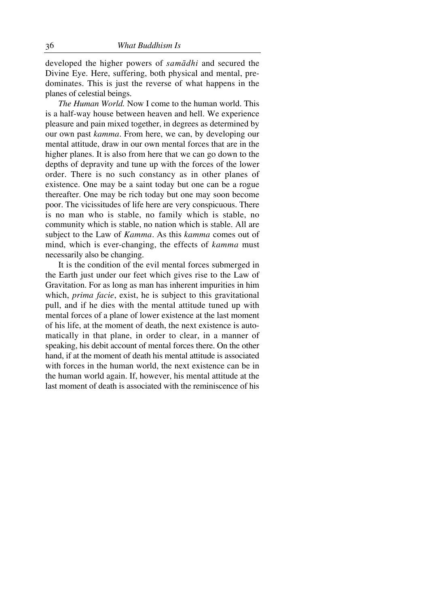developed the higher powers of samādhi and secured the Divine Eye. Here, suffering, both physical and mental, predominates. This is just the reverse of what happens in the planes of celestial beings.

*The Human World.* Now I come to the human world. This is a half-way house between heaven and hell. We experience pleasure and pain mixed together, in degrees as determined by our own past *kamma*. From here, we can, by developing our mental attitude, draw in our own mental forces that are in the higher planes. It is also from here that we can go down to the depths of depravity and tune up with the forces of the lower order. There is no such constancy as in other planes of existence. One may be a saint today but one can be a rogue thereafter. One may be rich today but one may soon become poor. The vicissitudes of life here are very conspicuous. There is no man who is stable, no family which is stable, no community which is stable, no nation which is stable. All are subject to the Law of *Kamma*. As this *kamma* comes out of mind, which is ever-changing, the effects of *kamma* must necessarily also be changing.

It is the condition of the evil mental forces submerged in the Earth just under our feet which gives rise to the Law of Gravitation. For as long as man has inherent impurities in him which, *prima facie*, exist, he is subject to this gravitational pull, and if he dies with the mental attitude tuned up with mental forces of a plane of lower existence at the last moment of his life, at the moment of death, the next existence is automatically in that plane, in order to clear, in a manner of speaking, his debit account of mental forces there. On the other hand, if at the moment of death his mental attitude is associated with forces in the human world, the next existence can be in the human world again. If, however, his mental attitude at the last moment of death is associated with the reminiscence of his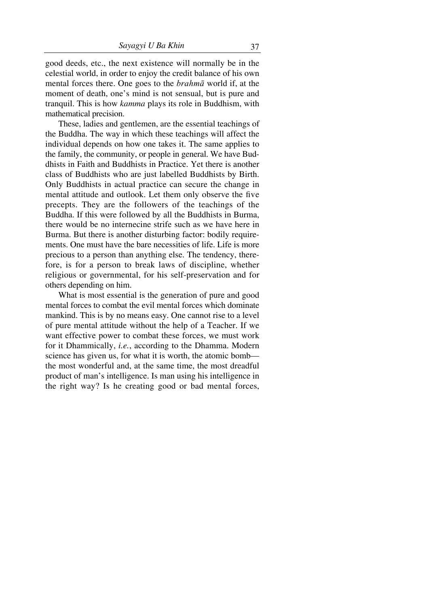good deeds, etc., the next existence will normally be in the celestial world, in order to enjoy the credit balance of his own mental forces there. One goes to the brahmå world if, at the moment of death, one's mind is not sensual, but is pure and tranquil. This is how *kamma* plays its role in Buddhism, with mathematical precision.

These, ladies and gentlemen, are the essential teachings of the Buddha. The way in which these teachings will affect the individual depends on how one takes it. The same applies to the family, the community, or people in general. We have Buddhists in Faith and Buddhists in Practice. Yet there is another class of Buddhists who are just labelled Buddhists by Birth. Only Buddhists in actual practice can secure the change in mental attitude and outlook. Let them only observe the five precepts. They are the followers of the teachings of the Buddha. If this were followed by all the Buddhists in Burma, there would be no internecine strife such as we have here in Burma. But there is another disturbing factor: bodily requirements. One must have the bare necessities of life. Life is more precious to a person than anything else. The tendency, therefore, is for a person to break laws of discipline, whether religious or governmental, for his self-preservation and for others depending on him.

What is most essential is the generation of pure and good mental forces to combat the evil mental forces which dominate mankind. This is by no means easy. One cannot rise to a level of pure mental attitude without the help of a Teacher. If we want effective power to combat these forces, we must work for it Dhammically, *i.e.*, according to the Dhamma. Modern science has given us, for what it is worth, the atomic bomb the most wonderful and, at the same time, the most dreadful product of man's intelligence. Is man using his intelligence in the right way? Is he creating good or bad mental forces,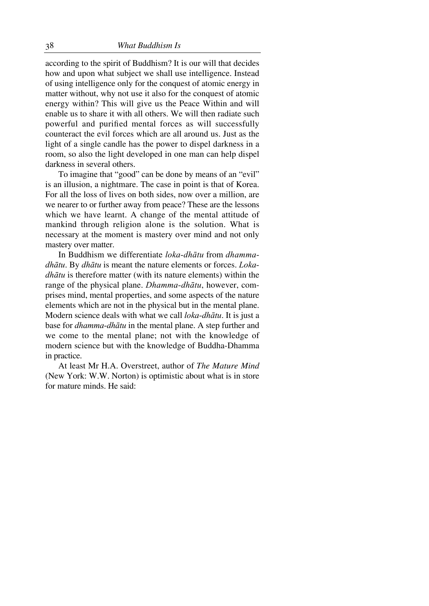according to the spirit of Buddhism? It is our will that decides how and upon what subject we shall use intelligence. Instead of using intelligence only for the conquest of atomic energy in matter without, why not use it also for the conquest of atomic energy within? This will give us the Peace Within and will enable us to share it with all others. We will then radiate such powerful and purified mental forces as will successfully counteract the evil forces which are all around us. Just as the light of a single candle has the power to dispel darkness in a room, so also the light developed in one man can help dispel darkness in several others.

To imagine that "good" can be done by means of an "evil" is an illusion, a nightmare. The case in point is that of Korea. For all the loss of lives on both sides, now over a million, are we nearer to or further away from peace? These are the lessons which we have learnt. A change of the mental attitude of mankind through religion alone is the solution. What is necessary at the moment is mastery over mind and not only mastery over matter.

In Buddhism we differentiate loka-dhåtu from dhammadhåtu. By dhåtu is meant the nature elements or forces. Lokadhåtu is therefore matter (with its nature elements) within the range of the physical plane. *Dhamma-dhātu*, however, comprises mind, mental properties, and some aspects of the nature elements which are not in the physical but in the mental plane. Modern science deals with what we call loka-dhåtu. It is just a base for dhamma-dhåtu in the mental plane. A step further and we come to the mental plane; not with the knowledge of modern science but with the knowledge of Buddha-Dhamma in practice.

At least Mr H.A. Overstreet, author of *The Mature Mind* (New York: W.W. Norton) is optimistic about what is in store for mature minds. He said: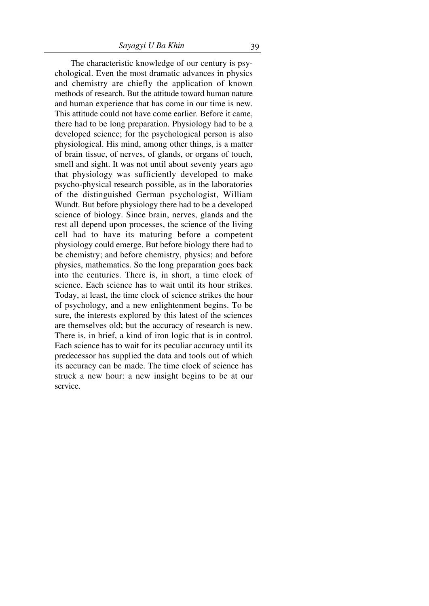The characteristic knowledge of our century is psychological. Even the most dramatic advances in physics and chemistry are chiefly the application of known methods of research. But the attitude toward human nature and human experience that has come in our time is new. This attitude could not have come earlier. Before it came, there had to be long preparation. Physiology had to be a developed science; for the psychological person is also physiological. His mind, among other things, is a matter of brain tissue, of nerves, of glands, or organs of touch, smell and sight. It was not until about seventy years ago that physiology was sufficiently developed to make psycho-physical research possible, as in the laboratories of the distinguished German psychologist, William Wundt. But before physiology there had to be a developed science of biology. Since brain, nerves, glands and the rest all depend upon processes, the science of the living cell had to have its maturing before a competent physiology could emerge. But before biology there had to be chemistry; and before chemistry, physics; and before physics, mathematics. So the long preparation goes back into the centuries. There is, in short, a time clock of science. Each science has to wait until its hour strikes. Today, at least, the time clock of science strikes the hour of psychology, and a new enlightenment begins. To be sure, the interests explored by this latest of the sciences are themselves old; but the accuracy of research is new. There is, in brief, a kind of iron logic that is in control. Each science has to wait for its peculiar accuracy until its predecessor has supplied the data and tools out of which its accuracy can be made. The time clock of science has struck a new hour: a new insight begins to be at our service.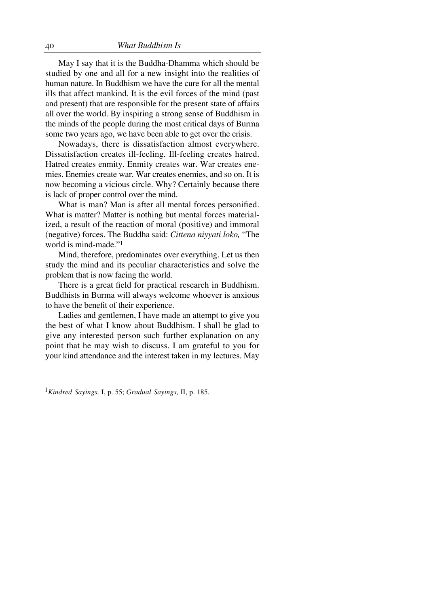May I say that it is the Buddha-Dhamma which should be studied by one and all for a new insight into the realities of human nature. In Buddhism we have the cure for all the mental ills that affect mankind. It is the evil forces of the mind (past and present) that are responsible for the present state of affairs all over the world. By inspiring a strong sense of Buddhism in the minds of the people during the most critical days of Burma some two years ago, we have been able to get over the crisis.

Nowadays, there is dissatisfaction almost everywhere. Dissatisfaction creates ill-feeling. Ill-feeling creates hatred. Hatred creates enmity. Enmity creates war. War creates enemies. Enemies create war. War creates enemies, and so on. It is now becoming a vicious circle. Why? Certainly because there is lack of proper control over the mind.

What is man? Man is after all mental forces personified. What is matter? Matter is nothing but mental forces materialized, a result of the reaction of moral (positive) and immoral (negative) forces. The Buddha said: *Cittena niyyati loko,* "The world is mind-made."1

Mind, therefore, predominates over everything. Let us then study the mind and its peculiar characteristics and solve the problem that is now facing the world.

There is a great field for practical research in Buddhism. Buddhists in Burma will always welcome whoever is anxious to have the benefit of their experience.

Ladies and gentlemen, I have made an attempt to give you the best of what I know about Buddhism. I shall be glad to give any interested person such further explanation on any point that he may wish to discuss. I am grateful to you for your kind attendance and the interest taken in my lectures. May

<sup>1</sup>*Kindred Sayings,* I, p. 55; *Gradual Sayings,* II, p. 185.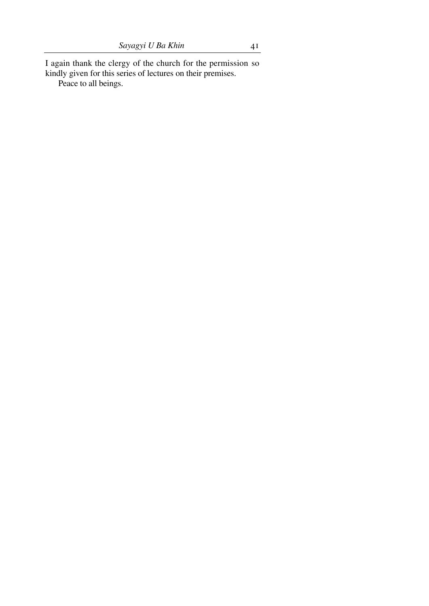I again thank the clergy of the church for the permission so kindly given for this series of lectures on their premises.

Peace to all beings.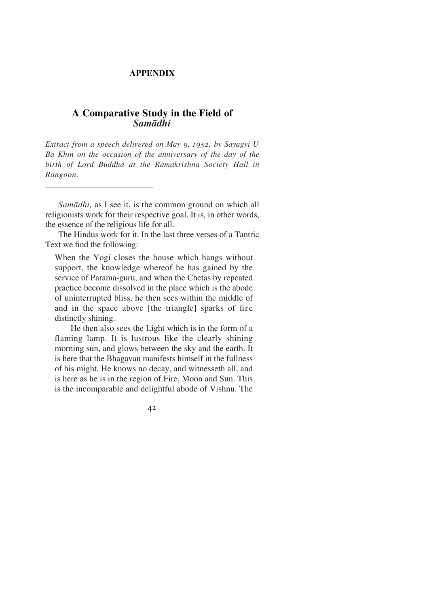#### **APPENDIX**

# **A Comparative Study in the Field of** *Samādhi*

*Extract from a speech delivered on May 9, 1952, by Sayagyi U Ba Khin on the occasion of the anniversary of the day of the birth of Lord Buddha at the Ramakrishna Society Hall in Rangoon.*

\_\_\_\_\_\_\_\_\_\_\_\_\_\_\_\_\_\_\_\_\_\_\_\_\_

*Samādhi,* as I see it, is the common ground on which all religionists work for their respective goal. It is, in other words, the essence of the religious life for all.

The Hindus work for it. In the last three verses of a Tantric Text we find the following:

When the Yogi closes the house which hangs without support, the knowledge whereof he has gained by the service of Parama-guru, and when the Chetas by repeated practice become dissolved in the place which is the abode of uninterrupted bliss, he then sees within the middle of and in the space above [the triangle] sparks of fire distinctly shining.

He then also sees the Light which is in the form of a flaming lamp. It is lustrous like the clearly shining morning sun, and glows between the sky and the earth. It is here that the Bhagavan manifests himself in the fullness of his might. He knows no decay, and witnesseth all, and is here as he is in the region of Fire, Moon and Sun. This is the incomparable and delightful abode of Vishnu. The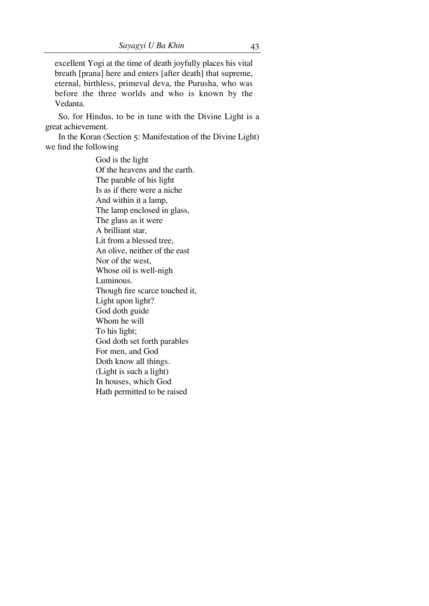excellent Yogi at the time of death joyfully places his vital breath [prana] here and enters [after death] that supreme, eternal, birthless, primeval deva, the Purusha, who was before the three worlds and who is known by the Vedanta.

So, for Hindus, to be in tune with the Divine Light is a great achievement.

In the Koran (Section 5: Manifestation of the Divine Light) we find the following

> God is the light Of the heavens and the earth. The parable of his light Is as if there were a niche And within it a lamp, The lamp enclosed in glass, The glass as it were A brilliant star, Lit from a blessed tree, An olive, neither of the east Nor of the west, Whose oil is well-nigh Luminous. Though fire scarce touched it, Light upon light? God doth guide Whom he will To his light; God doth set forth parables For men, and God Doth know all things. (Light is such a light) In houses, which God Hath permitted to be raised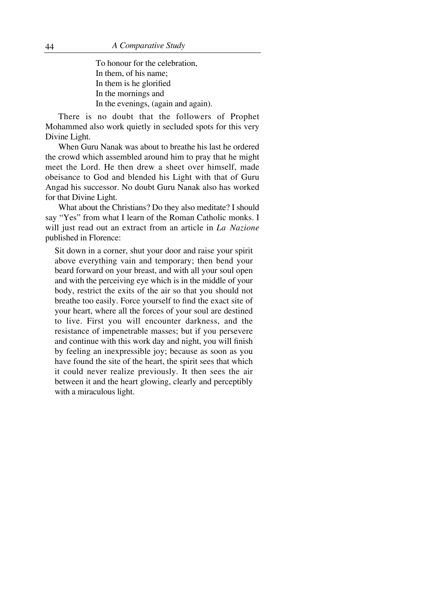To honour for the celebration, In them, of his name; In them is he glorified In the mornings and In the evenings, (again and again).

There is no doubt that the followers of Prophet Mohammed also work quietly in secluded spots for this very Divine Light.

When Guru Nanak was about to breathe his last he ordered the crowd which assembled around him to pray that he might meet the Lord. He then drew a sheet over himself, made obeisance to God and blended his Light with that of Guru Angad his successor. No doubt Guru Nanak also has worked for that Divine Light.

What about the Christians? Do they also meditate? I should say "Yes" from what I learn of the Roman Catholic monks. I will just read out an extract from an article in *La Nazione* published in Florence:

Sit down in a corner, shut your door and raise your spirit above everything vain and temporary; then bend your beard forward on your breast, and with all your soul open and with the perceiving eye which is in the middle of your body, restrict the exits of the air so that you should not breathe too easily. Force yourself to find the exact site of your heart, where all the forces of your soul are destined to live. First you will encounter darkness, and the resistance of impenetrable masses; but if you persevere and continue with this work day and night, you will finish by feeling an inexpressible joy; because as soon as you have found the site of the heart, the spirit sees that which it could never realize previously. It then sees the air between it and the heart glowing, clearly and perceptibly with a miraculous light.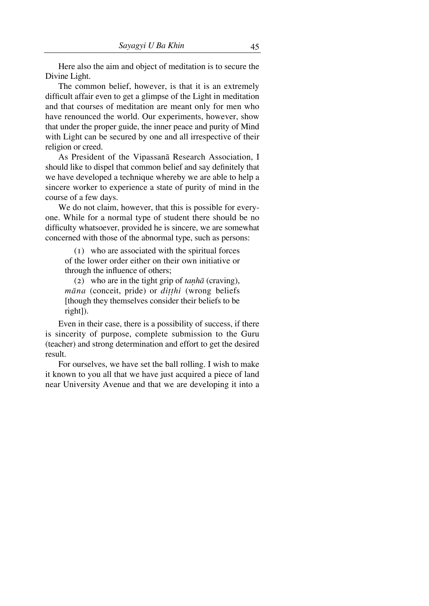Here also the aim and object of meditation is to secure the Divine Light.

The common belief, however, is that it is an extremely difficult affair even to get a glimpse of the Light in meditation and that courses of meditation are meant only for men who have renounced the world. Our experiments, however, show that under the proper guide, the inner peace and purity of Mind with Light can be secured by one and all irrespective of their religion or creed.

As President of the Vipassanā Research Association, I should like to dispel that common belief and say definitely that we have developed a technique whereby we are able to help a sincere worker to experience a state of purity of mind in the course of a few days.

We do not claim, however, that this is possible for everyone. While for a normal type of student there should be no difficulty whatsoever, provided he is sincere, we are somewhat concerned with those of the abnormal type, such as persons:

(1) who are associated with the spiritual forces of the lower order either on their own initiative or through the influence of others;

(2) who are in the tight grip of *tahā* (craving), *māna* (conceit, pride) or *ditthi* (wrong beliefs [though they themselves consider their beliefs to be right]).

Even in their case, there is a possibility of success, if there is sincerity of purpose, complete submission to the Guru (teacher) and strong determination and effort to get the desired result.

For ourselves, we have set the ball rolling. I wish to make it known to you all that we have just acquired a piece of land near University Avenue and that we are developing it into a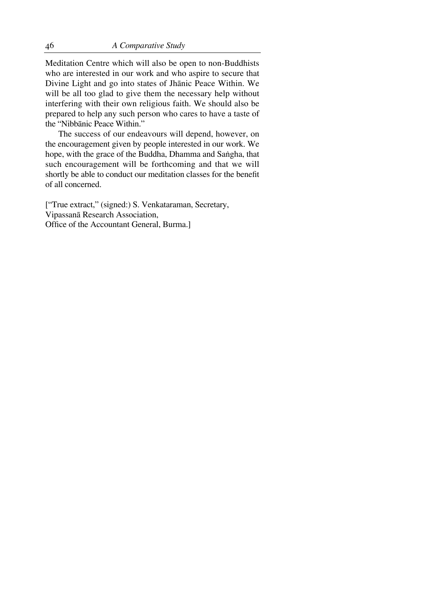Meditation Centre which will also be open to non-Buddhists who are interested in our work and who aspire to secure that Divine Light and go into states of Jhānic Peace Within. We will be all too glad to give them the necessary help without interfering with their own religious faith. We should also be prepared to help any such person who cares to have a taste of the "Nibbānic Peace Within."

The success of our endeavours will depend, however, on the encouragement given by people interested in our work. We hope, with the grace of the Buddha, Dhamma and Sangha, that such encouragement will be forthcoming and that we will shortly be able to conduct our meditation classes for the benefit of all concerned.

["True extract," (signed:) S. Venkataraman, Secretary, Vipassanā Research Association, Office of the Accountant General, Burma.]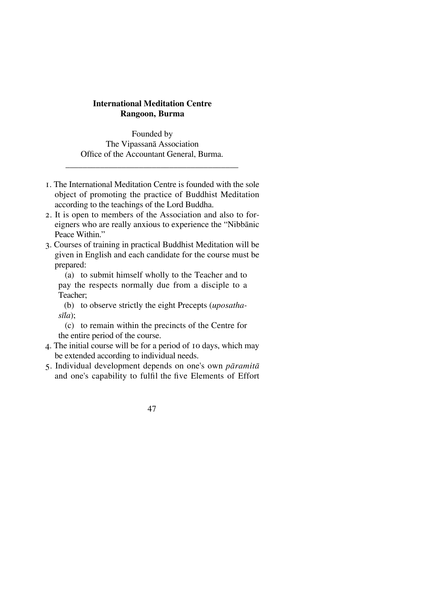# **International Meditation Centre Rangoon, Burma**

Founded by The Vipassanā Association Office of the Accountant General, Burma.

\_\_\_\_\_\_\_\_\_\_\_\_\_\_\_\_\_\_\_\_\_\_\_\_\_\_\_\_\_\_\_\_\_\_\_\_\_\_\_\_

- 1. The International Meditation Centre is founded with the sole object of promoting the practice of Buddhist Meditation according to the teachings of the Lord Buddha.
- 2. It is open to members of the Association and also to foreigners who are really anxious to experience the "Nibbānic Peace Within."
- 3. Courses of training in practical Buddhist Meditation will be given in English and each candidate for the course must be prepared:

(a) to submit himself wholly to the Teacher and to pay the respects normally due from a disciple to a Teacher;

(b) to observe strictly the eight Precepts (*uposathasīla*);

(c) to remain within the precincts of the Centre for the entire period of the course.

- 4. The initial course will be for a period of 10 days, which may be extended according to individual needs.
- 5. Individual development depends on one's own *pāramitā* and one's capability to fulfil the five Elements of Effort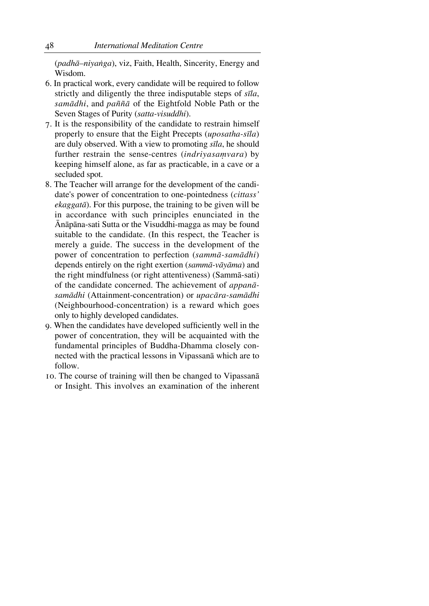(*padhā–niyanga*), viz, Faith, Health, Sincerity, Energy and Wisdom.

- 6. In practical work, every candidate will be required to follow strictly and diligently the three indisputable steps of *sīla*, *samādhi*, and *paññā* of the Eightfold Noble Path or the Seven Stages of Purity (*satta-visuddhi*).
- 7. It is the responsibility of the candidate to restrain himself properly to ensure that the Eight Precepts (*uposatha-sīla*) are duly observed. With a view to promoting *sīla*, he should further restrain the sense-centres *(indrivasamvara)* by keeping himself alone, as far as practicable, in a cave or a secluded spot.
- 8. The Teacher will arrange for the development of the candidate's power of concentration to one-pointedness (*cittass' ekaggatā*). For this purpose, the training to be given will be in accordance with such principles enunciated in the Ānāpāna-sati Sutta or the Visuddhi-magga as may be found suitable to the candidate. (In this respect, the Teacher is merely a guide. The success in the development of the power of concentration to perfection (*sammā-samādhi*) depends entirely on the right exertion (*sammā-vāyāma*) and the right mindfulness (or right attentiveness) (Sammā-sati) of the candidate concerned. The achievement of *appanāsamādhi* (Attainment-concentration) or *upacāra-samādhi* (Neighbourhood-concentration) is a reward which goes only to highly developed candidates.
- 9. When the candidates have developed sufficiently well in the power of concentration, they will be acquainted with the fundamental principles of Buddha-Dhamma closely connected with the practical lessons in Vipassanā which are to follow.
- 10. The course of training will then be changed to Vipassanā or Insight. This involves an examination of the inherent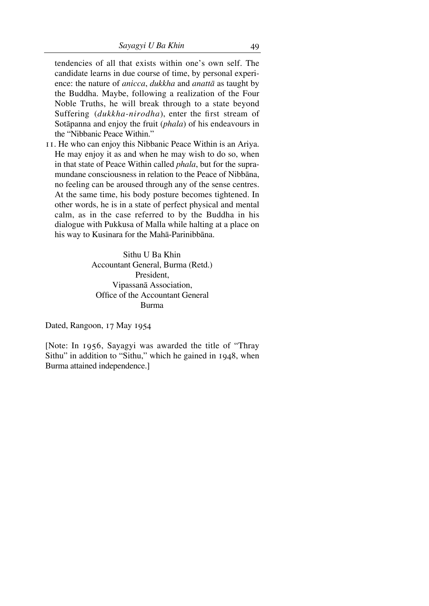tendencies of all that exists within one's own self. The candidate learns in due course of time, by personal experience: the nature of *anicca*, *dukkha* and *anattā* as taught by the Buddha. Maybe, following a realization of the Four Noble Truths, he will break through to a state beyond Suffering (*dukkha-nirodha*), enter the first stream of Sotāpanna and enjoy the fruit (*phala*) of his endeavours in the "Nibbanic Peace Within."

11. He who can enjoy this Nibbanic Peace Within is an Ariya. He may enjoy it as and when he may wish to do so, when in that state of Peace Within called *phala*, but for the supramundane consciousness in relation to the Peace of Nibbāna, no feeling can be aroused through any of the sense centres. At the same time, his body posture becomes tightened. In other words, he is in a state of perfect physical and mental calm, as in the case referred to by the Buddha in his dialogue with Pukkusa of Malla while halting at a place on his way to Kusinara for the Mahā-Parinibbāna.

> Sithu U Ba Khin Accountant General, Burma (Retd.) President, Vipassanā Association, Office of the Accountant General Burma

Dated, Rangoon, 17 May 1954

[Note: In 1956, Sayagyi was awarded the title of "Thray Sithu" in addition to "Sithu," which he gained in 1948, when Burma attained independence.]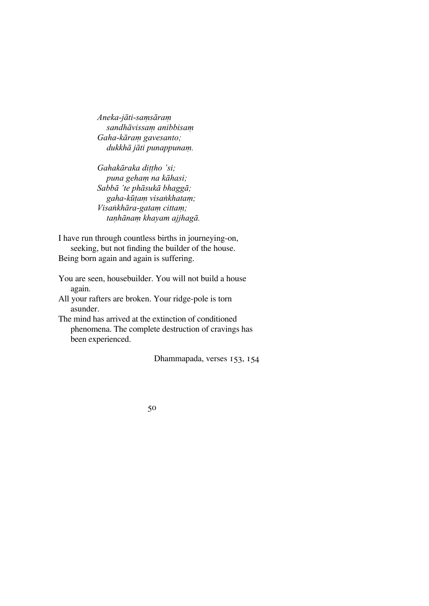Aneka-jāti-samsāram sandhāvissam anibbisam Gaha-kāram gavesanto; dukkhā jāti punappunam.

Gahakāraka dittho 'si; puna geham na kāhasi; Sabbå 'te phåsukå bhaggå; gaha-kūțam visankhatam; Visankhāra-gatam cittam; tanhānam khayam ajjhagā.

I have run through countless births in journeying-on, seeking, but not finding the builder of the house. Being born again and again is suffering.

- You are seen, housebuilder. You will not build a house again.
- All your rafters are broken. Your ridge-pole is torn asunder.
- The mind has arrived at the extinction of conditioned phenomena. The complete destruction of cravings has been experienced.

Dhammapada, verses 153, 154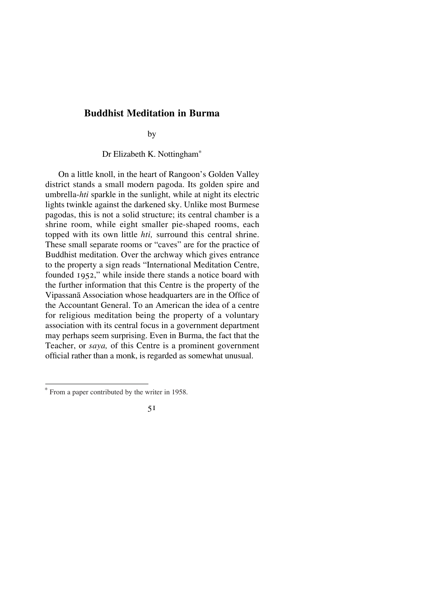# **Buddhist Meditation in Burma**

by

### Dr Elizabeth K. Nottingham\*

On a little knoll, in the heart of Rangoon's Golden Valley district stands a small modern pagoda. Its golden spire and umbrella-*hti* sparkle in the sunlight, while at night its electric lights twinkle against the darkened sky. Unlike most Burmese pagodas, this is not a solid structure; its central chamber is a shrine room, while eight smaller pie-shaped rooms, each topped with its own little *hti,* surround this central shrine. These small separate rooms or "caves" are for the practice of Buddhist meditation. Over the archway which gives entrance to the property a sign reads "International Meditation Centre, founded 1952," while inside there stands a notice board with the further information that this Centre is the property of the Vipassanā Association whose headquarters are in the Office of the Accountant General. To an American the idea of a centre for religious meditation being the property of a voluntary association with its central focus in a government department may perhaps seem surprising. Even in Burma, the fact that the Teacher, or *saya,* of this Centre is a prominent government official rather than a monk, is regarded as somewhat unusual.

From a paper contributed by the writer in 1958.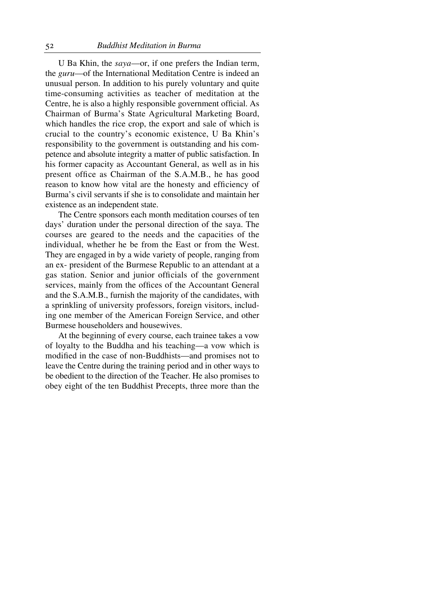U Ba Khin, the *saya*—or, if one prefers the Indian term, the *guru*—of the International Meditation Centre is indeed an unusual person. In addition to his purely voluntary and quite time-consuming activities as teacher of meditation at the Centre, he is also a highly responsible government official. As Chairman of Burma's State Agricultural Marketing Board, which handles the rice crop, the export and sale of which is crucial to the country's economic existence, U Ba Khin's responsibility to the government is outstanding and his competence and absolute integrity a matter of public satisfaction. In his former capacity as Accountant General, as well as in his present office as Chairman of the S.A.M.B., he has good reason to know how vital are the honesty and efficiency of Burma's civil servants if she is to consolidate and maintain her existence as an independent state.

The Centre sponsors each month meditation courses of ten days' duration under the personal direction of the saya. The courses are geared to the needs and the capacities of the individual, whether he be from the East or from the West. They are engaged in by a wide variety of people, ranging from an ex- president of the Burmese Republic to an attendant at a gas station. Senior and junior officials of the government services, mainly from the offices of the Accountant General and the S.A.M.B., furnish the majority of the candidates, with a sprinkling of university professors, foreign visitors, including one member of the American Foreign Service, and other Burmese householders and housewives.

At the beginning of every course, each trainee takes a vow of loyalty to the Buddha and his teaching—a vow which is modified in the case of non-Buddhists—and promises not to leave the Centre during the training period and in other ways to be obedient to the direction of the Teacher. He also promises to obey eight of the ten Buddhist Precepts, three more than the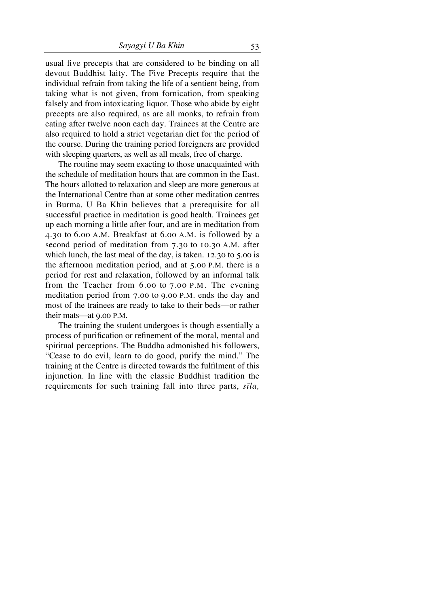usual five precepts that are considered to be binding on all devout Buddhist laity. The Five Precepts require that the individual refrain from taking the life of a sentient being, from taking what is not given, from fornication, from speaking falsely and from intoxicating liquor. Those who abide by eight precepts are also required, as are all monks, to refrain from eating after twelve noon each day. Trainees at the Centre are also required to hold a strict vegetarian diet for the period of the course. During the training period foreigners are provided with sleeping quarters, as well as all meals, free of charge.

The routine may seem exacting to those unacquainted with the schedule of meditation hours that are common in the East. The hours allotted to relaxation and sleep are more generous at the International Centre than at some other meditation centres in Burma. U Ba Khin believes that a prerequisite for all successful practice in meditation is good health. Trainees get up each morning a little after four, and are in meditation from 4.30 to 6.00 A.M. Breakfast at 6.00 A.M. is followed by a second period of meditation from 7.30 to 10.30 A.M. after which lunch, the last meal of the day, is taken. 12.30 to 5.00 is the afternoon meditation period, and at 5.00 P.M. there is a period for rest and relaxation, followed by an informal talk from the Teacher from 6.00 to 7.00 P.M. The evening meditation period from 7.00 to 9.00 P.M. ends the day and most of the trainees are ready to take to their beds—or rather their mats—at 9.00 P.M.

The training the student undergoes is though essentially a process of purification or refinement of the moral, mental and spiritual perceptions. The Buddha admonished his followers, "Cease to do evil, learn to do good, purify the mind." The training at the Centre is directed towards the fulfilment of this injunction. In line with the classic Buddhist tradition the requirements for such training fall into three parts, *sīla,*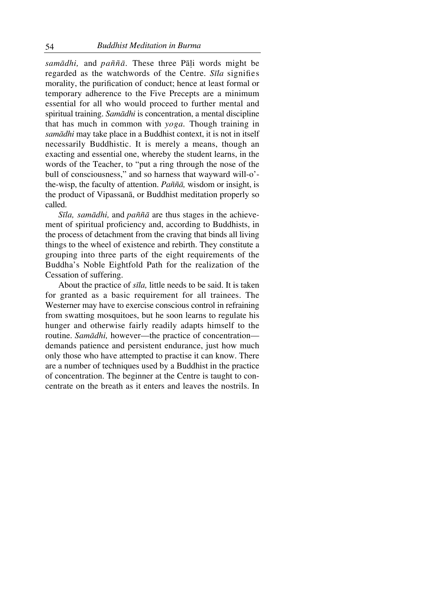*samādhi,* and *paññā.* These three Pāi words might be regarded as the watchwords of the Centre. *Sīla* signifies morality, the purification of conduct; hence at least formal or temporary adherence to the Five Precepts are a minimum essential for all who would proceed to further mental and spiritual training. *Samādhi* is concentration, a mental discipline that has much in common with *yoga.* Though training in *samādhi* may take place in a Buddhist context, it is not in itself necessarily Buddhistic. It is merely a means, though an exacting and essential one, whereby the student learns, in the words of the Teacher, to "put a ring through the nose of the bull of consciousness," and so harness that wayward will-o' the-wisp, the faculty of attention. *Paññā,* wisdom or insight, is the product of Vipassanā, or Buddhist meditation properly so called.

*Sīla, samādhi,* and *paññā* are thus stages in the achievement of spiritual proficiency and, according to Buddhists, in the process of detachment from the craving that binds all living things to the wheel of existence and rebirth. They constitute a grouping into three parts of the eight requirements of the Buddha's Noble Eightfold Path for the realization of the Cessation of suffering.

About the practice of *sīla,* little needs to be said. It is taken for granted as a basic requirement for all trainees. The Westerner may have to exercise conscious control in refraining from swatting mosquitoes, but he soon learns to regulate his hunger and otherwise fairly readily adapts himself to the routine. *Samādhi,* however—the practice of concentration demands patience and persistent endurance, just how much only those who have attempted to practise it can know. There are a number of techniques used by a Buddhist in the practice of concentration. The beginner at the Centre is taught to concentrate on the breath as it enters and leaves the nostrils. In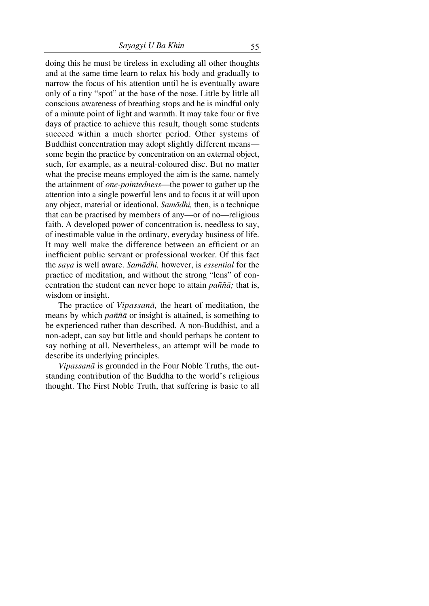doing this he must be tireless in excluding all other thoughts and at the same time learn to relax his body and gradually to narrow the focus of his attention until he is eventually aware only of a tiny "spot" at the base of the nose. Little by little all conscious awareness of breathing stops and he is mindful only of a minute point of light and warmth. It may take four or five days of practice to achieve this result, though some students succeed within a much shorter period. Other systems of Buddhist concentration may adopt slightly different means some begin the practice by concentration on an external object, such, for example, as a neutral-coloured disc. But no matter what the precise means employed the aim is the same, namely the attainment of *one-pointedness*—the power to gather up the attention into a single powerful lens and to focus it at will upon any object, material or ideational. *Samādhi,* then, is a technique that can be practised by members of any—or of no—religious faith. A developed power of concentration is, needless to say, of inestimable value in the ordinary, everyday business of life. It may well make the difference between an efficient or an inefficient public servant or professional worker. Of this fact the *saya* is well aware. *Samādhi,* however, is *essential* for the practice of meditation, and without the strong "lens" of concentration the student can never hope to attain *paññā;* that is, wisdom or insight.

The practice of *Vipassanā,* the heart of meditation, the means by which *paññā* or insight is attained, is something to be experienced rather than described. A non-Buddhist, and a non-adept, can say but little and should perhaps be content to say nothing at all. Nevertheless, an attempt will be made to describe its underlying principles.

*Vipassanā* is grounded in the Four Noble Truths, the outstanding contribution of the Buddha to the world's religious thought. The First Noble Truth, that suffering is basic to all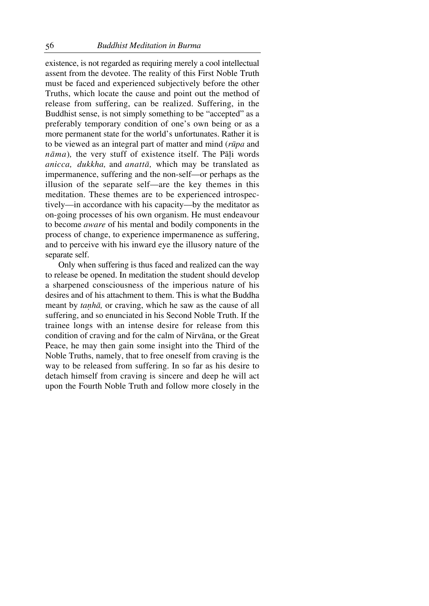existence, is not regarded as requiring merely a cool intellectual assent from the devotee. The reality of this First Noble Truth must be faced and experienced subjectively before the other Truths, which locate the cause and point out the method of release from suffering, can be realized. Suffering, in the Buddhist sense, is not simply something to be "accepted" as a preferably temporary condition of one's own being or as a more permanent state for the world's unfortunates. Rather it is to be viewed as an integral part of matter and mind (*rūpa* and *nāma*), the very stuff of existence itself. The Pāli words *anicca, dukkha,* and *anattā,* which may be translated as impermanence, suffering and the non-self—or perhaps as the illusion of the separate self—are the key themes in this meditation. These themes are to be experienced introspectively—in accordance with his capacity—by the meditator as on-going processes of his own organism. He must endeavour to become *aware* of his mental and bodily components in the process of change, to experience impermanence as suffering, and to perceive with his inward eye the illusory nature of the separate self.

Only when suffering is thus faced and realized can the way to release be opened. In meditation the student should develop a sharpened consciousness of the imperious nature of his desires and of his attachment to them. This is what the Buddha meant by *tahā,* or craving, which he saw as the cause of all suffering, and so enunciated in his Second Noble Truth. If the trainee longs with an intense desire for release from this condition of craving and for the calm of Nirvāna, or the Great Peace, he may then gain some insight into the Third of the Noble Truths, namely, that to free oneself from craving is the way to be released from suffering. In so far as his desire to detach himself from craving is sincere and deep he will act upon the Fourth Noble Truth and follow more closely in the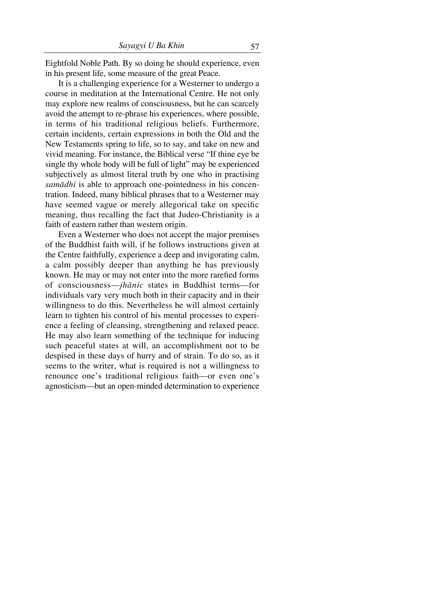Eightfold Noble Path. By so doing he should experience, even in his present life, some measure of the great Peace.

It is a challenging experience for a Westerner to undergo a course in meditation at the International Centre. He not only may explore new realms of consciousness, but he can scarcely avoid the attempt to re-phrase his experiences, where possible, in terms of his traditional religious beliefs. Furthermore, certain incidents, certain expressions in both the Old and the New Testaments spring to life, so to say, and take on new and vivid meaning. For instance, the Biblical verse "If thine eye be single thy whole body will be full of light" may be experienced subjectively as almost literal truth by one who in practising *samādhi* is able to approach one-pointedness in his concentration. Indeed, many biblical phrases that to a Westerner may have seemed vague or merely allegorical take on specific meaning, thus recalling the fact that Judeo-Christianity is a faith of eastern rather than western origin.

Even a Westerner who does not accept the major premises of the Buddhist faith will, if he follows instructions given at the Centre faithfully, experience a deep and invigorating calm, a calm possibly deeper than anything he has previously known. He may or may not enter into the more rarefied forms of consciousness—*jhānic* states in Buddhist terms—for individuals vary very much both in their capacity and in their willingness to do this. Nevertheless he will almost certainly learn to tighten his control of his mental processes to experience a feeling of cleansing, strengthening and relaxed peace. He may also learn something of the technique for inducing such peaceful states at will, an accomplishment not to be despised in these days of hurry and of strain. To do so, as it seems to the writer, what is required is not a willingness to renounce one's traditional religious faith—or even one's agnosticism—but an open-minded determination to experience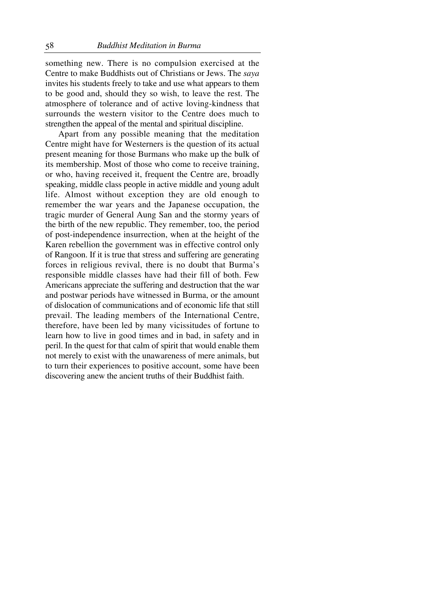something new. There is no compulsion exercised at the Centre to make Buddhists out of Christians or Jews. The *saya* invites his students freely to take and use what appears to them to be good and, should they so wish, to leave the rest. The atmosphere of tolerance and of active loving-kindness that surrounds the western visitor to the Centre does much to strengthen the appeal of the mental and spiritual discipline.

Apart from any possible meaning that the meditation Centre might have for Westerners is the question of its actual present meaning for those Burmans who make up the bulk of its membership. Most of those who come to receive training, or who, having received it, frequent the Centre are, broadly speaking, middle class people in active middle and young adult life. Almost without exception they are old enough to remember the war years and the Japanese occupation, the tragic murder of General Aung San and the stormy years of the birth of the new republic. They remember, too, the period of post-independence insurrection, when at the height of the Karen rebellion the government was in effective control only of Rangoon. If it is true that stress and suffering are generating forces in religious revival, there is no doubt that Burma's responsible middle classes have had their fill of both. Few Americans appreciate the suffering and destruction that the war and postwar periods have witnessed in Burma, or the amount of dislocation of communications and of economic life that still prevail. The leading members of the International Centre, therefore, have been led by many vicissitudes of fortune to learn how to live in good times and in bad, in safety and in peril. In the quest for that calm of spirit that would enable them not merely to exist with the unawareness of mere animals, but to turn their experiences to positive account, some have been discovering anew the ancient truths of their Buddhist faith.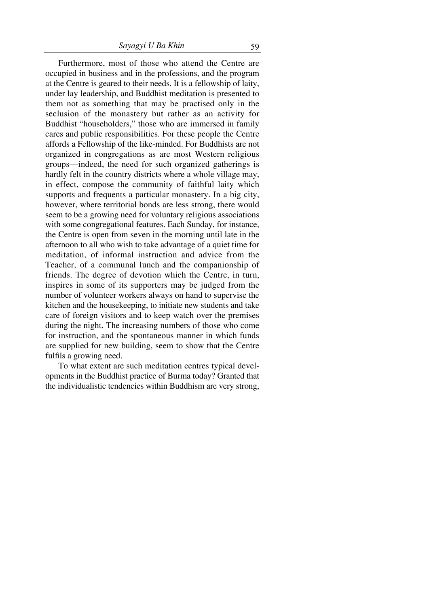Furthermore, most of those who attend the Centre are occupied in business and in the professions, and the program at the Centre is geared to their needs. It is a fellowship of laity, under lay leadership, and Buddhist meditation is presented to them not as something that may be practised only in the seclusion of the monastery but rather as an activity for Buddhist "householders," those who are immersed in family cares and public responsibilities. For these people the Centre affords a Fellowship of the like-minded. For Buddhists are not organized in congregations as are most Western religious groups—indeed, the need for such organized gatherings is hardly felt in the country districts where a whole village may, in effect, compose the community of faithful laity which supports and frequents a particular monastery. In a big city, however, where territorial bonds are less strong, there would seem to be a growing need for voluntary religious associations with some congregational features. Each Sunday, for instance, the Centre is open from seven in the morning until late in the afternoon to all who wish to take advantage of a quiet time for meditation, of informal instruction and advice from the Teacher, of a communal lunch and the companionship of friends. The degree of devotion which the Centre, in turn, inspires in some of its supporters may be judged from the number of volunteer workers always on hand to supervise the kitchen and the housekeeping, to initiate new students and take care of foreign visitors and to keep watch over the premises during the night. The increasing numbers of those who come for instruction, and the spontaneous manner in which funds are supplied for new building, seem to show that the Centre fulfils a growing need.

To what extent are such meditation centres typical developments in the Buddhist practice of Burma today? Granted that the individualistic tendencies within Buddhism are very strong,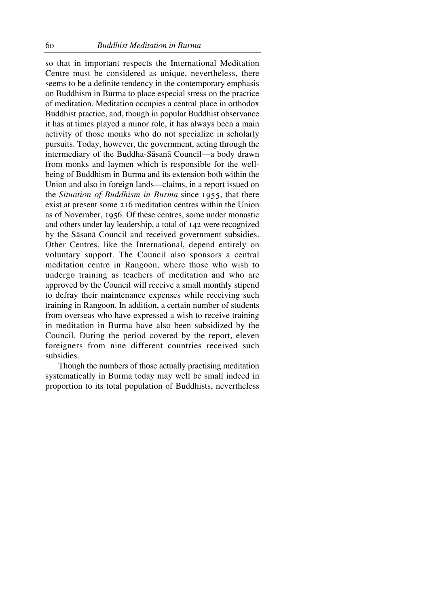so that in important respects the International Meditation Centre must be considered as unique, nevertheless, there seems to be a definite tendency in the contemporary emphasis on Buddhism in Burma to place especial stress on the practice of meditation. Meditation occupies a central place in orthodox Buddhist practice, and, though in popular Buddhist observance it has at times played a minor role, it has always been a main activity of those monks who do not specialize in scholarly pursuits. Today, however, the government, acting through the intermediary of the Buddha-Sāsanā Council—a body drawn from monks and laymen which is responsible for the wellbeing of Buddhism in Burma and its extension both within the Union and also in foreign lands—claims, in a report issued on the *Situation of Buddhism in Burma* since 1955, that there exist at present some 216 meditation centres within the Union as of November, 1956. Of these centres, some under monastic and others under lay leadership, a total of 142 were recognized by the Sāsanā Council and received government subsidies. Other Centres, like the International, depend entirely on voluntary support. The Council also sponsors a central meditation centre in Rangoon, where those who wish to undergo training as teachers of meditation and who are approved by the Council will receive a small monthly stipend to defray their maintenance expenses while receiving such training in Rangoon. In addition, a certain number of students from overseas who have expressed a wish to receive training in meditation in Burma have also been subsidized by the Council. During the period covered by the report, eleven foreigners from nine different countries received such subsidies.

Though the numbers of those actually practising meditation systematically in Burma today may well be small indeed in proportion to its total population of Buddhists, nevertheless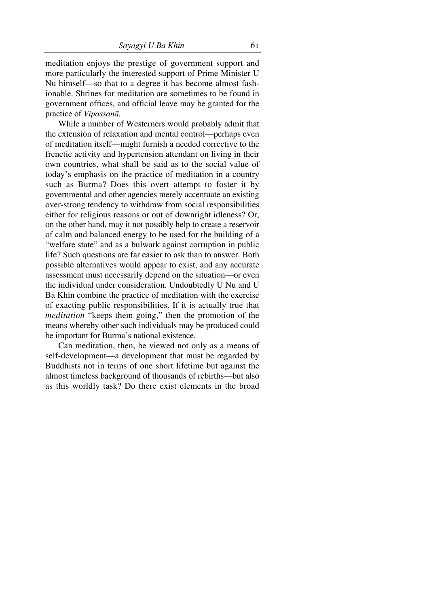meditation enjoys the prestige of government support and more particularly the interested support of Prime Minister U Nu himself—so that to a degree it has become almost fashionable. Shrines for meditation are sometimes to be found in government offices, and official leave may be granted for the practice of *Vipassanā.*

While a number of Westerners would probably admit that the extension of relaxation and mental control—perhaps even of meditation itself—might furnish a needed corrective to the frenetic activity and hypertension attendant on living in their own countries, what shall be said as to the social value of today's emphasis on the practice of meditation in a country such as Burma? Does this overt attempt to foster it by governmental and other agencies merely accentuate an existing over-strong tendency to withdraw from social responsibilities either for religious reasons or out of downright idleness? Or, on the other hand, may it not possibly help to create a reservoir of calm and balanced energy to be used for the building of a "welfare state" and as a bulwark against corruption in public life? Such questions are far easier to ask than to answer. Both possible alternatives would appear to exist, and any accurate assessment must necessarily depend on the situation—or even the individual under consideration. Undoubtedly U Nu and U Ba Khin combine the practice of meditation with the exercise of exacting public responsibilities. If it is actually true that *meditation* "keeps them going," then the promotion of the means whereby other such individuals may be produced could be important for Burma's national existence.

Can meditation, then, be viewed not only as a means of self-development—a development that must be regarded by Buddhists not in terms of one short lifetime but against the almost timeless background of thousands of rebirths—but also as this worldly task? Do there exist elements in the broad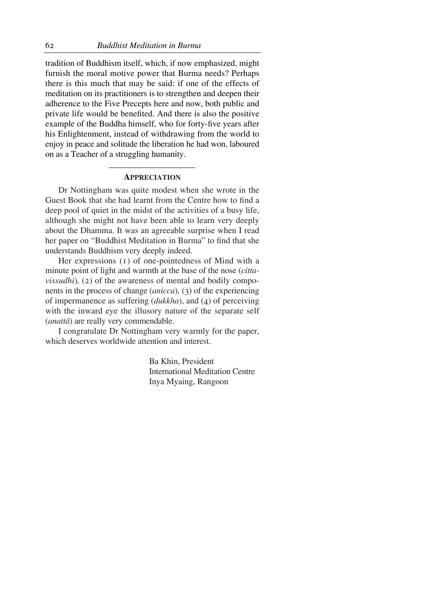tradition of Buddhism itself, which, if now emphasized, might furnish the moral motive power that Burma needs? Perhaps there is this much that may be said: if one of the effects of meditation on its practitioners is to strengthen and deepen their adherence to the Five Precepts here and now, both public and private life would be benefited. And there is also the positive example of the Buddha himself, who for forty-five years after his Enlightenment, instead of withdrawing from the world to enjoy in peace and solitude the liberation he had won, laboured on as a Teacher of a struggling humanity.

# \_\_\_\_\_\_\_\_\_\_\_\_\_\_\_\_\_\_\_\_ **APPRECIATION**

Dr Nottingham was quite modest when she wrote in the Guest Book that she had learnt from the Centre how to find a deep pool of quiet in the midst of the activities of a busy life, although she might not have been able to learn very deeply about the Dhamma. It was an agreeable surprise when I read her paper on "Buddhist Meditation in Burma" to find that she understands Buddhism very deeply indeed.

Her expressions (1) of one-pointedness of Mind with a minute point of light and warmth at the base of the nose (*cittavissudhi*), (2) of the awareness of mental and bodily components in the process of change (*anicca*)*,* (3) of the experiencing of impermanence as suffering (*dukkha*), and (4) of perceiving with the inward eye the illusory nature of the separate self (*anattā*) are really very commendable.

I congratulate Dr Nottingham very warmly for the paper, which deserves worldwide attention and interest.

> Ba Khin, President International Meditation Centre Inya Myaing, Rangoon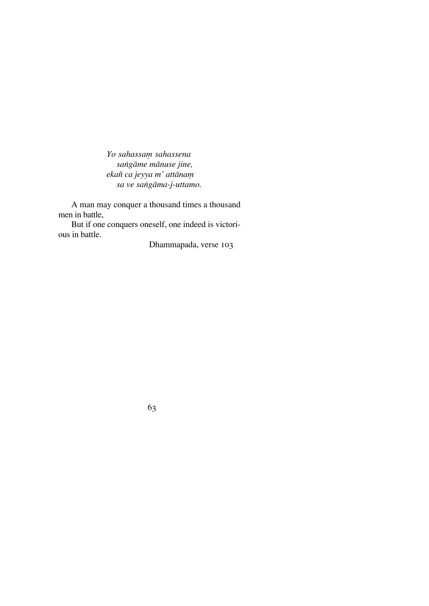Yo sahassam sahassena *sagāme mānuse jine, ekañ ca jeyya m' attāna sa ve sagāma-j-uttamo.*

A man may conquer a thousand times a thousand men in battle,

But if one conquers oneself, one indeed is victorious in battle.

Dhammapada, verse 103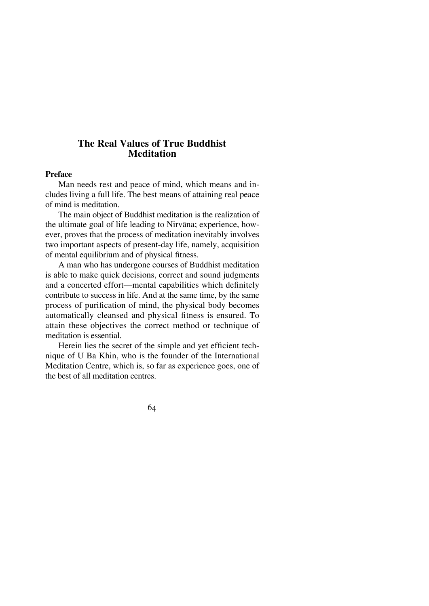# **The Real Values of True Buddhist Meditation**

#### **Preface**

Man needs rest and peace of mind, which means and includes living a full life. The best means of attaining real peace of mind is meditation.

The main object of Buddhist meditation is the realization of the ultimate goal of life leading to Nirvāna; experience, however, proves that the process of meditation inevitably involves two important aspects of present-day life, namely, acquisition of mental equilibrium and of physical fitness.

A man who has undergone courses of Buddhist meditation is able to make quick decisions, correct and sound judgments and a concerted effort—mental capabilities which definitely contribute to success in life. And at the same time, by the same process of purification of mind, the physical body becomes automatically cleansed and physical fitness is ensured. To attain these objectives the correct method or technique of meditation is essential.

Herein lies the secret of the simple and yet efficient technique of U Ba Khin, who is the founder of the International Meditation Centre, which is, so far as experience goes, one of the best of all meditation centres.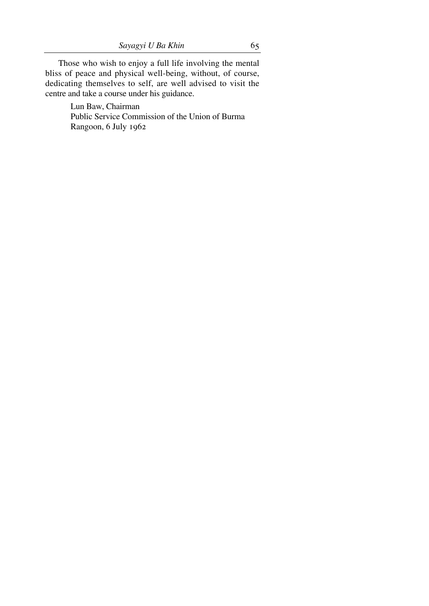Those who wish to enjoy a full life involving the mental bliss of peace and physical well-being, without, of course, dedicating themselves to self, are well advised to visit the centre and take a course under his guidance.

> Lun Baw, Chairman Public Service Commission of the Union of Burma Rangoon, 6 July 1962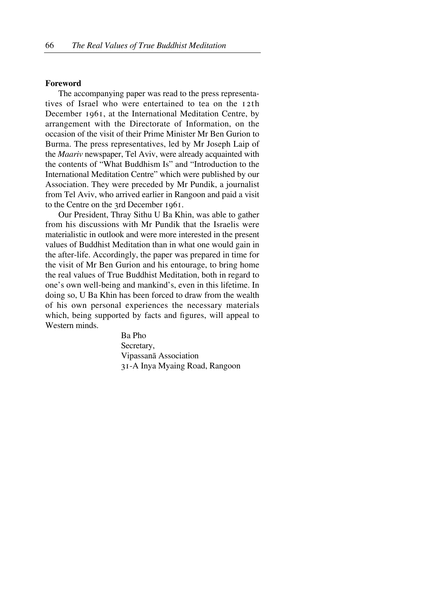### **Foreword**

The accompanying paper was read to the press representatives of Israel who were entertained to tea on the 12th December 1961, at the International Meditation Centre, by arrangement with the Directorate of Information, on the occasion of the visit of their Prime Minister Mr Ben Gurion to Burma. The press representatives, led by Mr Joseph Laip of the *Maariv* newspaper, Tel Aviv, were already acquainted with the contents of "What Buddhism Is" and "Introduction to the International Meditation Centre" which were published by our Association. They were preceded by Mr Pundik, a journalist from Tel Aviv, who arrived earlier in Rangoon and paid a visit to the Centre on the 3rd December 1961.

Our President, Thray Sithu U Ba Khin, was able to gather from his discussions with Mr Pundik that the Israelis were materialistic in outlook and were more interested in the present values of Buddhist Meditation than in what one would gain in the after-life. Accordingly, the paper was prepared in time for the visit of Mr Ben Gurion and his entourage, to bring home the real values of True Buddhist Meditation, both in regard to one's own well-being and mankind's, even in this lifetime. In doing so, U Ba Khin has been forced to draw from the wealth of his own personal experiences the necessary materials which, being supported by facts and figures, will appeal to Western minds.

> Ba Pho Secretary, Vipassanā Association 31-A Inya Myaing Road, Rangoon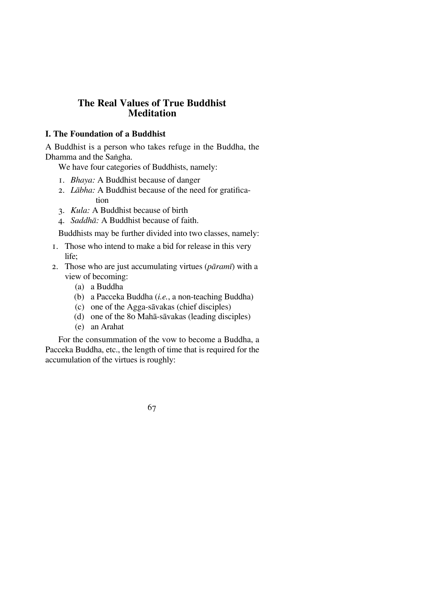# **The Real Values of True Buddhist Meditation**

## **I. The Foundation of a Buddhist**

A Buddhist is a person who takes refuge in the Buddha, the Dhamma and the Sangha.

We have four categories of Buddhists, namely:

- 1. *Bhaya:* A Buddhist because of danger
- 2. *Lābha:* A Buddhist because of the need for gratification
- 3. *Kula:* A Buddhist because of birth
- 4. *Saddhā:* A Buddhist because of faith.

Buddhists may be further divided into two classes, namely:

- 1. Those who intend to make a bid for release in this very life;
- 2. Those who are just accumulating virtues (*pāramī*) with a view of becoming:
	- (a) a Buddha
	- (b) a Pacceka Buddha (*i.e.*, a non-teaching Buddha)
	- (c) one of the Agga-sāvakas (chief disciples)
	- (d) one of the 80 Mahā-sāvakas (leading disciples)
	- (e) an Arahat

For the consummation of the vow to become a Buddha, a Pacceka Buddha, etc., the length of time that is required for the accumulation of the virtues is roughly: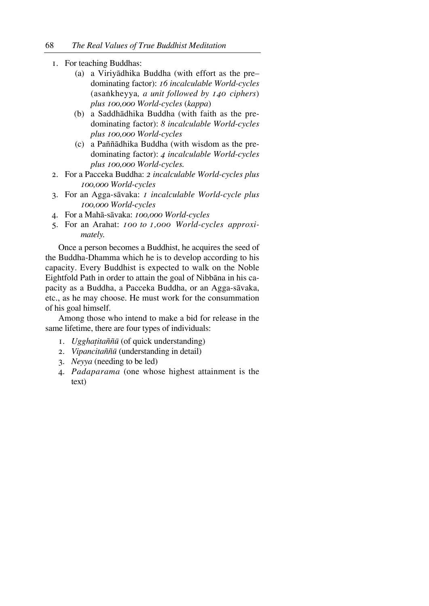- 1. For teaching Buddhas:
	- (a) a Viriyādhika Buddha (with effort as the pre– dominating factor): *16 incalculable World-cycles* (asakheyya*, a unit followed by 140 ciphers*) *plus 100,000 World-cycles* (*kappa*)
	- (b) a Saddhādhika Buddha (with faith as the predominating factor): *8 incalculable World-cycles plus 100,000 World-cycles*
	- (c) a Paññādhika Buddha (with wisdom as the predominating factor): *4 incalculable World-cycles plus 100,000 World-cycles.*
- 2. For a Pacceka Buddha: *2 incalculable World-cycles plus 100,000 World-cycles*
- 3. For an Agga-sāvaka: *1 incalculable World-cycle plus 100,000 World-cycles*
- 4. For a Mahā-sāvaka: *100,000 World-cycles*
- 5. For an Arahat: *100 to 1,000 World-cycles approximately.*

Once a person becomes a Buddhist, he acquires the seed of the Buddha-Dhamma which he is to develop according to his capacity. Every Buddhist is expected to walk on the Noble Eightfold Path in order to attain the goal of Nibbāna in his capacity as a Buddha, a Pacceka Buddha, or an Agga-sāvaka, etc., as he may choose. He must work for the consummation of his goal himself.

Among those who intend to make a bid for release in the same lifetime, there are four types of individuals:

- 1. *Ugghaitaññū* (of quick understanding)
- 2. *Vipancitaññū* (understanding in detail)
- 3. *Neyya* (needing to be led)
- 4. *Padaparama* (one whose highest attainment is the text)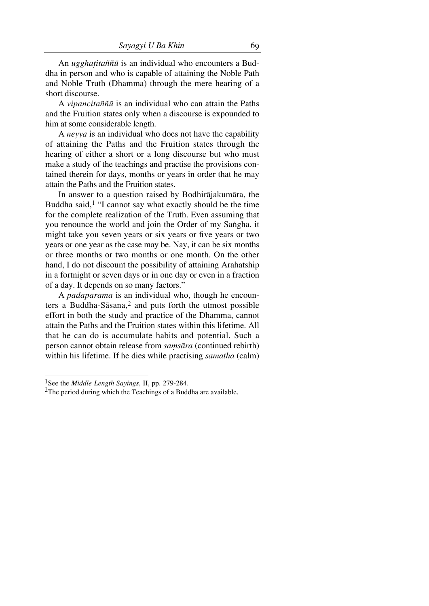An *ugghaitaññū* is an individual who encounters a Buddha in person and who is capable of attaining the Noble Path and Noble Truth (Dhamma) through the mere hearing of a short discourse.

A *vipancitaññū* is an individual who can attain the Paths and the Fruition states only when a discourse is expounded to him at some considerable length.

A *neyya* is an individual who does not have the capability of attaining the Paths and the Fruition states through the hearing of either a short or a long discourse but who must make a study of the teachings and practise the provisions contained therein for days, months or years in order that he may attain the Paths and the Fruition states.

In answer to a question raised by Bodhirājakumāra, the Buddha said, $1$  "I cannot say what exactly should be the time for the complete realization of the Truth. Even assuming that you renounce the world and join the Order of my Sangha, it might take you seven years or six years or five years or two years or one year as the case may be. Nay, it can be six months or three months or two months or one month. On the other hand, I do not discount the possibility of attaining Arahatship in a fortnight or seven days or in one day or even in a fraction of a day. It depends on so many factors."

A *padaparama* is an individual who, though he encounters a Buddha-Sāsana,2 and puts forth the utmost possible effort in both the study and practice of the Dhamma, cannot attain the Paths and the Fruition states within this lifetime. All that he can do is accumulate habits and potential. Such a person cannot obtain release from *samsāra* (continued rebirth) within his lifetime. If he dies while practising *samatha* (calm)

<sup>1</sup>See the *Middle Length Sayings,* II, pp. 279-284.

 $2$ The period during which the Teachings of a Buddha are available.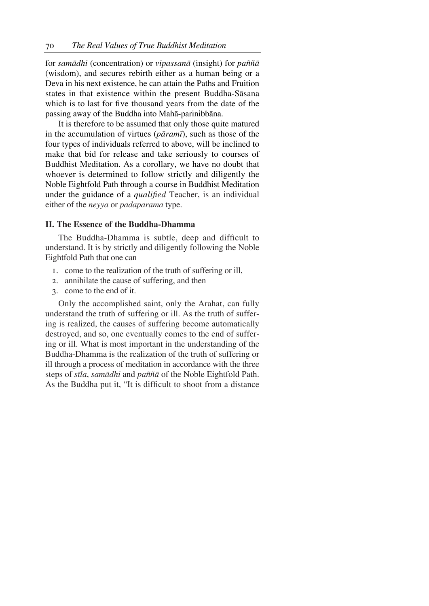for *samādhi* (concentration) or *vipassanā* (insight) for *paññā* (wisdom), and secures rebirth either as a human being or a Deva in his next existence, he can attain the Paths and Fruition states in that existence within the present Buddha-Sāsana which is to last for five thousand years from the date of the passing away of the Buddha into Mahā-parinibbāna.

It is therefore to be assumed that only those quite matured in the accumulation of virtues (*pāramī*), such as those of the four types of individuals referred to above, will be inclined to make that bid for release and take seriously to courses of Buddhist Meditation. As a corollary, we have no doubt that whoever is determined to follow strictly and diligently the Noble Eightfold Path through a course in Buddhist Meditation under the guidance of a *qualified* Teacher, is an individual either of the *neyya* or *padaparama* type.

### **II. The Essence of the Buddha-Dhamma**

The Buddha-Dhamma is subtle, deep and difficult to understand. It is by strictly and diligently following the Noble Eightfold Path that one can

- 1. come to the realization of the truth of suffering or ill,
- 2. annihilate the cause of suffering, and then
- 3. come to the end of it.

Only the accomplished saint, only the Arahat, can fully understand the truth of suffering or ill. As the truth of suffering is realized, the causes of suffering become automatically destroyed, and so, one eventually comes to the end of suffering or ill. What is most important in the understanding of the Buddha-Dhamma is the realization of the truth of suffering or ill through a process of meditation in accordance with the three steps of *sīla*, *samādhi* and *paññā* of the Noble Eightfold Path. As the Buddha put it, "It is difficult to shoot from a distance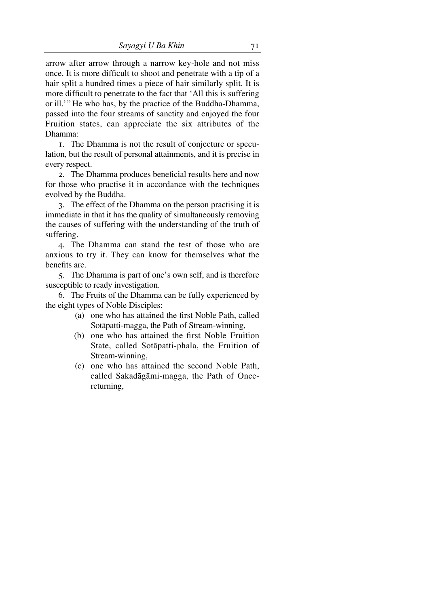arrow after arrow through a narrow key-hole and not miss once. It is more difficult to shoot and penetrate with a tip of a hair split a hundred times a piece of hair similarly split. It is more difficult to penetrate to the fact that 'All this is suffering or ill.' " He who has, by the practice of the Buddha-Dhamma, passed into the four streams of sanctity and enjoyed the four Fruition states, can appreciate the six attributes of the Dhamma:

1. The Dhamma is not the result of conjecture or speculation, but the result of personal attainments, and it is precise in every respect.

2. The Dhamma produces beneficial results here and now for those who practise it in accordance with the techniques evolved by the Buddha.

3. The effect of the Dhamma on the person practising it is immediate in that it has the quality of simultaneously removing the causes of suffering with the understanding of the truth of suffering.

4. The Dhamma can stand the test of those who are anxious to try it. They can know for themselves what the benefits are.

5. The Dhamma is part of one's own self, and is therefore susceptible to ready investigation.

6. The Fruits of the Dhamma can be fully experienced by the eight types of Noble Disciples:

- (a) one who has attained the first Noble Path, called Sotāpatti-magga, the Path of Stream-winning,
- (b) one who has attained the first Noble Fruition State, called Sotāpatti-phala, the Fruition of Stream-winning,
- (c) one who has attained the second Noble Path, called Sakadāgāmi-magga, the Path of Oncereturning,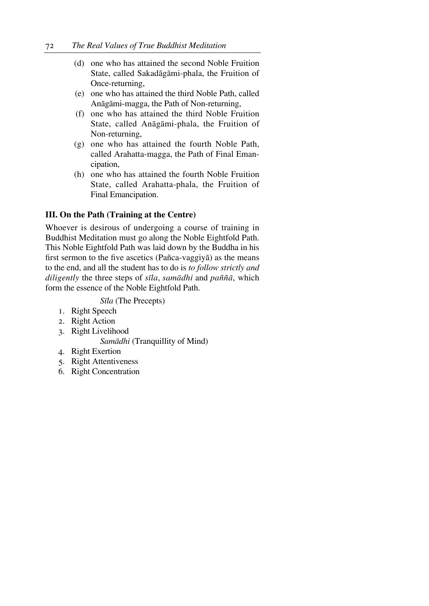- (d) one who has attained the second Noble Fruition State, called Sakadāgāmi-phala, the Fruition of Once-returning,
- (e) one who has attained the third Noble Path, called Anāgāmi-magga, the Path of Non-returning,
- (f) one who has attained the third Noble Fruition State, called Anāgāmi-phala, the Fruition of Non-returning,
- (g) one who has attained the fourth Noble Path, called Arahatta-magga, the Path of Final Emancipation,
- (h) one who has attained the fourth Noble Fruition State, called Arahatta-phala, the Fruition of Final Emancipation.

# **III. On the Path (Training at the Centre)**

Whoever is desirous of undergoing a course of training in Buddhist Meditation must go along the Noble Eightfold Path. This Noble Eightfold Path was laid down by the Buddha in his first sermon to the five ascetics (Pañca-vaggiyā) as the means to the end, and all the student has to do is *to follow strictly and diligently* the three steps of *sīla*, *samādhi* and *paññā*, which form the essence of the Noble Eightfold Path.

*Sīla* (The Precepts)

- 1. Right Speech
- 2. Right Action
- 3. Right Livelihood

*Samādhi* (Tranquillity of Mind)

- 4. Right Exertion
- 5. Right Attentiveness
- 6. Right Concentration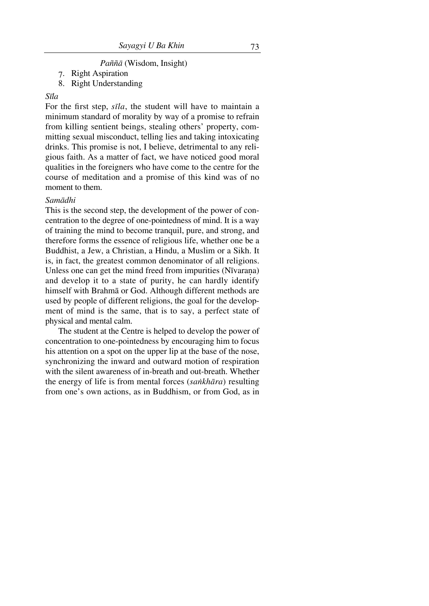## *Paññā* (Wisdom, Insight)

- 7. Right Aspiration
- 8. Right Understanding

### *Sīla*

For the first step, *sīla*, the student will have to maintain a minimum standard of morality by way of a promise to refrain from killing sentient beings, stealing others' property, committing sexual misconduct, telling lies and taking intoxicating drinks. This promise is not, I believe, detrimental to any religious faith. As a matter of fact, we have noticed good moral qualities in the foreigners who have come to the centre for the course of meditation and a promise of this kind was of no moment to them.

## *Samādhi*

This is the second step, the development of the power of concentration to the degree of one-pointedness of mind. It is a way of training the mind to become tranquil, pure, and strong, and therefore forms the essence of religious life, whether one be a Buddhist, a Jew, a Christian, a Hindu, a Muslim or a Sikh. It is, in fact, the greatest common denominator of all religions. Unless one can get the mind freed from impurities (Nīvarana) and develop it to a state of purity, he can hardly identify himself with Brahmā or God. Although different methods are used by people of different religions, the goal for the development of mind is the same, that is to say, a perfect state of physical and mental calm.

The student at the Centre is helped to develop the power of concentration to one-pointedness by encouraging him to focus his attention on a spot on the upper lip at the base of the nose, synchronizing the inward and outward motion of respiration with the silent awareness of in-breath and out-breath. Whether the energy of life is from mental forces (*sakhāra*) resulting from one's own actions, as in Buddhism, or from God, as in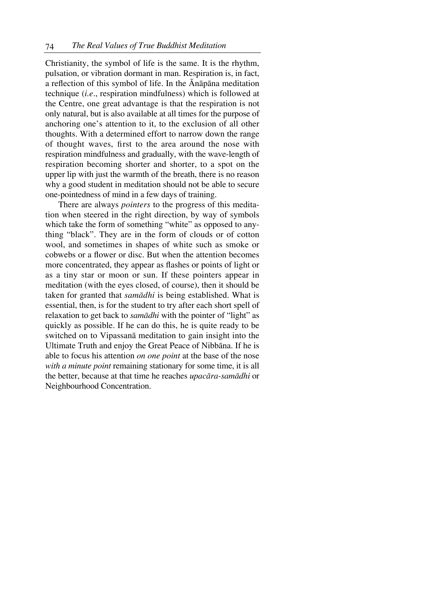Christianity, the symbol of life is the same. It is the rhythm, pulsation, or vibration dormant in man. Respiration is, in fact, a reflection of this symbol of life. In the Ānāpāna meditation technique (*i.e*., respiration mindfulness) which is followed at the Centre, one great advantage is that the respiration is not only natural, but is also available at all times for the purpose of anchoring one's attention to it, to the exclusion of all other thoughts. With a determined effort to narrow down the range of thought waves, first to the area around the nose with respiration mindfulness and gradually, with the wave-length of respiration becoming shorter and shorter, to a spot on the upper lip with just the warmth of the breath, there is no reason why a good student in meditation should not be able to secure one-pointedness of mind in a few days of training.

There are always *pointers* to the progress of this meditation when steered in the right direction, by way of symbols which take the form of something "white" as opposed to anything "black". They are in the form of clouds or of cotton wool, and sometimes in shapes of white such as smoke or cobwebs or a flower or disc. But when the attention becomes more concentrated, they appear as flashes or points of light or as a tiny star or moon or sun. If these pointers appear in meditation (with the eyes closed, of course), then it should be taken for granted that *samādhi* is being established. What is essential, then, is for the student to try after each short spell of relaxation to get back to *samādhi* with the pointer of "light" as quickly as possible. If he can do this, he is quite ready to be switched on to Vipassanā meditation to gain insight into the Ultimate Truth and enjoy the Great Peace of Nibbāna. If he is able to focus his attention *on one point* at the base of the nose *with a minute point* remaining stationary for some time, it is all the better, because at that time he reaches *upacāra-samādhi* or Neighbourhood Concentration.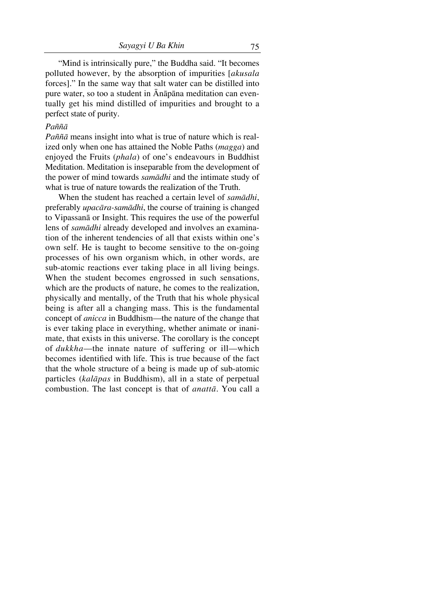"Mind is intrinsically pure," the Buddha said. "It becomes polluted however, by the absorption of impurities [*akusala* forces]." In the same way that salt water can be distilled into pure water, so too a student in Ānāpāna meditation can eventually get his mind distilled of impurities and brought to a perfect state of purity.

#### *Paññā*

*Paññā* means insight into what is true of nature which is realized only when one has attained the Noble Paths (*magga*) and enjoyed the Fruits (*phala*) of one's endeavours in Buddhist Meditation. Meditation is inseparable from the development of the power of mind towards *samādhi* and the intimate study of what is true of nature towards the realization of the Truth.

When the student has reached a certain level of *samādhi*, preferably *upacāra-samādhi*, the course of training is changed to Vipassanā or Insight. This requires the use of the powerful lens of *samādhi* already developed and involves an examination of the inherent tendencies of all that exists within one's own self. He is taught to become sensitive to the on-going processes of his own organism which, in other words, are sub-atomic reactions ever taking place in all living beings. When the student becomes engrossed in such sensations, which are the products of nature, he comes to the realization, physically and mentally, of the Truth that his whole physical being is after all a changing mass. This is the fundamental concept of *anicca* in Buddhism—the nature of the change that is ever taking place in everything, whether animate or inanimate, that exists in this universe. The corollary is the concept of *dukkha*—the innate nature of suffering or ill—which becomes identified with life. This is true because of the fact that the whole structure of a being is made up of sub-atomic particles (*kalāpas* in Buddhism), all in a state of perpetual combustion. The last concept is that of *anattā*. You call a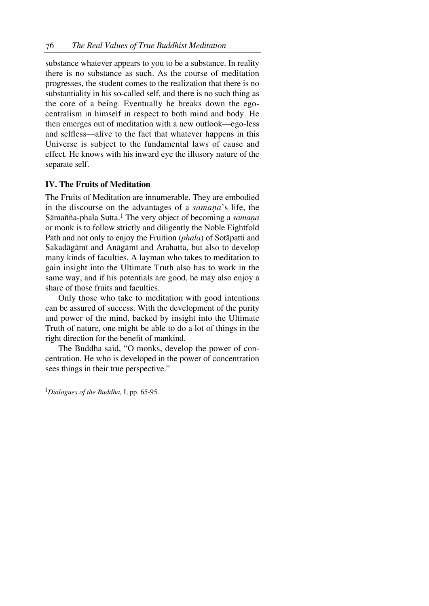substance whatever appears to you to be a substance. In reality there is no substance as such. As the course of meditation progresses, the student comes to the realization that there is no substantiality in his so-called self, and there is no such thing as the core of a being. Eventually he breaks down the egocentralism in himself in respect to both mind and body. He then emerges out of meditation with a new outlook—ego-less and selfless—alive to the fact that whatever happens in this Universe is subject to the fundamental laws of cause and effect. He knows with his inward eye the illusory nature of the separate self.

## **IV. The Fruits of Meditation**

The Fruits of Meditation are innumerable. They are embodied in the discourse on the advantages of a *samaa*'s life, the Sāmañña-phala Sutta.1 The very object of becoming a *samaa* or monk is to follow strictly and diligently the Noble Eightfold Path and not only to enjoy the Fruition (*phala*) of Sotāpatti and Sakadāgāmī and Anāgāmī and Arahatta, but also to develop many kinds of faculties. A layman who takes to meditation to gain insight into the Ultimate Truth also has to work in the same way, and if his potentials are good, he may also enjoy a share of those fruits and faculties.

Only those who take to meditation with good intentions can be assured of success. With the development of the purity and power of the mind, backed by insight into the Ultimate Truth of nature, one might be able to do a lot of things in the right direction for the benefit of mankind.

The Buddha said, "O monks, develop the power of concentration. He who is developed in the power of concentration sees things in their true perspective."

<sup>1</sup>*Dialogues of the Buddha,* I, pp. 65-95.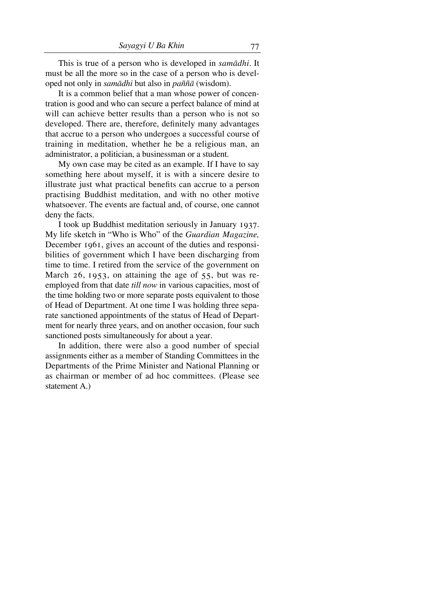This is true of a person who is developed in *samādhi*. It must be all the more so in the case of a person who is developed not only in *samādhi* but also in *paññā* (wisdom).

It is a common belief that a man whose power of concentration is good and who can secure a perfect balance of mind at will can achieve better results than a person who is not so developed. There are, therefore, definitely many advantages that accrue to a person who undergoes a successful course of training in meditation, whether he be a religious man, an administrator, a politician, a businessman or a student.

My own case may be cited as an example. If I have to say something here about myself, it is with a sincere desire to illustrate just what practical benefits can accrue to a person practising Buddhist meditation, and with no other motive whatsoever. The events are factual and, of course, one cannot deny the facts.

I took up Buddhist meditation seriously in January 1937. My life sketch in "Who is Who" of the *Guardian Magazine,* December 1961, gives an account of the duties and responsibilities of government which I have been discharging from time to time. I retired from the service of the government on March 26, 1953, on attaining the age of 55, but was reemployed from that date *till now* in various capacities, most of the time holding two or more separate posts equivalent to those of Head of Department. At one time I was holding three separate sanctioned appointments of the status of Head of Department for nearly three years, and on another occasion, four such sanctioned posts simultaneously for about a year.

In addition, there were also a good number of special assignments either as a member of Standing Committees in the Departments of the Prime Minister and National Planning or as chairman or member of ad hoc committees. (Please see statement A.)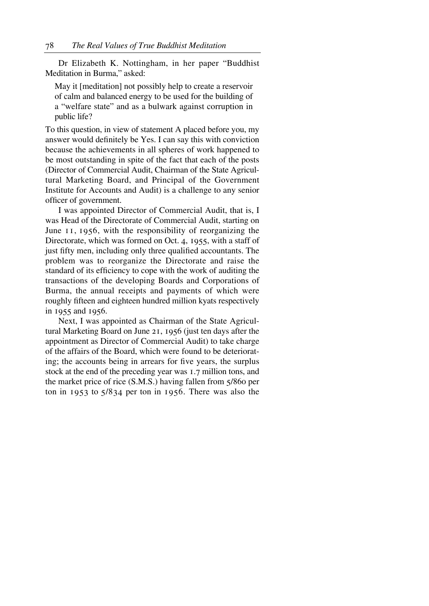Dr Elizabeth K. Nottingham, in her paper "Buddhist Meditation in Burma," asked:

May it [meditation] not possibly help to create a reservoir of calm and balanced energy to be used for the building of a "welfare state" and as a bulwark against corruption in public life?

To this question, in view of statement A placed before you, my answer would definitely be Yes. I can say this with conviction because the achievements in all spheres of work happened to be most outstanding in spite of the fact that each of the posts (Director of Commercial Audit, Chairman of the State Agricultural Marketing Board, and Principal of the Government Institute for Accounts and Audit) is a challenge to any senior officer of government.

I was appointed Director of Commercial Audit, that is, I was Head of the Directorate of Commercial Audit, starting on June 11, 1956, with the responsibility of reorganizing the Directorate, which was formed on Oct. 4, 1955, with a staff of just fifty men, including only three qualified accountants. The problem was to reorganize the Directorate and raise the standard of its efficiency to cope with the work of auditing the transactions of the developing Boards and Corporations of Burma, the annual receipts and payments of which were roughly fifteen and eighteen hundred million kyats respectively in 1955 and 1956.

Next, I was appointed as Chairman of the State Agricultural Marketing Board on June 21, 1956 (just ten days after the appointment as Director of Commercial Audit) to take charge of the affairs of the Board, which were found to be deteriorating; the accounts being in arrears for five years, the surplus stock at the end of the preceding year was 1.7 million tons, and the market price of rice (S.M.S.) having fallen from 5/860 per ton in 1953 to 5/834 per ton in 1956. There was also the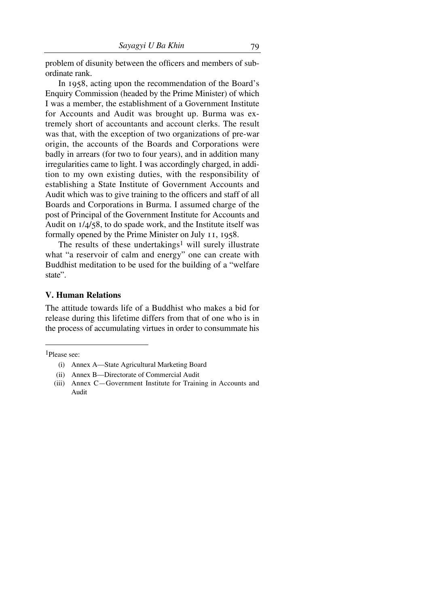problem of disunity between the officers and members of subordinate rank.

In 1958, acting upon the recommendation of the Board's Enquiry Commission (headed by the Prime Minister) of which I was a member, the establishment of a Government Institute for Accounts and Audit was brought up. Burma was extremely short of accountants and account clerks. The result was that, with the exception of two organizations of pre-war origin, the accounts of the Boards and Corporations were badly in arrears (for two to four years), and in addition many irregularities came to light. I was accordingly charged, in addition to my own existing duties, with the responsibility of establishing a State Institute of Government Accounts and Audit which was to give training to the officers and staff of all Boards and Corporations in Burma. I assumed charge of the post of Principal of the Government Institute for Accounts and Audit on 1/4/58, to do spade work, and the Institute itself was formally opened by the Prime Minister on July 11, 1958.

The results of these undertakings<sup>1</sup> will surely illustrate what "a reservoir of calm and energy" one can create with Buddhist meditation to be used for the building of a "welfare state".

### **V. Human Relations**

The attitude towards life of a Buddhist who makes a bid for release during this lifetime differs from that of one who is in the process of accumulating virtues in order to consummate his

<sup>1</sup>Please see:

<sup>(</sup>i) Annex A—State Agricultural Marketing Board

<sup>(</sup>ii) Annex B—Directorate of Commercial Audit

<sup>(</sup>iii) Annex C—Government Institute for Training in Accounts and Audit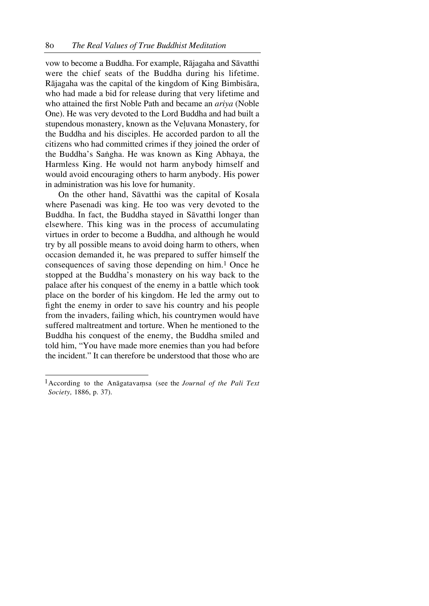vow to become a Buddha. For example, Rājagaha and Sāvatthi were the chief seats of the Buddha during his lifetime. Rājagaha was the capital of the kingdom of King Bimbisāra, who had made a bid for release during that very lifetime and who attained the first Noble Path and became an *ariya* (Noble One). He was very devoted to the Lord Buddha and had built a stupendous monastery, known as the Veluvana Monastery, for the Buddha and his disciples. He accorded pardon to all the citizens who had committed crimes if they joined the order of the Buddha's Sangha. He was known as King Abhaya, the Harmless King. He would not harm anybody himself and would avoid encouraging others to harm anybody. His power in administration was his love for humanity.

On the other hand, Sāvatthi was the capital of Kosala where Pasenadi was king. He too was very devoted to the Buddha. In fact, the Buddha stayed in Sāvatthi longer than elsewhere. This king was in the process of accumulating virtues in order to become a Buddha, and although he would try by all possible means to avoid doing harm to others, when occasion demanded it, he was prepared to suffer himself the consequences of saving those depending on him.1 Once he stopped at the Buddha's monastery on his way back to the palace after his conquest of the enemy in a battle which took place on the border of his kingdom. He led the army out to fight the enemy in order to save his country and his people from the invaders, failing which, his countrymen would have suffered maltreatment and torture. When he mentioned to the Buddha his conquest of the enemy, the Buddha smiled and told him, "You have made more enemies than you had before the incident." It can therefore be understood that those who are

<sup>&</sup>lt;sup>1</sup> According to the Anāgatavamsa (see the *Journal of the Pali Text Society,* 1886, p. 37).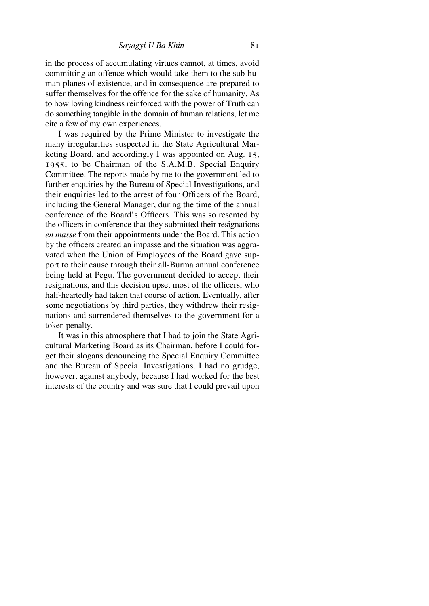in the process of accumulating virtues cannot, at times, avoid committing an offence which would take them to the sub-human planes of existence, and in consequence are prepared to suffer themselves for the offence for the sake of humanity. As to how loving kindness reinforced with the power of Truth can do something tangible in the domain of human relations, let me cite a few of my own experiences.

I was required by the Prime Minister to investigate the many irregularities suspected in the State Agricultural Marketing Board, and accordingly I was appointed on Aug. 15, 1955, to be Chairman of the S.A.M.B. Special Enquiry Committee. The reports made by me to the government led to further enquiries by the Bureau of Special Investigations, and their enquiries led to the arrest of four Officers of the Board, including the General Manager, during the time of the annual conference of the Board's Officers. This was so resented by the officers in conference that they submitted their resignations *en masse* from their appointments under the Board. This action by the officers created an impasse and the situation was aggravated when the Union of Employees of the Board gave support to their cause through their all-Burma annual conference being held at Pegu. The government decided to accept their resignations, and this decision upset most of the officers, who half-heartedly had taken that course of action. Eventually, after some negotiations by third parties, they withdrew their resignations and surrendered themselves to the government for a token penalty.

It was in this atmosphere that I had to join the State Agricultural Marketing Board as its Chairman, before I could forget their slogans denouncing the Special Enquiry Committee and the Bureau of Special Investigations. I had no grudge, however, against anybody, because I had worked for the best interests of the country and was sure that I could prevail upon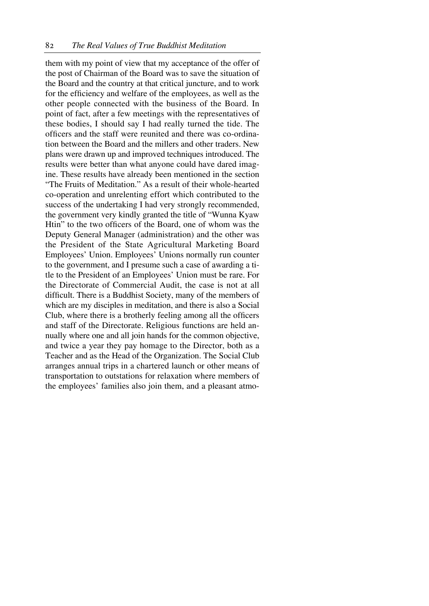them with my point of view that my acceptance of the offer of the post of Chairman of the Board was to save the situation of the Board and the country at that critical juncture, and to work for the efficiency and welfare of the employees, as well as the other people connected with the business of the Board. In point of fact, after a few meetings with the representatives of these bodies, I should say I had really turned the tide. The officers and the staff were reunited and there was co-ordination between the Board and the millers and other traders. New plans were drawn up and improved techniques introduced. The results were better than what anyone could have dared imagine. These results have already been mentioned in the section "The Fruits of Meditation." As a result of their whole-hearted co-operation and unrelenting effort which contributed to the success of the undertaking I had very strongly recommended, the government very kindly granted the title of "Wunna Kyaw Htin" to the two officers of the Board, one of whom was the Deputy General Manager (administration) and the other was the President of the State Agricultural Marketing Board Employees' Union. Employees' Unions normally run counter to the government, and I presume such a case of awarding a title to the President of an Employees' Union must be rare. For the Directorate of Commercial Audit, the case is not at all difficult. There is a Buddhist Society, many of the members of which are my disciples in meditation, and there is also a Social Club, where there is a brotherly feeling among all the officers and staff of the Directorate. Religious functions are held annually where one and all join hands for the common objective, and twice a year they pay homage to the Director, both as a Teacher and as the Head of the Organization. The Social Club arranges annual trips in a chartered launch or other means of transportation to outstations for relaxation where members of the employees' families also join them, and a pleasant atmo-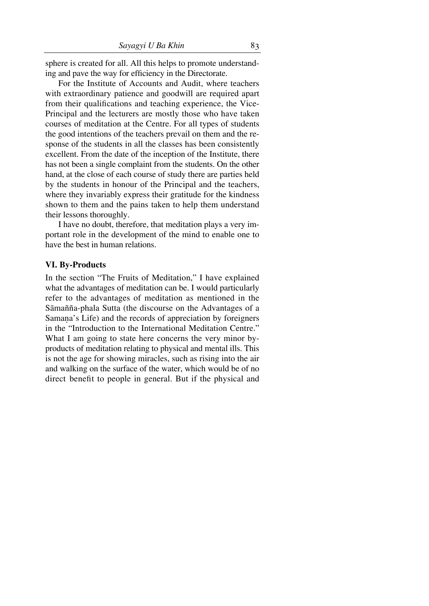sphere is created for all. All this helps to promote understanding and pave the way for efficiency in the Directorate.

For the Institute of Accounts and Audit, where teachers with extraordinary patience and goodwill are required apart from their qualifications and teaching experience, the Vice-Principal and the lecturers are mostly those who have taken courses of meditation at the Centre. For all types of students the good intentions of the teachers prevail on them and the response of the students in all the classes has been consistently excellent. From the date of the inception of the Institute, there has not been a single complaint from the students. On the other hand, at the close of each course of study there are parties held by the students in honour of the Principal and the teachers, where they invariably express their gratitude for the kindness shown to them and the pains taken to help them understand their lessons thoroughly.

I have no doubt, therefore, that meditation plays a very important role in the development of the mind to enable one to have the best in human relations.

### **VI. By-Products**

In the section "The Fruits of Meditation," I have explained what the advantages of meditation can be. I would particularly refer to the advantages of meditation as mentioned in the Sāmañña-phala Sutta (the discourse on the Advantages of a Samaa's Life) and the records of appreciation by foreigners in the "Introduction to the International Meditation Centre." What I am going to state here concerns the very minor byproducts of meditation relating to physical and mental ills. This is not the age for showing miracles, such as rising into the air and walking on the surface of the water, which would be of no direct benefit to people in general. But if the physical and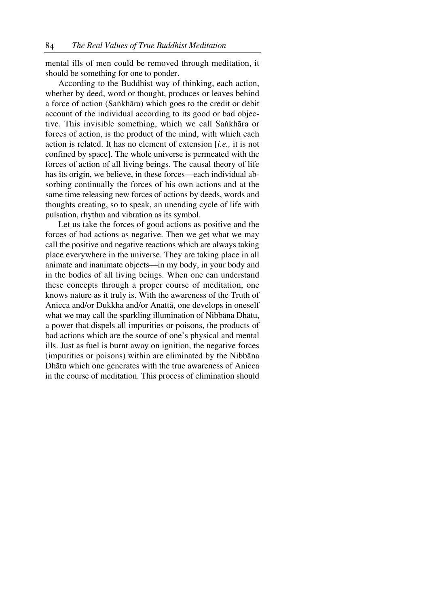mental ills of men could be removed through meditation, it should be something for one to ponder.

According to the Buddhist way of thinking, each action, whether by deed, word or thought, produces or leaves behind a force of action (Sakhāra) which goes to the credit or debit account of the individual according to its good or bad objective. This invisible something, which we call Sakhāra or forces of action, is the product of the mind, with which each action is related. It has no element of extension [*i.e.,* it is not confined by space]. The whole universe is permeated with the forces of action of all living beings. The causal theory of life has its origin, we believe, in these forces—each individual absorbing continually the forces of his own actions and at the same time releasing new forces of actions by deeds, words and thoughts creating, so to speak, an unending cycle of life with pulsation, rhythm and vibration as its symbol.

Let us take the forces of good actions as positive and the forces of bad actions as negative. Then we get what we may call the positive and negative reactions which are always taking place everywhere in the universe. They are taking place in all animate and inanimate objects—in my body, in your body and in the bodies of all living beings. When one can understand these concepts through a proper course of meditation, one knows nature as it truly is. With the awareness of the Truth of Anicca and/or Dukkha and/or Anattā, one develops in oneself what we may call the sparkling illumination of Nibbāna Dhātu, a power that dispels all impurities or poisons, the products of bad actions which are the source of one's physical and mental ills. Just as fuel is burnt away on ignition, the negative forces (impurities or poisons) within are eliminated by the Nibbāna Dhātu which one generates with the true awareness of Anicca in the course of meditation. This process of elimination should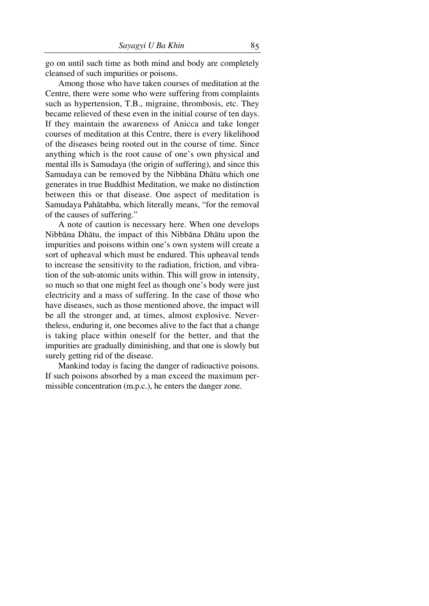go on until such time as both mind and body are completely cleansed of such impurities or poisons.

Among those who have taken courses of meditation at the Centre, there were some who were suffering from complaints such as hypertension, T.B., migraine, thrombosis, etc. They became relieved of these even in the initial course of ten days. If they maintain the awareness of Anicca and take longer courses of meditation at this Centre, there is every likelihood of the diseases being rooted out in the course of time. Since anything which is the root cause of one's own physical and mental ills is Samudaya (the origin of suffering), and since this Samudaya can be removed by the Nibbāna Dhātu which one generates in true Buddhist Meditation, we make no distinction between this or that disease. One aspect of meditation is Samudaya Pahātabba, which literally means, "for the removal of the causes of suffering."

A note of caution is necessary here. When one develops Nibbāna Dhātu, the impact of this Nibbāna Dhātu upon the impurities and poisons within one's own system will create a sort of upheaval which must be endured. This upheaval tends to increase the sensitivity to the radiation, friction, and vibration of the sub-atomic units within. This will grow in intensity, so much so that one might feel as though one's body were just electricity and a mass of suffering. In the case of those who have diseases, such as those mentioned above, the impact will be all the stronger and, at times, almost explosive. Nevertheless, enduring it, one becomes alive to the fact that a change is taking place within oneself for the better, and that the impurities are gradually diminishing, and that one is slowly but surely getting rid of the disease.

Mankind today is facing the danger of radioactive poisons. If such poisons absorbed by a man exceed the maximum permissible concentration (m.p.c.), he enters the danger zone.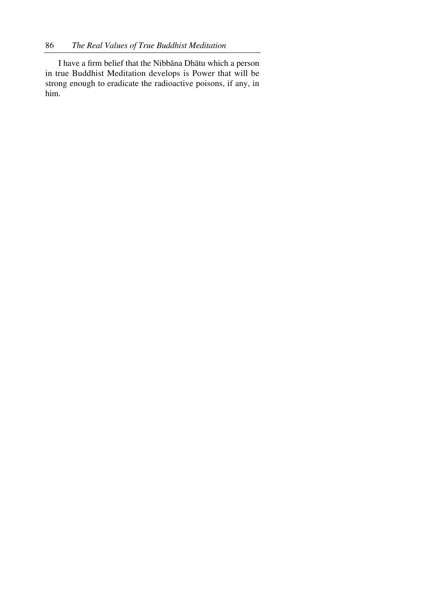I have a firm belief that the Nibbāna Dhātu which a person in true Buddhist Meditation develops is Power that will be strong enough to eradicate the radioactive poisons, if any, in him.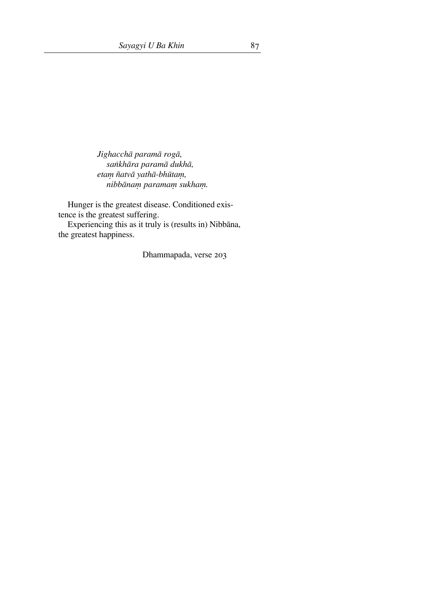*Jighacchā paramā rogā, sakhāra paramā dukhā, eta ñatvā yathā-bhūta,*  $nibb\bar{a}$ nam paramam sukham.

Hunger is the greatest disease. Conditioned existence is the greatest suffering.

Experiencing this as it truly is (results in) Nibbāna, the greatest happiness.

Dhammapada, verse 203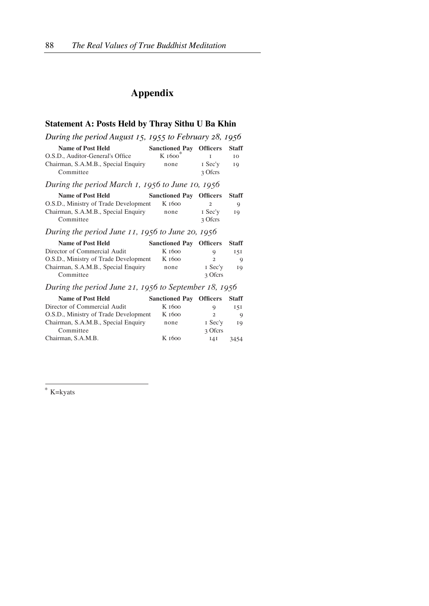# **Appendix**

#### **Statement A: Posts Held by Thray Sithu U Ba Khin**

*During the period August 15, 1955 to February 28, 1956* **Name of Post Held Sanctioned Pay Officers** Staff O.S.D., Auditor-General's Office K 1600<sup>\*</sup> 1 10 Chairman, S.A.M.B., Special Enquiry none 1 Sec'y 19 Committee 3 Ofcrs

#### *During the period March 1, 1956 to June 10, 1956*

| <b>Name of Post Held</b>              | <b>Sanctioned Pay Officers</b> |         | <b>Staff</b> |
|---------------------------------------|--------------------------------|---------|--------------|
| O.S.D., Ministry of Trade Development | K 1600                         | 2       | $\Omega$     |
| Chairman, S.A.M.B., Special Enquiry   | none                           | I Sec'v | IQ.          |
| Committee                             |                                | 3 Ofcrs |              |

#### *During the period June 11, 1956 to June 20, 1956*

| <b>Name of Post Held</b>              | <b>Sanctioned Pay Officers</b> |         | <b>Staff</b> |
|---------------------------------------|--------------------------------|---------|--------------|
| Director of Commercial Audit          | K 1600                         | Q       | 151          |
| O.S.D., Ministry of Trade Development | K 1600                         | 2       | 9            |
| Chairman, S.A.M.B., Special Enquiry   | none                           | I Sec'y | 19           |
| Committee                             |                                | 3 Ofcrs |              |

#### *During the period June 21, 1956 to September 18, 1956*

| <b>Name of Post Held</b>              | <b>Sanctioned Pay Officers</b> |                | <b>Staff</b> |
|---------------------------------------|--------------------------------|----------------|--------------|
| Director of Commercial Audit          | K 1600                         | Q              | 151          |
| O.S.D., Ministry of Trade Development | K 1600                         | $\overline{2}$ | 9            |
| Chairman, S.A.M.B., Special Enquiry   | none                           | I Sec'y        | 19           |
| Committee                             |                                | 3 Ofcrs        |              |
| Chairman, S.A.M.B.                    | K 1600                         | 141            | 3454         |

K=kyats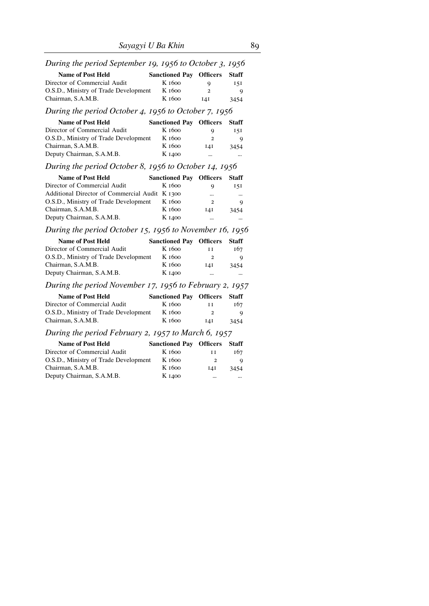#### *During the period September 19, 1956 to October 3, 1956*

| <b>Name of Post Held</b>              | <b>Sanctioned Pay Officers</b> |                | Staff |
|---------------------------------------|--------------------------------|----------------|-------|
| Director of Commercial Audit          | K 1600                         | Q              | 151   |
| O.S.D., Ministry of Trade Development | K 1600                         | $\overline{2}$ | Q     |
| Chairman, S.A.M.B.                    | K 1600                         | 141            | 3454  |

#### *During the period October 4, 1956 to October 7, 1956*

| <b>Name of Post Held</b>              | <b>Sanctioned Pay Officers</b> |          | Staff    |
|---------------------------------------|--------------------------------|----------|----------|
| Director of Commercial Audit          | K 1600                         |          | 151      |
| O.S.D., Ministry of Trade Development | K 1600                         | 2        | 9        |
| Chairman, S.A.M.B.                    | K 1600                         | 141      | 3454     |
| Deputy Chairman, S.A.M.B.             | K 1400                         | $\cdots$ | $\cdots$ |

## *During the period October 8, 1956 to October 14, 1956*

| <b>Name of Post Held</b>                       | <b>Sanctioned Pay Officers</b> |          | <b>Staff</b> |
|------------------------------------------------|--------------------------------|----------|--------------|
| Director of Commercial Audit                   | K 1600                         |          | 151          |
| Additional Director of Commercial Audit K 1300 |                                | $\cdots$ | $\cdots$     |
| O.S.D., Ministry of Trade Development          | K 1600                         | 2        | 9            |
| Chairman, S.A.M.B.                             | K 1600                         | 141      | 3454         |
| Deputy Chairman, S.A.M.B.                      | K 1400                         | $\cdots$ | $\cdots$     |

#### *During the period October 15, 1956 to November 16, 1956*

| <b>Name of Post Held</b>              | <b>Sanctioned Pay Officers</b> |          | <b>Staff</b> |
|---------------------------------------|--------------------------------|----------|--------------|
| Director of Commercial Audit          | K 1600                         | H        | 167          |
| O.S.D., Ministry of Trade Development | K 1600                         | 2        |              |
| Chairman, S.A.M.B.                    | K 1600                         | 141      | 3454         |
| Deputy Chairman, S.A.M.B.             | K 1400                         | $\cdots$ | $\cdots$     |

#### *During the period November 17, 1956 to February 2, 1957*

| <b>Name of Post Held</b>              | <b>Sanctioned Pay Officers</b> |              | – Staff |
|---------------------------------------|--------------------------------|--------------|---------|
| Director of Commercial Audit          | K 1600                         | $\mathbf{H}$ | 167     |
| O.S.D., Ministry of Trade Development | K 1600                         | 2            |         |
| Chairman, S.A.M.B.                    | K 1600                         | 141          | 3454    |

#### *During the period February 2, 1957 to March 6, 1957*

| <b>Name of Post Held</b>              | <b>Sanctioned Pay Officers</b> |          | <b>Staff</b> |
|---------------------------------------|--------------------------------|----------|--------------|
| Director of Commercial Audit          | K 1600                         | H        | 167          |
| O.S.D., Ministry of Trade Development | K 1600                         | 2        | 9            |
| Chairman, S.A.M.B.                    | K 1600                         | 141      | 3454         |
| Deputy Chairman, S.A.M.B.             | K 1400                         | $\cdots$ |              |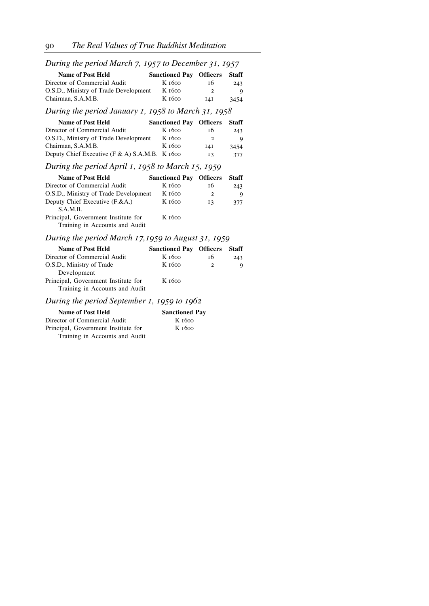#### *During the period March 7, 1957 to December 31, 1957*

| <b>Name of Post Held</b>              | <b>Sanctioned Pay Officers</b> |                | Staff |
|---------------------------------------|--------------------------------|----------------|-------|
| Director of Commercial Audit          | K 1600                         | т6             | 243   |
| O.S.D., Ministry of Trade Development | K 1600                         | $\overline{2}$ | Q     |
| Chairman, S.A.M.B.                    | K 1600                         | 141            | 3454  |

## *During the period January 1, 1958 to March 31, 1958*

| <b>Name of Post Held</b>                            | <b>Sanctioned Pay Officers</b> |     | Staff |
|-----------------------------------------------------|--------------------------------|-----|-------|
| Director of Commercial Audit                        | K 1600                         | т6  | 243   |
| O.S.D., Ministry of Trade Development               | K 1600                         | 2   | 9     |
| Chairman, S.A.M.B.                                  | K 1600                         | 14I | 3454  |
| Deputy Chief Executive ( $F \& A$ ) S.A.M.B. K 1600 |                                | 13  | 377   |

## *During the period April 1, 1958 to March 15, 1959*

| <b>Name of Post Held</b>              | <b>Sanctioned Pay Officers</b> |    | Staff |
|---------------------------------------|--------------------------------|----|-------|
| Director of Commercial Audit          | K 1600                         | 16 | 243   |
| O.S.D., Ministry of Trade Development | K 1600                         | 2  | 9     |
| Deputy Chief Executive (F.&A.)        | K 1600                         | 13 | 377   |
| S.A.M.B.                              |                                |    |       |
| Principal, Government Institute for   | K 1600                         |    |       |
| Training in Accounts and Audit        |                                |    |       |

#### *During the period March 17,1959 to August 31, 1959*

| <b>Name of Post Held</b>            | <b>Sanctioned Pay Officers</b> |    | <b>Staff</b> |
|-------------------------------------|--------------------------------|----|--------------|
| Director of Commercial Audit        | K 1600                         | T6 | 243          |
| O.S.D., Ministry of Trade           | K 1600                         |    | 9            |
| Development                         |                                |    |              |
| Principal, Government Institute for | K 1600                         |    |              |
| Training in Accounts and Audit      |                                |    |              |

#### *During the period September 1, 1959 to 1962*

| <b>Name of Post Held</b>            | <b>Sanctioned Pay</b> |
|-------------------------------------|-----------------------|
| Director of Commercial Audit        | K 1600                |
| Principal, Government Institute for | K 1600                |
| Training in Accounts and Audit      |                       |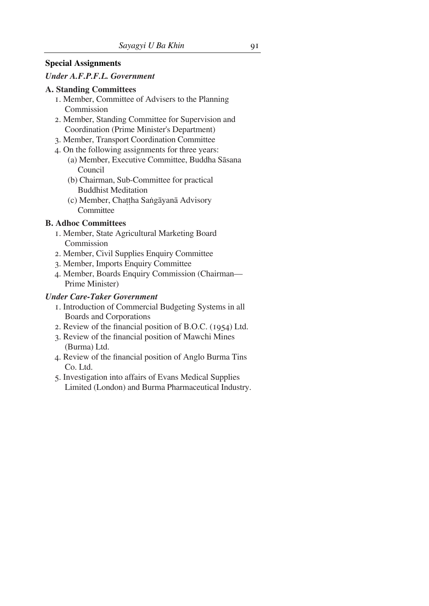## **Special Assignments**

# *Under A.F.P.F.L. Government*

# **A. Standing Committees**

- 1. Member, Committee of Advisers to the Planning Commission
- 2. Member, Standing Committee for Supervision and Coordination (Prime Minister's Department)
- 3. Member, Transport Coordination Committee
- 4. On the following assignments for three years:
	- (a) Member, Executive Committee, Buddha Sāsana Council
	- (b) Chairman, Sub-Committee for practical Buddhist Meditation
	- (c) Member, Chattha Sangāyanā Advisory **Committee**

# **B. Adhoc Committees**

- 1. Member, State Agricultural Marketing Board Commission
- 2. Member, Civil Supplies Enquiry Committee
- 3. Member, Imports Enquiry Committee
- 4. Member, Boards Enquiry Commission (Chairman— Prime Minister)

# *Under Care-Taker Government*

- 1. Introduction of Commercial Budgeting Systems in all Boards and Corporations
- 2. Review of the financial position of B.O.C. (1954) Ltd.
- 3. Review of the financial position of Mawchi Mines (Burma) Ltd.
- 4. Review of the financial position of Anglo Burma Tins Co. Ltd.
- 5. Investigation into affairs of Evans Medical Supplies Limited (London) and Burma Pharmaceutical Industry.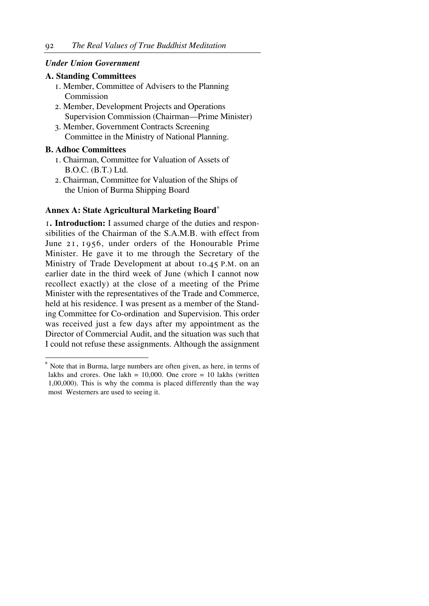## *Under Union Government*

## **A. Standing Committees**

- 1. Member, Committee of Advisers to the Planning Commission
- 2. Member, Development Projects and Operations Supervision Commission (Chairman—Prime Minister)
- 3. Member, Government Contracts Screening Committee in the Ministry of National Planning.

# **B. Adhoc Committees**

- 1. Chairman, Committee for Valuation of Assets of B.O.C. (B.T.) Ltd.
- 2. Chairman, Committee for Valuation of the Ships of the Union of Burma Shipping Board

# **Annex A: State Agricultural Marketing Board**\*

1**. Introduction:** I assumed charge of the duties and responsibilities of the Chairman of the S.A.M.B. with effect from June 21, 1956, under orders of the Honourable Prime Minister. He gave it to me through the Secretary of the Ministry of Trade Development at about 10.45 P.M. on an earlier date in the third week of June (which I cannot now recollect exactly) at the close of a meeting of the Prime Minister with the representatives of the Trade and Commerce, held at his residence. I was present as a member of the Standing Committee for Co-ordination and Supervision. This order was received just a few days after my appointment as the Director of Commercial Audit, and the situation was such that I could not refuse these assignments. Although the assignment

Note that in Burma, large numbers are often given, as here, in terms of lakhs and crores. One lakh =  $10,000$ . One crore = 10 lakhs (written 1,00,000). This is why the comma is placed differently than the way most Westerners are used to seeing it.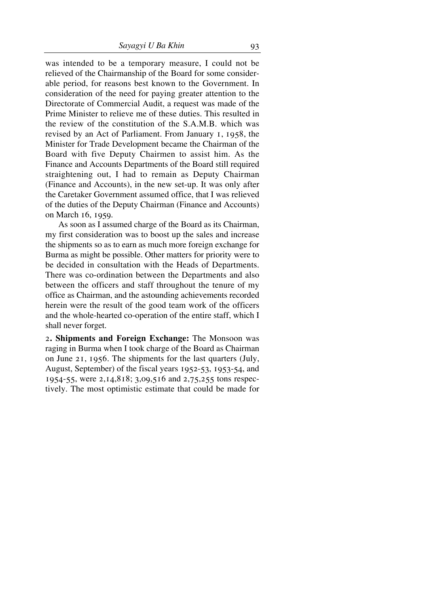was intended to be a temporary measure, I could not be relieved of the Chairmanship of the Board for some considerable period, for reasons best known to the Government. In consideration of the need for paying greater attention to the Directorate of Commercial Audit, a request was made of the Prime Minister to relieve me of these duties. This resulted in the review of the constitution of the S.A.M.B. which was revised by an Act of Parliament. From January 1, 1958, the Minister for Trade Development became the Chairman of the Board with five Deputy Chairmen to assist him. As the Finance and Accounts Departments of the Board still required straightening out, I had to remain as Deputy Chairman (Finance and Accounts), in the new set-up. It was only after the Caretaker Government assumed office, that I was relieved of the duties of the Deputy Chairman (Finance and Accounts) on March 16, 1959.

As soon as I assumed charge of the Board as its Chairman, my first consideration was to boost up the sales and increase the shipments so as to earn as much more foreign exchange for Burma as might be possible. Other matters for priority were to be decided in consultation with the Heads of Departments. There was co-ordination between the Departments and also between the officers and staff throughout the tenure of my office as Chairman, and the astounding achievements recorded herein were the result of the good team work of the officers and the whole-hearted co-operation of the entire staff, which I shall never forget.

2**. Shipments and Foreign Exchange:** The Monsoon was raging in Burma when I took charge of the Board as Chairman on June 21, 1956. The shipments for the last quarters (July, August, September) of the fiscal years 1952-53, 1953-54, and 1954-55, were 2,14,818; 3,09,516 and 2,75,255 tons respectively. The most optimistic estimate that could be made for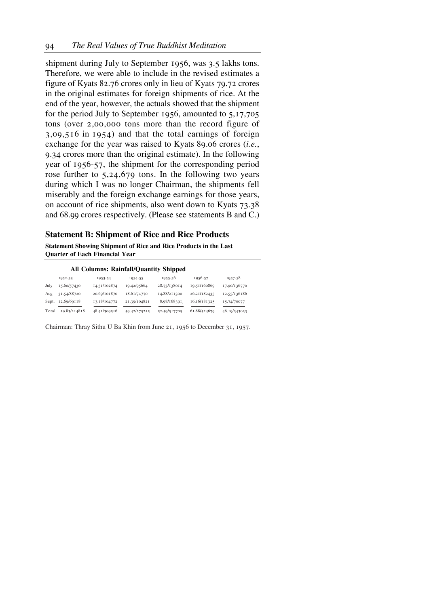shipment during July to September 1956, was 3.5 lakhs tons. Therefore, we were able to include in the revised estimates a figure of Kyats 82.76 crores only in lieu of Kyats 79.72 crores in the original estimates for foreign shipments of rice. At the end of the year, however, the actuals showed that the shipment for the period July to September 1956, amounted to 5,17,705 tons (over 2,00,000 tons more than the record figure of 3,09,516 in 1954) and that the total earnings of foreign exchange for the year was raised to Kyats 89.06 crores (*i.e.*, 9.34 crores more than the original estimate). In the following year of 1956-57, the shipment for the corresponding period rose further to 5,24,679 tons. In the following two years during which I was no longer Chairman, the shipments fell miserably and the foreign exchange earnings for those years, on account of rice shipments, also went down to Kyats 73.38 and 68.99 crores respectively. (Please see statements B and C.)

#### **Statement B: Shipment of Rice and Rice Products**

**Statement Showing Shipment of Rice and Rice Products in the Last Quarter of Each Financial Year**

|       | $1952 - 53$  | 1953-54      | 1954-55      | 1955-56      | 1956-57      | 1957-58      |
|-------|--------------|--------------|--------------|--------------|--------------|--------------|
| July  | 15.60/57430  | 14.51/102874 | 19.42/95664  | 28.73/138014 | 19.51/160869 | 17.90/136770 |
| Aug   | 31.54/88720  | 20.69/101870 | 18.61/74770  | 14.88/211300 | 26.21/182435 | 12.55/136186 |
| Sept. | 12.69/69118  | 13.18/104772 | 21.39/104821 | 8.98/168391  | 16.16/181325 | 15.74/70077  |
| Total | 59.83/214818 | 48.41/309516 | 59.42/275255 | 52.59/517705 | 61.88/524679 | 46.19/343033 |

#### **All Columns: Rainfall/Quantity Shipped**

Chairman: Thray Sithu U Ba Khin from June 21, 1956 to December 31, 1957.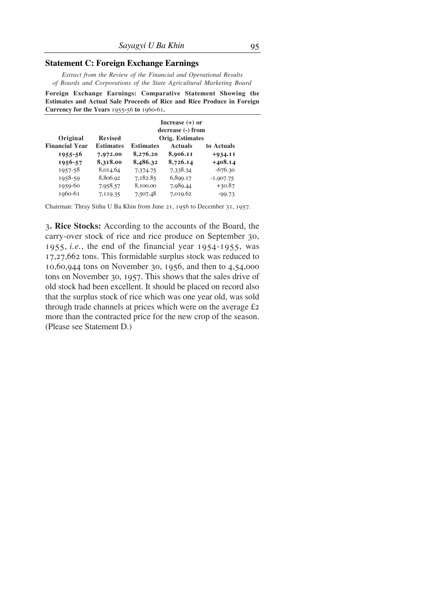#### **Statement C: Foreign Exchange Earnings**

*Extract from the Review of the Financial and Operational Results of Boards and Corporations of the State Agricultural Marketing Board*

**Foreign Exchange Earnings: Comparative Statement Showing the Estimates and Actual Sale Proceeds of Rice and Rice Produce in Foreign Currency for the Years** 1955**-**56 **to** 1960**-**61**.**

| Original              | <b>Revised</b>   | Increase $(+)$ or<br>decrease (-) from<br><b>Orig. Estimates</b> |                |             |  |
|-----------------------|------------------|------------------------------------------------------------------|----------------|-------------|--|
| <b>Financial Year</b> | <b>Estimates</b> | <b>Estimates</b>                                                 | <b>Actuals</b> | to Actuals  |  |
| $1955 - 56$           | 7,972.00         | 8,276.20                                                         | 8,906.11       | $+934.11$   |  |
| $1956 - 57$           | 8,318.00         | 8,486.32                                                         | 8,726.14       | $+408.14$   |  |
| 1957-58               | 8,014.64         | 7,374.75                                                         | 7,338.34       | $-676.30$   |  |
| 1958-59               | 8,806.92         | 7,182.85                                                         | 6,899.17       | $-1,907.75$ |  |
| 1959-60               | 7,958.57         | 8,100.00                                                         | 7,989.44       | $+30.87$    |  |
| 1960-61               | 7,119.35         | 7,507.48                                                         | 7,019.62       | $-99.73$    |  |

Chairman: Thray Sithu U Ba Khin from June 21, 1956 to December 31, 1957.

3**. Rice Stocks:** According to the accounts of the Board, the carry-over stock of rice and rice produce on September 30, 1955, *i.e.*, the end of the financial year 1954-1955, was 17,27,662 tons. This formidable surplus stock was reduced to 10,60,944 tons on November 30, 1956, and then to 4,54,000 tons on November 30, 1957. This shows that the sales drive of old stock had been excellent. It should be placed on record also that the surplus stock of rice which was one year old, was sold through trade channels at prices which were on the average £2 more than the contracted price for the new crop of the season. (Please see Statement D.)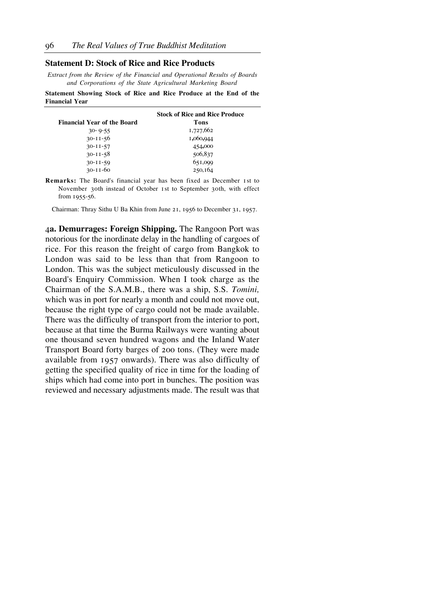#### **Statement D: Stock of Rice and Rice Products**

*Extract from the Review of the Financial and Operational Results of Boards and Corporations of the State Agricultural Marketing Board*

**Statement Showing Stock of Rice and Rice Produce at the End of the Financial Year**

|                                    | <b>Stock of Rice and Rice Produce</b> |
|------------------------------------|---------------------------------------|
| <b>Financial Year of the Board</b> | Tons                                  |
| $30 - 9 - 55$                      | 1,727,662                             |
| $30 - 11 - 56$                     | 1,060,944                             |
| $30 - 11 - 57$                     | 454,000                               |
| $30 - 11 - 58$                     | 506,837                               |
| $30 - 11 - 59$                     | 651,099                               |
| $30 - 11 - 60$                     | 250,164                               |

**Remarks:** The Board's financial year has been fixed as December 1st to November 30th instead of October 1st to September 30th, with effect from 1955-56.

Chairman: Thray Sithu U Ba Khin from June 21, 1956 to December 31, 1957.

4**a. Demurrages: Foreign Shipping.** The Rangoon Port was notorious for the inordinate delay in the handling of cargoes of rice. For this reason the freight of cargo from Bangkok to London was said to be less than that from Rangoon to London. This was the subject meticulously discussed in the Board's Enquiry Commission. When I took charge as the Chairman of the S.A.M.B., there was a ship, S.S. *Tomini,* which was in port for nearly a month and could not move out, because the right type of cargo could not be made available. There was the difficulty of transport from the interior to port, because at that time the Burma Railways were wanting about one thousand seven hundred wagons and the Inland Water Transport Board forty barges of 200 tons. (They were made available from 1957 onwards). There was also difficulty of getting the specified quality of rice in time for the loading of ships which had come into port in bunches. The position was reviewed and necessary adjustments made. The result was that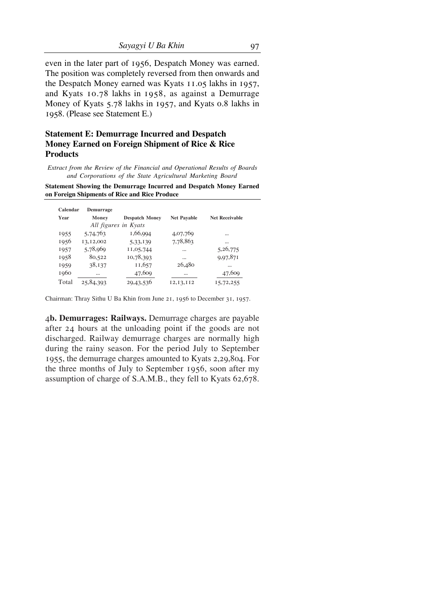even in the later part of 1956, Despatch Money was earned. The position was completely reversed from then onwards and the Despatch Money earned was Kyats 11.05 lakhs in 1957, and Kyats 10.78 lakhs in 1958, as against a Demurrage Money of Kyats 5.78 lakhs in 1957, and Kyats 0.8 lakhs in 1958. (Please see Statement E.)

#### **Statement E: Demurrage Incurred and Despatch Money Earned on Foreign Shipment of Rice & Rice Products**

*Extract from the Review of the Financial and Operational Results of Boards and Corporations of the State Agricultural Marketing Board*

**Statement Showing the Demurrage Incurred and Despatch Money Earned on Foreign Shipments of Rice and Rice Produce**

| Calendar | <b>Demurrage</b>     |                       |                    |                       |
|----------|----------------------|-----------------------|--------------------|-----------------------|
| Year     | Money                | <b>Despatch Money</b> | <b>Net Payable</b> | <b>Net Receivable</b> |
|          | All figures in Kyats |                       |                    |                       |
| 1955     | 5,74,763             | 1,66,994              | 4,07,769           |                       |
| 1956     | 13,12,002            | 5,33,139              | 7,78,863           |                       |
| 1957     | 5,78,969             | 11,05,744             |                    | 5,26,775              |
| 1958     | 80,522               | 10,78,393             |                    | 9,97,871              |
| 1959     | 38,137               | 11,657                | 26,480             |                       |
| 1960     |                      | 47,609                | $\cdots$           | 47,609                |
| Total    | 25,84,393            | 29,43,536             | 12,13,112          | 15,72,255             |

Chairman: Thray Sithu U Ba Khin from June 21, 1956 to December 31, 1957.

4**b. Demurrages: Railways.** Demurrage charges are payable after 24 hours at the unloading point if the goods are not discharged. Railway demurrage charges are normally high during the rainy season. For the period July to September 1955, the demurrage charges amounted to Kyats 2,29,804. For the three months of July to September 1956, soon after my assumption of charge of S.A.M.B., they fell to Kyats 62,678.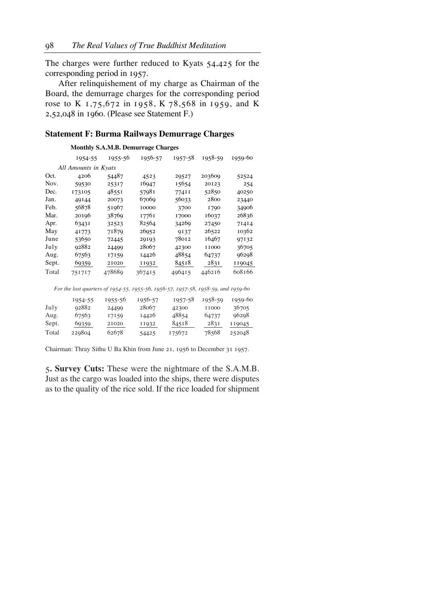The charges were further reduced to Kyats 54,425 for the corresponding period in 1957.

After relinquishement of my charge as Chairman of the Board, the demurrage charges for the corresponding period rose to K 1,75,672 in 1958, K 78,568 in 1959, and K 2,52,048 in 1960. (Please see Statement F.)

#### **Statement F: Burma Railways Demurrage Charges**

|       | 1954-55              | 1955-56 | 1956-57 | 1957-58 | 1958-59 | 1959-60 |
|-------|----------------------|---------|---------|---------|---------|---------|
|       | All Amounts in Kyats |         |         |         |         |         |
| Oct.  | 4206                 | 54487   | 4523    | 29527   | 203609  | 52524   |
| Nov.  | 59530                | 25317   | 16947   | 15654   | 20123   | 254     |
| Dec.  | 173105               | 48551   | 57981   | 774II   | 52850   | 40250   |
| Jan.  | 49144                | 20073   | 67069   | 56033   | 2800    | 23440   |
| Feb.  | 56878                | 51967   | 10000   | 3700    | 1790    | 34906   |
| Mar.  | 20196                | 38769   | 17761   | 17000   | 16037   | 26836   |
| Apr.  | 63431                | 32523   | 82564   | 34269   | 27450   | 71414   |
| May   | 41773                | 71879   | 26952   | 9137    | 26522   | 10362   |
| June  | 53650                | 72445   | 29193   | 78012   | 16467   | 97132   |
| July  | 92882                | 24499   | 28067   | 42300   | 11000   | 36705   |
| Aug.  | 67563                | 17159   | 14426   | 48854   | 64737   | 96298   |
| Sept. | 69359                | 21020   | 11932   | 84518   | 2831    | 119045  |
| Total | 751717               | 478689  | 367415  | 496415  | 446216  | 608166  |

#### **Monthly S.A.M.B. Demurrage Charges**

For the last quarters of 1954-55, 1955-56, 1956-57, 1957-58, 1958-59, and 1959-60

|       | 1954-55 | 1955-56 | 1956-57 | 1957-58 | 1958-59      | 1959-60 |
|-------|---------|---------|---------|---------|--------------|---------|
| July  | 92882   | 24499   | 28067   | 42300   | <b>II000</b> | 36705   |
| Aug.  | 67563   | 17159   | 14426   | 48854   | 64737        | 96298   |
| Sept. | 69359   | 21020   | 11932   | 84518   | 2831         | 119045  |
| Total | 229804  | 62678   | 54425   | 175672  | 78568        | 252048  |

Chairman: Thray Sithu U Ba Khin from June 21, 1956 to December 31 1957.

5**. Survey Cuts:** These were the nightmare of the S.A.M.B. Just as the cargo was loaded into the ships, there were disputes as to the quality of the rice sold. If the rice loaded for shipment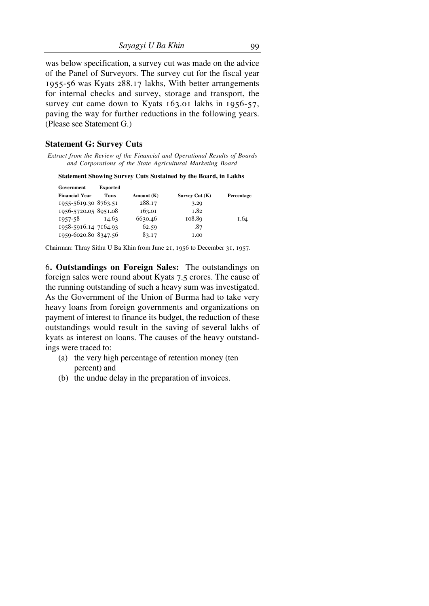was below specification, a survey cut was made on the advice of the Panel of Surveyors. The survey cut for the fiscal year 1955-56 was Kyats 288.17 lakhs, With better arrangements for internal checks and survey, storage and transport, the survey cut came down to Kyats 163.01 lakhs in 1956-57, paving the way for further reductions in the following years. (Please see Statement G.)

#### **Statement G: Survey Cuts**

*Extract from the Review of the Financial and Operational Results of Boards and Corporations of the State Agricultural Marketing Board*

|  |  |  |  | <b>Statement Showing Survey Cuts Sustained by the Board, in Lakhs</b> |  |  |  |  |  |
|--|--|--|--|-----------------------------------------------------------------------|--|--|--|--|--|
|--|--|--|--|-----------------------------------------------------------------------|--|--|--|--|--|

| <b>Exported</b>      |            |                  |            |
|----------------------|------------|------------------|------------|
| Tons                 | Amount (K) | Survey Cut $(K)$ | Percentage |
| 1955-5619.30 8763.51 | 288.17     | 3.29             |            |
| 1956-5720.05 8951.08 | 163.01     | 1.82             |            |
| 14.63                | 6630.46    | 108.89           | 1.64       |
| 1958-5916.14 7164.93 | 62.59      | .87              |            |
| 1959-6020.80 8347.56 | 83.17      | <b>1.00</b>      |            |
|                      |            |                  |            |

Chairman: Thray Sithu U Ba Khin from June 21, 1956 to December 31, 1957.

6**. Outstandings on Foreign Sales:** The outstandings on foreign sales were round about Kyats 7.5 crores. The cause of the running outstanding of such a heavy sum was investigated. As the Government of the Union of Burma had to take very heavy loans from foreign governments and organizations on payment of interest to finance its budget, the reduction of these outstandings would result in the saving of several lakhs of kyats as interest on loans. The causes of the heavy outstandings were traced to:

- (a) the very high percentage of retention money (ten percent) and
- (b) the undue delay in the preparation of invoices.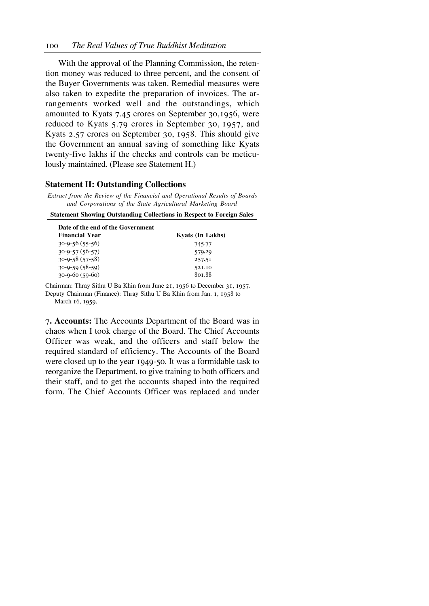With the approval of the Planning Commission, the retention money was reduced to three percent, and the consent of the Buyer Governments was taken. Remedial measures were also taken to expedite the preparation of invoices. The arrangements worked well and the outstandings, which amounted to Kyats 7.45 crores on September 30,1956, were reduced to Kyats 5.79 crores in September 30, 1957, and Kyats 2.57 crores on September 30, 1958. This should give the Government an annual saving of something like Kyats twenty-five lakhs if the checks and controls can be meticulously maintained. (Please see Statement H.)

#### **Statement H: Outstanding Collections**

*Extract from the Review of the Financial and Operational Results of Boards and Corporations of the State Agricultural Marketing Board*

**Statement Showing Outstanding Collections in Respect to Foreign Sales**

| Date of the end of the Government |                  |
|-----------------------------------|------------------|
| <b>Financial Year</b>             | Kyats (In Lakhs) |
| $30 - 9 - 56(55 - 56)$            | 745.77           |
| $30 - 9 - 57(56 - 57)$            | 579.29           |
| $30 - 9 - 58(57 - 58)$            | 257.51           |
| $30 - 9 - 59(58 - 59)$            | 521.10           |
| $30 - 9 - 60(59 - 60)$            | 801.88           |

Chairman: Thray Sithu U Ba Khin from June 21, 1956 to December 31, 1957. Deputy Chairman (Finance): Thray Sithu U Ba Khin from Jan. 1, 1958 to March 16, 1959,

7**. Accounts:** The Accounts Department of the Board was in chaos when I took charge of the Board. The Chief Accounts Officer was weak, and the officers and staff below the required standard of efficiency. The Accounts of the Board were closed up to the year 1949-50. It was a formidable task to reorganize the Department, to give training to both officers and their staff, and to get the accounts shaped into the required form. The Chief Accounts Officer was replaced and under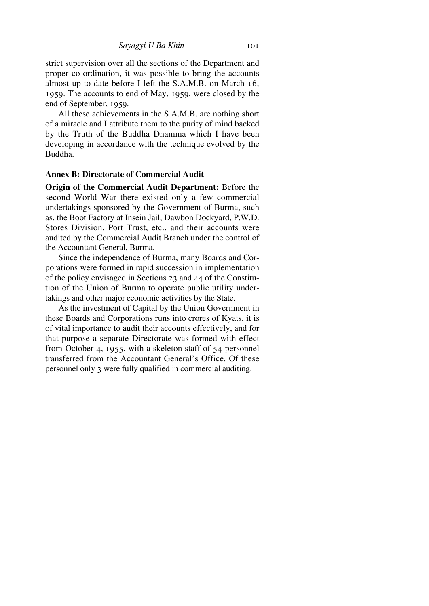strict supervision over all the sections of the Department and proper co-ordination, it was possible to bring the accounts almost up-to-date before I left the S.A.M.B. on March 16, 1959. The accounts to end of May, 1959, were closed by the end of September, 1959.

All these achievements in the S.A.M.B. are nothing short of a miracle and I attribute them to the purity of mind backed by the Truth of the Buddha Dhamma which I have been developing in accordance with the technique evolved by the Buddha.

#### **Annex B: Directorate of Commercial Audit**

**Origin of the Commercial Audit Department:** Before the second World War there existed only a few commercial undertakings sponsored by the Government of Burma, such as, the Boot Factory at Insein Jail, Dawbon Dockyard, P.W.D. Stores Division, Port Trust, etc., and their accounts were audited by the Commercial Audit Branch under the control of the Accountant General, Burma.

Since the independence of Burma, many Boards and Corporations were formed in rapid succession in implementation of the policy envisaged in Sections 23 and 44 of the Constitution of the Union of Burma to operate public utility undertakings and other major economic activities by the State.

As the investment of Capital by the Union Government in these Boards and Corporations runs into crores of Kyats, it is of vital importance to audit their accounts effectively, and for that purpose a separate Directorate was formed with effect from October 4, 1955, with a skeleton staff of 54 personnel transferred from the Accountant General's Office. Of these personnel only 3 were fully qualified in commercial auditing.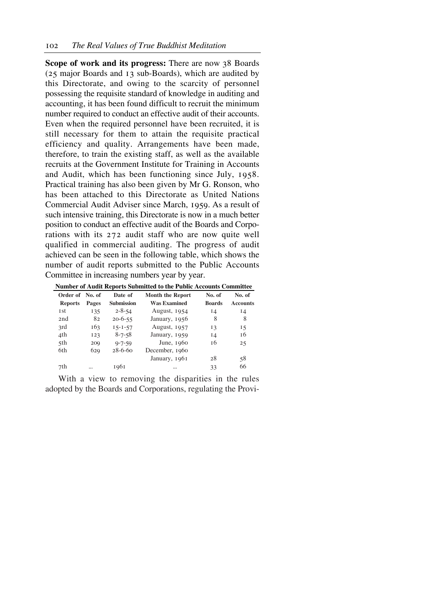**Scope of work and its progress:** There are now 38 Boards (25 major Boards and 13 sub-Boards), which are audited by this Directorate, and owing to the scarcity of personnel possessing the requisite standard of knowledge in auditing and accounting, it has been found difficult to recruit the minimum number required to conduct an effective audit of their accounts. Even when the required personnel have been recruited, it is still necessary for them to attain the requisite practical efficiency and quality. Arrangements have been made, therefore, to train the existing staff, as well as the available recruits at the Government Institute for Training in Accounts and Audit, which has been functioning since July, 1958. Practical training has also been given by Mr G. Ronson, who has been attached to this Directorate as United Nations Commercial Audit Adviser since March, 1959. As a result of such intensive training, this Directorate is now in a much better position to conduct an effective audit of the Boards and Corporations with its 272 audit staff who are now quite well qualified in commercial auditing. The progress of audit achieved can be seen in the following table, which shows the number of audit reports submitted to the Public Accounts Committee in increasing numbers year by year.

| Order of       | No. of | Date of           | <b>Month the Report</b> | No. of        | No. of          |
|----------------|--------|-------------------|-------------------------|---------------|-----------------|
| <b>Reports</b> | Pages  | <b>Submission</b> | <b>Was Examined</b>     | <b>Boards</b> | <b>Accounts</b> |
| <b>I</b> st    | 135    | $2 - 8 - 54$      | August, 1954            | 14            | 14              |
| 2nd            | 82     | $20 - 6 - 55$     | January, 1956           | 8             | 8               |
| 3rd            | 163    | $I 5-I-57$        | August, 1957            | 13            | <sup>15</sup>   |
| 4th            | 123    | $8 - 7 - 58$      | January, 1959           | 14            | <b>16</b>       |
| 5th            | 200    | $9 - 7 - 59$      | June, 1960              | <b>16</b>     | 25              |
| 6th            | 629    | $28 - 6 - 60$     | December, 1960          |               |                 |
|                |        |                   | January, 1961           | 28            | 58              |
| 7th            |        | 1961              | $\cdots$                | 33            | 66              |

**Number of Audit Reports Submitted to the Public Accounts Committee**

With a view to removing the disparities in the rules adopted by the Boards and Corporations, regulating the Provi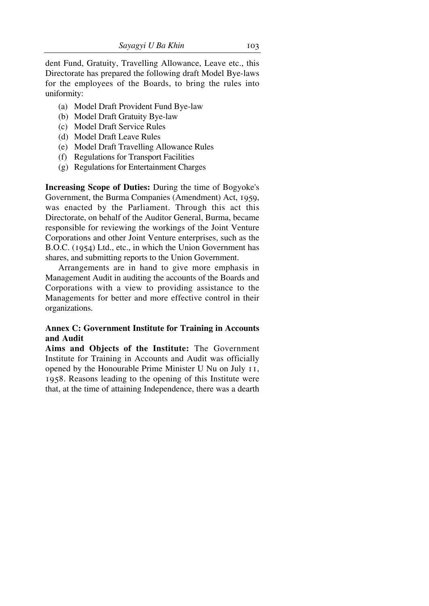dent Fund, Gratuity, Travelling Allowance, Leave etc., this Directorate has prepared the following draft Model Bye-laws for the employees of the Boards, to bring the rules into uniformity:

- (a) Model Draft Provident Fund Bye-law
- (b) Model Draft Gratuity Bye-law
- (c) Model Draft Service Rules
- (d) Model Draft Leave Rules
- (e) Model Draft Travelling Allowance Rules
- (f) Regulations for Transport Facilities
- (g) Regulations for Entertainment Charges

**Increasing Scope of Duties:** During the time of Bogyoke's Government, the Burma Companies (Amendment) Act, 1959, was enacted by the Parliament. Through this act this Directorate, on behalf of the Auditor General, Burma, became responsible for reviewing the workings of the Joint Venture Corporations and other Joint Venture enterprises, such as the B.O.C. (1954) Ltd., etc., in which the Union Government has shares, and submitting reports to the Union Government.

Arrangements are in hand to give more emphasis in Management Audit in auditing the accounts of the Boards and Corporations with a view to providing assistance to the Managements for better and more effective control in their organizations.

#### **Annex C: Government Institute for Training in Accounts and Audit**

**Aims and Objects of the Institute:** The Government Institute for Training in Accounts and Audit was officially opened by the Honourable Prime Minister U Nu on July 11, 1958. Reasons leading to the opening of this Institute were that, at the time of attaining Independence, there was a dearth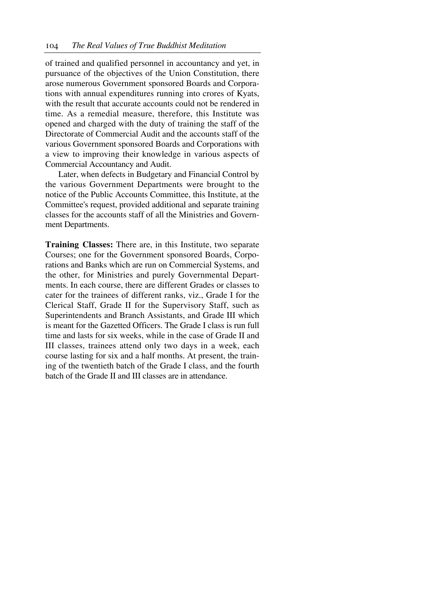of trained and qualified personnel in accountancy and yet, in pursuance of the objectives of the Union Constitution, there arose numerous Government sponsored Boards and Corporations with annual expenditures running into crores of Kyats, with the result that accurate accounts could not be rendered in time. As a remedial measure, therefore, this Institute was opened and charged with the duty of training the staff of the Directorate of Commercial Audit and the accounts staff of the various Government sponsored Boards and Corporations with a view to improving their knowledge in various aspects of Commercial Accountancy and Audit.

Later, when defects in Budgetary and Financial Control by the various Government Departments were brought to the notice of the Public Accounts Committee, this Institute, at the Committee's request, provided additional and separate training classes for the accounts staff of all the Ministries and Government Departments.

**Training Classes:** There are, in this Institute, two separate Courses; one for the Government sponsored Boards, Corporations and Banks which are run on Commercial Systems, and the other, for Ministries and purely Governmental Departments. In each course, there are different Grades or classes to cater for the trainees of different ranks, viz., Grade I for the Clerical Staff, Grade II for the Supervisory Staff, such as Superintendents and Branch Assistants, and Grade III which is meant for the Gazetted Officers. The Grade I class is run full time and lasts for six weeks, while in the case of Grade II and III classes, trainees attend only two days in a week, each course lasting for six and a half months. At present, the training of the twentieth batch of the Grade I class, and the fourth batch of the Grade II and III classes are in attendance.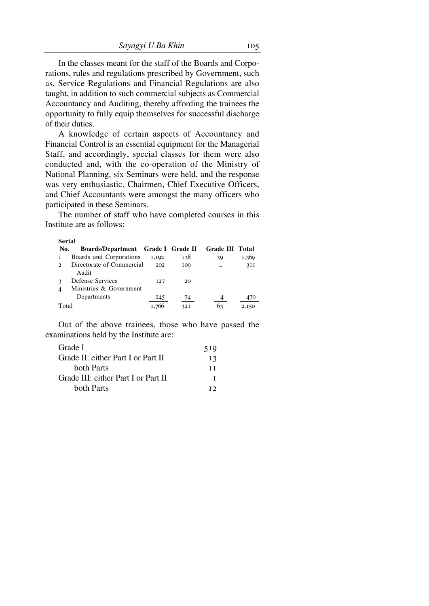In the classes meant for the staff of the Boards and Corporations, rules and regulations prescribed by Government, such as, Service Regulations and Financial Regulations are also taught, in addition to such commercial subjects as Commercial Accountancy and Auditing, thereby affording the trainees the opportunity to fully equip themselves for successful discharge of their duties.

A knowledge of certain aspects of Accountancy and Financial Control is an essential equipment for the Managerial Staff, and accordingly, special classes for them were also conducted and, with the co-operation of the Ministry of National Planning, six Seminars were held, and the response was very enthusiastic. Chairmen, Chief Executive Officers, and Chief Accountants were amongst the many officers who participated in these Seminars.

The number of staff who have completed courses in this Institute are as follows:

| <b>Serial</b> |                                    |                 |     |                 |       |  |
|---------------|------------------------------------|-----------------|-----|-----------------|-------|--|
| No.           | Boards/Department Grade I Grade II |                 |     | Grade III Total |       |  |
|               | Boards and Corporations            | I, 192          | 138 | 39              | 1,369 |  |
| $\mathcal{D}$ | Directorate of Commercial          | 202             | 100 | $\ddotsc$       | 3II   |  |
|               | Audit                              |                 |     |                 |       |  |
| $\mathbf{3}$  | Defense Services                   | I <sub>27</sub> | 20  |                 |       |  |
|               | Ministries & Government            |                 |     |                 |       |  |
|               | Departments                        | 245             | 74  |                 | 470   |  |
| Total         |                                    | 1,766           | 32I | 63              | 2,150 |  |

Out of the above trainees, those who have passed the examinations held by the Institute are:

| Grade I                             | 519  |
|-------------------------------------|------|
| Grade II: either Part I or Part II  | 13   |
| <b>both Parts</b>                   | ŦТ   |
| Grade III: either Part I or Part II |      |
| both Parts                          | T 2. |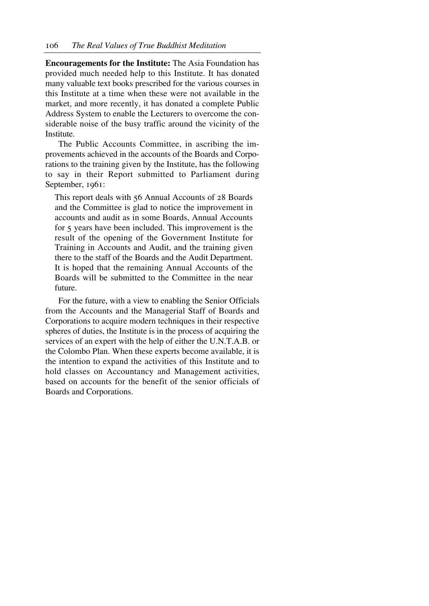**Encouragements for the Institute:** The Asia Foundation has provided much needed help to this Institute. It has donated many valuable text books prescribed for the various courses in this Institute at a time when these were not available in the market, and more recently, it has donated a complete Public Address System to enable the Lecturers to overcome the considerable noise of the busy traffic around the vicinity of the Institute.

The Public Accounts Committee, in ascribing the improvements achieved in the accounts of the Boards and Corporations to the training given by the Institute, has the following to say in their Report submitted to Parliament during September, 1961:

This report deals with 56 Annual Accounts of 28 Boards and the Committee is glad to notice the improvement in accounts and audit as in some Boards, Annual Accounts for 5 years have been included. This improvement is the result of the opening of the Government Institute for Training in Accounts and Audit, and the training given there to the staff of the Boards and the Audit Department. It is hoped that the remaining Annual Accounts of the Boards will be submitted to the Committee in the near future.

For the future, with a view to enabling the Senior Officials from the Accounts and the Managerial Staff of Boards and Corporations to acquire modern techniques in their respective spheres of duties, the Institute is in the process of acquiring the services of an expert with the help of either the U.N.T.A.B. or the Colombo Plan. When these experts become available, it is the intention to expand the activities of this Institute and to hold classes on Accountancy and Management activities, based on accounts for the benefit of the senior officials of Boards and Corporations.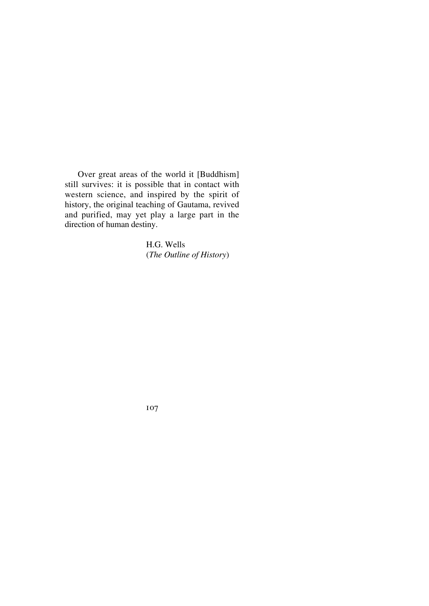Over great areas of the world it [Buddhism] still survives: it is possible that in contact with western science, and inspired by the spirit of history, the original teaching of Gautama, revived and purified, may yet play a large part in the direction of human destiny.

> H.G. Wells (*The Outline of History*)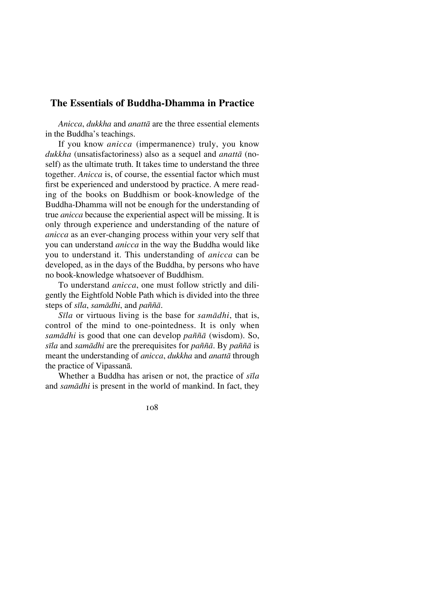# **The Essentials of Buddha-Dhamma in Practice**

*Anicca*, *dukkha* and *anattā* are the three essential elements in the Buddha's teachings.

If you know *anicca* (impermanence) truly, you know *dukkha* (unsatisfactoriness) also as a sequel and *anattā* (noself) as the ultimate truth. It takes time to understand the three together. *Anicca* is, of course, the essential factor which must first be experienced and understood by practice. A mere reading of the books on Buddhism or book-knowledge of the Buddha-Dhamma will not be enough for the understanding of true *anicca* because the experiential aspect will be missing. It is only through experience and understanding of the nature of *anicca* as an ever-changing process within your very self that you can understand *anicca* in the way the Buddha would like you to understand it. This understanding of *anicca* can be developed, as in the days of the Buddha, by persons who have no book-knowledge whatsoever of Buddhism.

To understand *anicca*, one must follow strictly and diligently the Eightfold Noble Path which is divided into the three steps of *sīla*, *samādhi*, and *paññā*.

*Sīla* or virtuous living is the base for *samādhi*, that is, control of the mind to one-pointedness. It is only when *samādhi* is good that one can develop *paññā* (wisdom). So, *sīla* and *samādhi* are the prerequisites for *paññā*. By *paññā* is meant the understanding of *anicca*, *dukkha* and *anattā* through the practice of Vipassanā.

Whether a Buddha has arisen or not, the practice of *sīla* and *samādhi* is present in the world of mankind. In fact, they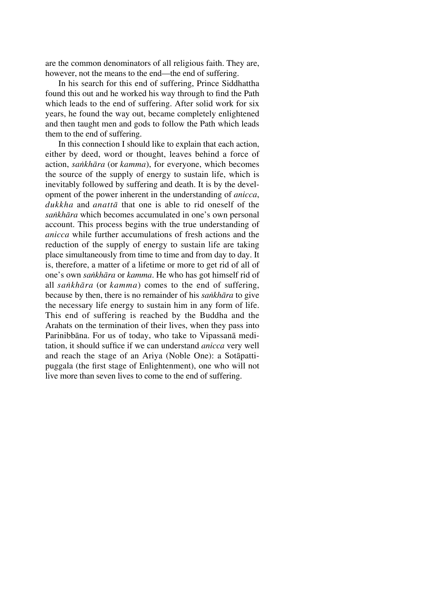are the common denominators of all religious faith. They are, however, not the means to the end—the end of suffering.

In his search for this end of suffering, Prince Siddhattha found this out and he worked his way through to find the Path which leads to the end of suffering. After solid work for six years, he found the way out, became completely enlightened and then taught men and gods to follow the Path which leads them to the end of suffering.

In this connection I should like to explain that each action, either by deed, word or thought, leaves behind a force of action, *sakhāra* (or *kamma*), for everyone, which becomes the source of the supply of energy to sustain life, which is inevitably followed by suffering and death. It is by the development of the power inherent in the understanding of *anicca*, *dukkha* and *anattā* that one is able to rid oneself of the *sakhāra* which becomes accumulated in one's own personal account. This process begins with the true understanding of *anicca* while further accumulations of fresh actions and the reduction of the supply of energy to sustain life are taking place simultaneously from time to time and from day to day. It is, therefore, a matter of a lifetime or more to get rid of all of one's own *sakhāra* or *kamma*. He who has got himself rid of all *sakhāra* (or *kamma*) comes to the end of suffering, because by then, there is no remainder of his *sakhāra* to give the necessary life energy to sustain him in any form of life. This end of suffering is reached by the Buddha and the Arahats on the termination of their lives, when they pass into Parinibbāna. For us of today, who take to Vipassanā meditation, it should suffice if we can understand *anicca* very well and reach the stage of an Ariya (Noble One): a Sotāpattipuggala (the first stage of Enlightenment), one who will not live more than seven lives to come to the end of suffering.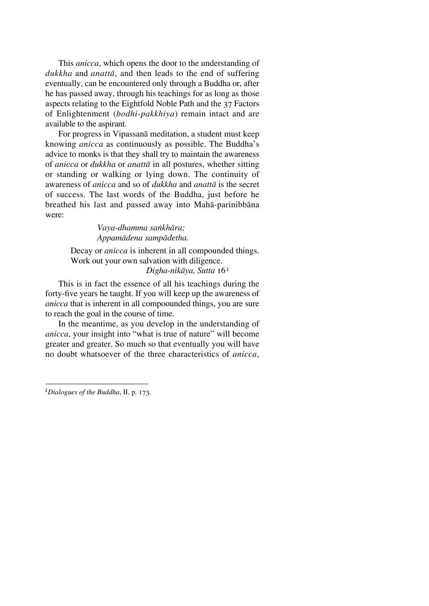This *anicca*, which opens the door to the understanding of *dukkha* and *anattā*, and then leads to the end of suffering eventually, can be encountered only through a Buddha or, after he has passed away, through his teachings for as long as those aspects relating to the Eightfold Noble Path and the 37 Factors of Enlightenment (*bodhi-pakkhiya*) remain intact and are available to the aspirant.

For progress in Vipassanā meditation, a student must keep knowing *anicca* as continuously as possible. The Buddha's advice to monks is that they shall try to maintain the awareness of *anicca* or *dukkha* or *anattā* in all postures, whether sitting or standing or walking or lying down. The continuity of awareness of *anicca* and so of *dukkha* and *anattā* is the secret of success. The last words of the Buddha, just before he breathed his last and passed away into Mahā-parinibbāna were:

## *Vaya-dhamma sakhāra; Appamādena sampādetha.*

Decay or *anicca* is inherent in all compounded things. Work out your own salvation with diligence.

*Digha-nikāya, Sutta* 161

This is in fact the essence of all his teachings during the forty-five years he taught. If you will keep up the awareness of *anicca* that is inherent in all compoounded things, you are sure to reach the goal in the course of time.

In the meantime, as you develop in the understanding of *anicca*, your insight into "what is true of nature" will become greater and greater. So much so that eventually you will have no doubt whatsoever of the three characteristics of *anicca*,

<sup>1</sup>*Dialogues of the Buddha*, II, p. 173.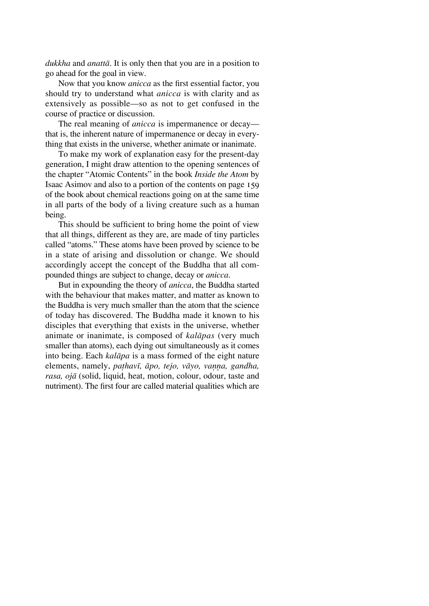*dukkha* and *anattā*. It is only then that you are in a position to go ahead for the goal in view.

Now that you know *anicca* as the first essential factor, you should try to understand what *anicca* is with clarity and as extensively as possible—so as not to get confused in the course of practice or discussion.

The real meaning of *anicca* is impermanence or decay that is, the inherent nature of impermanence or decay in everything that exists in the universe, whether animate or inanimate.

To make my work of explanation easy for the present-day generation, I might draw attention to the opening sentences of the chapter "Atomic Contents" in the book *Inside the Atom* by Isaac Asimov and also to a portion of the contents on page 159 of the book about chemical reactions going on at the same time in all parts of the body of a living creature such as a human being.

This should be sufficient to bring home the point of view that all things, different as they are, are made of tiny particles called "atoms." These atoms have been proved by science to be in a state of arising and dissolution or change. We should accordingly accept the concept of the Buddha that all compounded things are subject to change, decay or *anicca*.

But in expounding the theory of *anicca*, the Buddha started with the behaviour that makes matter, and matter as known to the Buddha is very much smaller than the atom that the science of today has discovered. The Buddha made it known to his disciples that everything that exists in the universe, whether animate or inanimate, is composed of *kalāpas* (very much smaller than atoms), each dying out simultaneously as it comes into being. Each *kalāpa* is a mass formed of the eight nature elements, namely, *pathavī, āpo, tejo, vāyo, vanna, gandha*, *rasa, ojā* (solid, liquid, heat, motion, colour, odour, taste and nutriment). The first four are called material qualities which are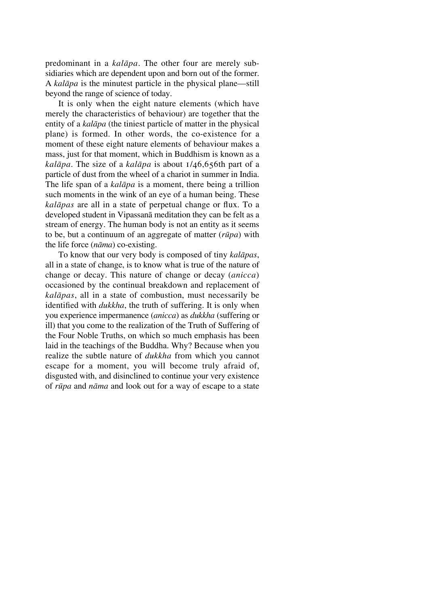predominant in a *kalāpa*. The other four are merely subsidiaries which are dependent upon and born out of the former. A *kalāpa* is the minutest particle in the physical plane—still beyond the range of science of today.

It is only when the eight nature elements (which have merely the characteristics of behaviour) are together that the entity of a *kalāpa* (the tiniest particle of matter in the physical plane) is formed. In other words, the co-existence for a moment of these eight nature elements of behaviour makes a mass, just for that moment, which in Buddhism is known as a *kalāpa*. The size of a *kalāpa* is about 1/46,656th part of a particle of dust from the wheel of a chariot in summer in India. The life span of a *kalāpa* is a moment, there being a trillion such moments in the wink of an eye of a human being. These *kalāpas* are all in a state of perpetual change or flux. To a developed student in Vipassanā meditation they can be felt as a stream of energy. The human body is not an entity as it seems to be, but a continuum of an aggregate of matter (*rūpa*) with the life force (*nāma*) co-existing.

To know that our very body is composed of tiny *kalāpas*, all in a state of change, is to know what is true of the nature of change or decay. This nature of change or decay (*anicca*) occasioned by the continual breakdown and replacement of *kalāpas*, all in a state of combustion, must necessarily be identified with *dukkha*, the truth of suffering. It is only when you experience impermanence (*anicca*) as *dukkha* (suffering or ill) that you come to the realization of the Truth of Suffering of the Four Noble Truths, on which so much emphasis has been laid in the teachings of the Buddha. Why? Because when you realize the subtle nature of *dukkha* from which you cannot escape for a moment, you will become truly afraid of, disgusted with, and disinclined to continue your very existence of *rūpa* and *nāma* and look out for a way of escape to a state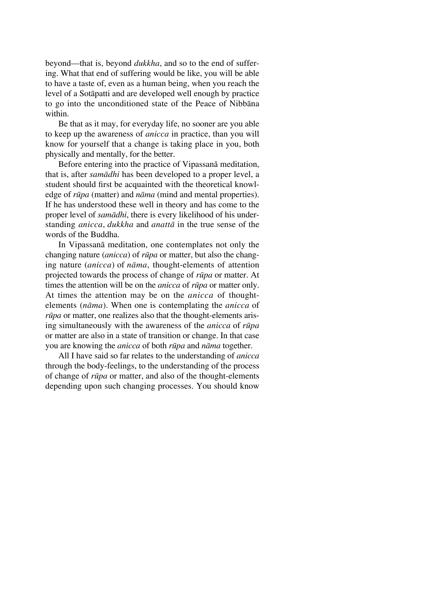beyond—that is, beyond *dukkha*, and so to the end of suffering. What that end of suffering would be like, you will be able to have a taste of, even as a human being, when you reach the level of a Sotāpatti and are developed well enough by practice to go into the unconditioned state of the Peace of Nibbāna within.

Be that as it may, for everyday life, no sooner are you able to keep up the awareness of *anicca* in practice, than you will know for yourself that a change is taking place in you, both physically and mentally, for the better.

Before entering into the practice of Vipassanā meditation, that is, after *samādhi* has been developed to a proper level, a student should first be acquainted with the theoretical knowledge of *rūpa* (matter) and *nāma* (mind and mental properties). If he has understood these well in theory and has come to the proper level of *samādhi*, there is every likelihood of his understanding *anicca*, *dukkha* and *anattā* in the true sense of the words of the Buddha.

In Vipassanā meditation, one contemplates not only the changing nature (*anicca*) of *rūpa* or matter, but also the changing nature (*anicca*) of *nāma*, thought-elements of attention projected towards the process of change of *rūpa* or matter. At times the attention will be on the *anicca* of *rūpa* or matter only. At times the attention may be on the *anicca* of thoughtelements (*nāma*). When one is contemplating the *anicca* of *rūpa* or matter, one realizes also that the thought-elements arising simultaneously with the awareness of the *anicca* of *rūpa* or matter are also in a state of transition or change. In that case you are knowing the *anicca* of both *rūpa* and *nāma* together.

All I have said so far relates to the understanding of *anicca* through the body-feelings, to the understanding of the process of change of *rūpa* or matter, and also of the thought-elements depending upon such changing processes. You should know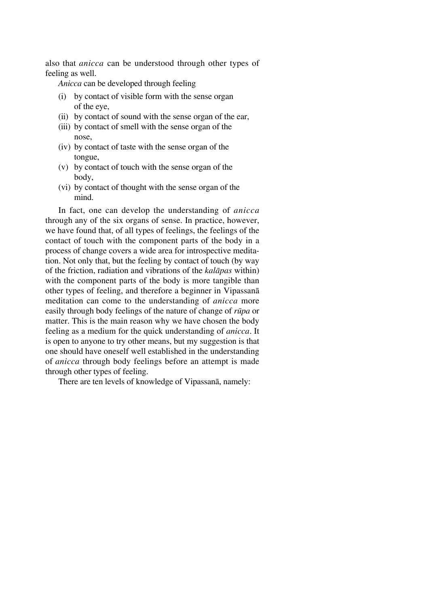also that *anicca* can be understood through other types of feeling as well.

*Anicca* can be developed through feeling

- (i) by contact of visible form with the sense organ of the eye,
- (ii) by contact of sound with the sense organ of the ear,
- (iii) by contact of smell with the sense organ of the nose,
- (iv) by contact of taste with the sense organ of the tongue,
- (v) by contact of touch with the sense organ of the body,
- (vi) by contact of thought with the sense organ of the mind.

In fact, one can develop the understanding of *anicca* through any of the six organs of sense. In practice, however, we have found that, of all types of feelings, the feelings of the contact of touch with the component parts of the body in a process of change covers a wide area for introspective meditation. Not only that, but the feeling by contact of touch (by way of the friction, radiation and vibrations of the *kalāpas* within) with the component parts of the body is more tangible than other types of feeling, and therefore a beginner in Vipassanā meditation can come to the understanding of *anicca* more easily through body feelings of the nature of change of *rūpa* or matter. This is the main reason why we have chosen the body feeling as a medium for the quick understanding of *anicca*. It is open to anyone to try other means, but my suggestion is that one should have oneself well established in the understanding of *anicca* through body feelings before an attempt is made through other types of feeling.

There are ten levels of knowledge of Vipassanā, namely: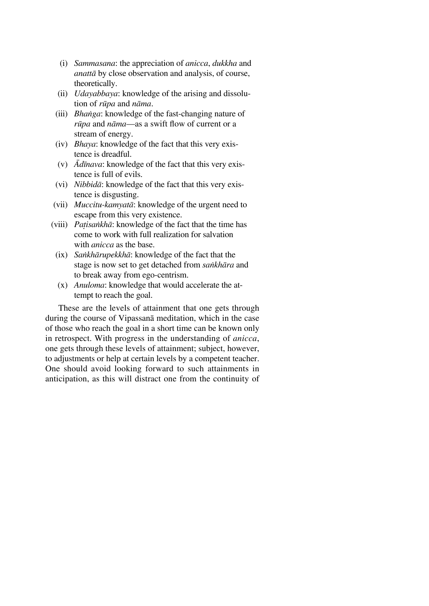- (i) *Sammasana*: the appreciation of *anicca*, *dukkha* and *anattā* by close observation and analysis, of course, theoretically.
- (ii) *Udayabbaya*: knowledge of the arising and dissolution of *rūpa* and *nāma*.
- (iii) *Bhanga*: knowledge of the fast-changing nature of *rūpa* and *nāma*—as a swift flow of current or a stream of energy.
- (iv) *Bhaya*: knowledge of the fact that this very existence is dreadful.
- (v) *Ādīnava*: knowledge of the fact that this very existence is full of evils.
- (vi) *Nibbidā*: knowledge of the fact that this very existence is disgusting.
- (vii) *Muccitu-kamyatā*: knowledge of the urgent need to escape from this very existence.
- (viii) *Paisakhā*: knowledge of the fact that the time has come to work with full realization for salvation with *anicca* as the base.
	- (ix) *Sakhārupekkhā*: knowledge of the fact that the stage is now set to get detached from *sakhāra* and to break away from ego-centrism.
	- (x) *Anuloma*: knowledge that would accelerate the attempt to reach the goal.

These are the levels of attainment that one gets through during the course of Vipassanā meditation, which in the case of those who reach the goal in a short time can be known only in retrospect. With progress in the understanding of *anicca*, one gets through these levels of attainment; subject, however, to adjustments or help at certain levels by a competent teacher. One should avoid looking forward to such attainments in anticipation, as this will distract one from the continuity of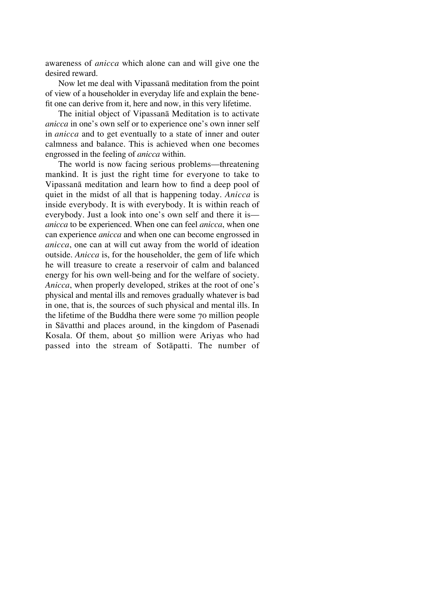awareness of *anicca* which alone can and will give one the desired reward.

Now let me deal with Vipassanā meditation from the point of view of a householder in everyday life and explain the benefit one can derive from it, here and now, in this very lifetime.

The initial object of Vipassanā Meditation is to activate *anicca* in one's own self or to experience one's own inner self in *anicca* and to get eventually to a state of inner and outer calmness and balance. This is achieved when one becomes engrossed in the feeling of *anicca* within.

The world is now facing serious problems—threatening mankind. It is just the right time for everyone to take to Vipassanā meditation and learn how to find a deep pool of quiet in the midst of all that is happening today. *Anicca* is inside everybody. It is with everybody. It is within reach of everybody. Just a look into one's own self and there it is *anicca* to be experienced. When one can feel *anicca*, when one can experience *anicca* and when one can become engrossed in *anicca*, one can at will cut away from the world of ideation outside. *Anicca* is, for the householder, the gem of life which he will treasure to create a reservoir of calm and balanced energy for his own well-being and for the welfare of society. *Anicca*, when properly developed, strikes at the root of one's physical and mental ills and removes gradually whatever is bad in one, that is, the sources of such physical and mental ills. In the lifetime of the Buddha there were some 70 million people in Sāvatthi and places around, in the kingdom of Pasenadi Kosala. Of them, about 50 million were Ariyas who had passed into the stream of Sotāpatti. The number of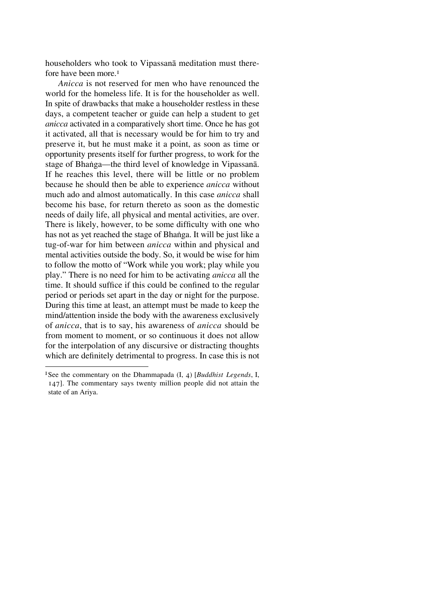householders who took to Vipassanā meditation must therefore have been more.1

*Anicca* is not reserved for men who have renounced the world for the homeless life. It is for the householder as well. In spite of drawbacks that make a householder restless in these days, a competent teacher or guide can help a student to get *anicca* activated in a comparatively short time. Once he has got it activated, all that is necessary would be for him to try and preserve it, but he must make it a point, as soon as time or opportunity presents itself for further progress, to work for the stage of Bhanga—the third level of knowledge in Vipassanā. If he reaches this level, there will be little or no problem because he should then be able to experience *anicca* without much ado and almost automatically. In this case *anicca* shall become his base, for return thereto as soon as the domestic needs of daily life, all physical and mental activities, are over. There is likely, however, to be some difficulty with one who has not as yet reached the stage of Bhanga. It will be just like a tug-of-war for him between *anicca* within and physical and mental activities outside the body. So, it would be wise for him to follow the motto of "Work while you work; play while you play." There is no need for him to be activating *anicca* all the time. It should suffice if this could be confined to the regular period or periods set apart in the day or night for the purpose. During this time at least, an attempt must be made to keep the mind/attention inside the body with the awareness exclusively of *anicca*, that is to say, his awareness of *anicca* should be from moment to moment, or so continuous it does not allow for the interpolation of any discursive or distracting thoughts which are definitely detrimental to progress. In case this is not

<sup>&</sup>lt;sup>1</sup>See the commentary on the Dhammapada (I, 4) [*Buddhist Legends*, I, 147]. The commentary says twenty million people did not attain the state of an Ariya.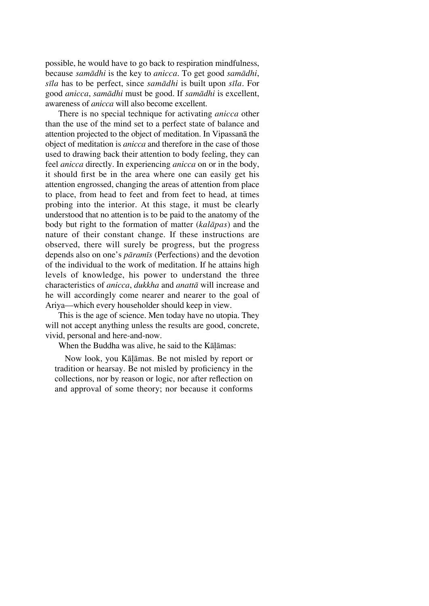possible, he would have to go back to respiration mindfulness, because *samādhi* is the key to *anicca*. To get good *samādhi*, *sīla* has to be perfect, since *samādhi* is built upon *sīla*. For good *anicca*, *samādhi* must be good. If *samādhi* is excellent, awareness of *anicca* will also become excellent.

There is no special technique for activating *anicca* other than the use of the mind set to a perfect state of balance and attention projected to the object of meditation. In Vipassanā the object of meditation is *anicca* and therefore in the case of those used to drawing back their attention to body feeling, they can feel *anicca* directly. In experiencing *anicca* on or in the body, it should first be in the area where one can easily get his attention engrossed, changing the areas of attention from place to place, from head to feet and from feet to head, at times probing into the interior. At this stage, it must be clearly understood that no attention is to be paid to the anatomy of the body but right to the formation of matter (*kalāpas*) and the nature of their constant change. If these instructions are observed, there will surely be progress, but the progress depends also on one's *pāramīs* (Perfections) and the devotion of the individual to the work of meditation. If he attains high levels of knowledge, his power to understand the three characteristics of *anicca*, *dukkha* and *anattā* will increase and he will accordingly come nearer and nearer to the goal of Ariya—which every householder should keep in view.

This is the age of science. Men today have no utopia. They will not accept anything unless the results are good, concrete, vivid, personal and here-and-now.

When the Buddha was alive, he said to the Kālāmas:

Now look, you Kāāmas. Be not misled by report or tradition or hearsay. Be not misled by proficiency in the collections, nor by reason or logic, nor after reflection on and approval of some theory; nor because it conforms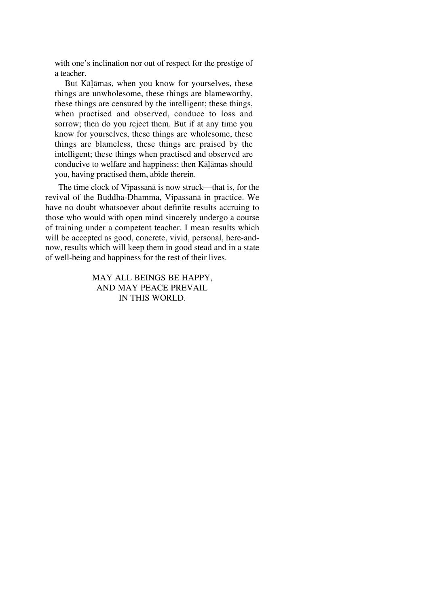with one's inclination nor out of respect for the prestige of a teacher.

But Kāāmas, when you know for yourselves, these things are unwholesome, these things are blameworthy, these things are censured by the intelligent; these things, when practised and observed, conduce to loss and sorrow; then do you reject them. But if at any time you know for yourselves, these things are wholesome, these things are blameless, these things are praised by the intelligent; these things when practised and observed are conducive to welfare and happiness; then Kāāmas should you, having practised them, abide therein.

The time clock of Vipassanā is now struck—that is, for the revival of the Buddha-Dhamma, Vipassanā in practice. We have no doubt whatsoever about definite results accruing to those who would with open mind sincerely undergo a course of training under a competent teacher. I mean results which will be accepted as good, concrete, vivid, personal, here-andnow, results which will keep them in good stead and in a state of well-being and happiness for the rest of their lives.

> MAY ALL BEINGS BE HAPPY, AND MAY PEACE PREVAIL IN THIS WORLD.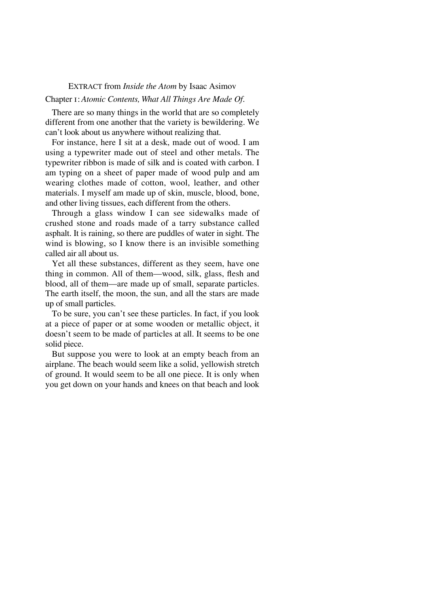# EXTRACT from *Inside the Atom* by Isaac Asimov Chapter 1: *Atomic Contents, What All Things Are Made Of*.

There are so many things in the world that are so completely different from one another that the variety is bewildering. We can't look about us anywhere without realizing that.

For instance, here I sit at a desk, made out of wood. I am using a typewriter made out of steel and other metals. The typewriter ribbon is made of silk and is coated with carbon. I am typing on a sheet of paper made of wood pulp and am wearing clothes made of cotton, wool, leather, and other materials. I myself am made up of skin, muscle, blood, bone, and other living tissues, each different from the others.

Through a glass window I can see sidewalks made of crushed stone and roads made of a tarry substance called asphalt. It is raining, so there are puddles of water in sight. The wind is blowing, so I know there is an invisible something called air all about us.

Yet all these substances, different as they seem, have one thing in common. All of them—wood, silk, glass, flesh and blood, all of them—are made up of small, separate particles. The earth itself, the moon, the sun, and all the stars are made up of small particles.

To be sure, you can't see these particles. In fact, if you look at a piece of paper or at some wooden or metallic object, it doesn't seem to be made of particles at all. It seems to be one solid piece.

But suppose you were to look at an empty beach from an airplane. The beach would seem like a solid, yellowish stretch of ground. It would seem to be all one piece. It is only when you get down on your hands and knees on that beach and look